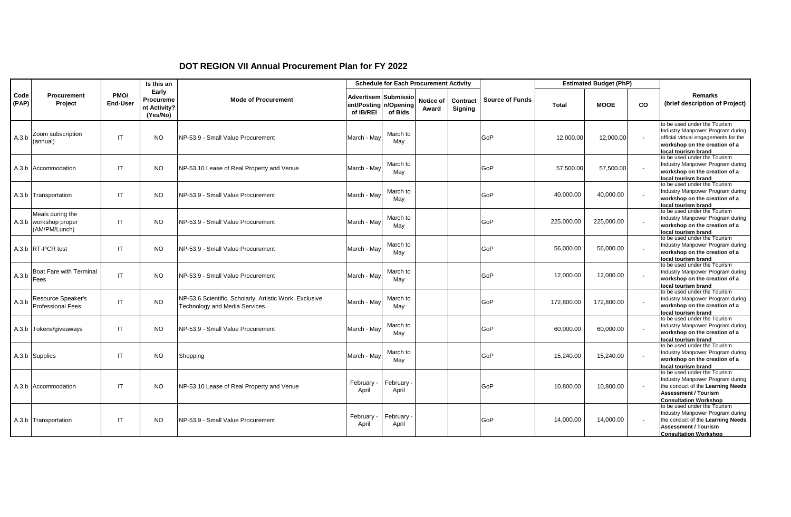## **DOT REGION VII Annual Procurement Plan for FY 2022**

|               |                                                            |                         | Is this an                                     |                                                                                          |                                                  | <b>Schedule for Each Procurement Activity</b> |                    |                     |                        |              | <b>Estimated Budget (PhP)</b> |        |                                                                                                                                                                      |
|---------------|------------------------------------------------------------|-------------------------|------------------------------------------------|------------------------------------------------------------------------------------------|--------------------------------------------------|-----------------------------------------------|--------------------|---------------------|------------------------|--------------|-------------------------------|--------|----------------------------------------------------------------------------------------------------------------------------------------------------------------------|
| Code<br>(PAP) | <b>Procurement</b><br>Project                              | PMO/<br><b>End-User</b> | Early<br>Procureme<br>nt Activity?<br>(Yes/No) | <b>Mode of Procurement</b>                                                               | Advertisem Submissio<br>ent/Posting<br>of IB/REI | n/Opening<br>of Bids                          | Notice of<br>Award | Contract<br>Signing | <b>Source of Funds</b> | <b>Total</b> | <b>MOOE</b>                   | co     | <b>Remarks</b><br>(brief description of Project)                                                                                                                     |
| A.3.b         | Zoom subscription<br>(annual)                              | IT                      | <b>NO</b>                                      | NP-53.9 - Small Value Procurement                                                        | March - Mav                                      | March to<br>May                               |                    |                     | GoP                    | 12.000.00    | 12,000.00                     | $\sim$ | to be used under the Tourism<br>Industry Manpower Program during<br>official virtual engagements for the<br>workshop on the creation of a<br>local tourism brand     |
|               | A.3.b Accommodation                                        | IT                      | <b>NO</b>                                      | NP-53.10 Lease of Real Property and Venue                                                | March - Mav                                      | March to<br>May                               |                    |                     | GoP                    | 57,500.00    | 57,500.00                     |        | to be used under the Tourism<br>Industry Manpower Program during<br>workshop on the creation of a<br>local tourism brand                                             |
|               | A.3.b Transportation                                       | IT                      | <b>NO</b>                                      | NP-53.9 - Small Value Procurement                                                        | March - May                                      | March to<br>May                               |                    |                     | GoP                    | 40,000.00    | 40,000.00                     | $\sim$ | to be used under the Tourism<br>Industry Manpower Program during<br>workshop on the creation of a<br>local tourism brand                                             |
|               | Meals during the<br>A.3.b workshop proper<br>(AM/PM/Lunch) | IT.                     | <b>NO</b>                                      | <b>INP-53.9 - Small Value Procurement</b>                                                | March - May                                      | March to<br>May                               |                    |                     | GoP                    | 225,000.00   | 225,000.00                    |        | to be used under the Tourism<br>Industry Manpower Program during<br>workshop on the creation of a<br>local tourism brand                                             |
|               | A.3.b RT-PCR test                                          | IT                      | <b>NO</b>                                      | INP-53.9 - Small Value Procurement                                                       | March - Mav                                      | March to<br>May                               |                    |                     | GoP                    | 56,000.00    | 56,000.00                     |        | to be used under the Tourism<br>Industry Manpower Program during<br>workshop on the creation of a<br>local tourism brand                                             |
| A.3.b         | <b>Boat Fare with Terminal</b><br>Fees                     | IT.                     | <b>NO</b>                                      | NP-53.9 - Small Value Procurement                                                        | March - May                                      | March to<br>May                               |                    |                     | GoP                    | 12,000.00    | 12,000.00                     |        | to be used under the Tourism<br>Industry Manpower Program during<br>workshop on the creation of a<br>local tourism brand                                             |
| A.3.b         | Resource Speaker's<br><b>Professional Fees</b>             | IT                      | <b>NO</b>                                      | NP-53.6 Scientific, Scholarly, Artistic Work, Exclusive<br>Technology and Media Services | March - Mav                                      | March to<br>May                               |                    |                     | GoP                    | 172,800.00   | 172,800.00                    |        | to be used under the Tourism<br>Industry Manpower Program during<br>workshop on the creation of a<br>local tourism brand                                             |
|               | A.3.b Tokens/giveaways                                     | IT.                     | <b>NO</b>                                      | NP-53.9 - Small Value Procurement                                                        | March - May                                      | March to<br>May                               |                    |                     | GoP                    | 60,000.00    | 60,000.00                     | $\sim$ | to be used under the Tourism<br>Industry Manpower Program during<br>workshop on the creation of a<br>local tourism brand                                             |
|               | A.3.b Supplies                                             | IT.                     | <b>NO</b>                                      | Shopping                                                                                 | March - May                                      | March to<br>May                               |                    |                     | GoP                    | 15,240.00    | 15,240.00                     |        | to be used under the Tourism<br>Industry Manpower Program during<br>workshop on the creation of a<br>local tourism brand                                             |
|               | A.3.b Accommodation                                        | IT                      | <b>NO</b>                                      | NP-53.10 Lease of Real Property and Venue                                                | February -<br>April                              | February<br>April                             |                    |                     | GoP                    | 10,800.00    | 10,800.00                     |        | to be used under the Tourism<br>Industry Manpower Program during<br>the conduct of the Learning Needs<br><b>Assessment / Tourism</b><br><b>Consultation Workshop</b> |
|               | A.3.b Transportation                                       | IT                      | <b>NO</b>                                      | INP-53.9 - Small Value Procurement                                                       | February -<br>April                              | February<br>April                             |                    |                     | GoP                    | 14.000.00    | 14,000.00                     |        | to be used under the Tourism<br>Industry Manpower Program during<br>the conduct of the Learning Needs<br><b>Assessment / Tourism</b><br><b>Consultation Workshop</b> |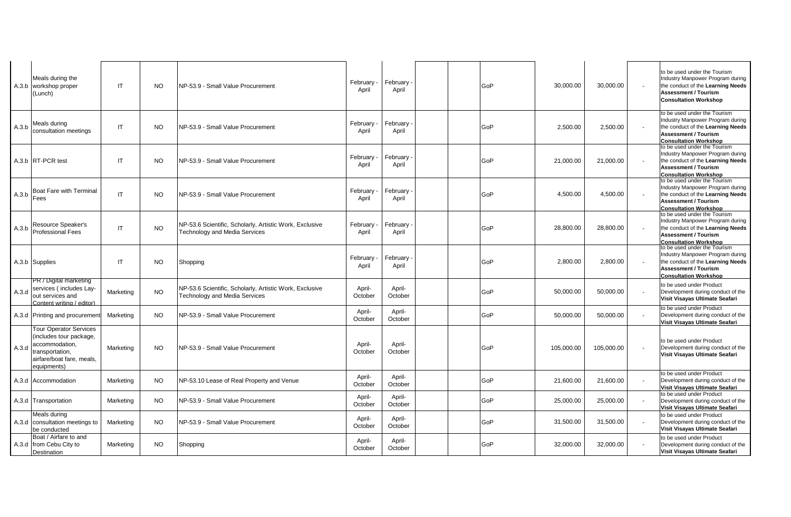|       | Meals during the<br>A.3.b workshop proper<br>(Lunch)                                                                                      | IT        | NO.       | NP-53.9 - Small Value Procurement                                                               | February -<br>April | February<br>April | <b>GoP</b> | 30.000.00  | 30.000.00  | to be used under the Tourism<br>Industry Manpower Program during<br>the conduct of the Learning Needs<br><b>Assessment / Tourism</b><br><b>Consultation Workshop</b> |
|-------|-------------------------------------------------------------------------------------------------------------------------------------------|-----------|-----------|-------------------------------------------------------------------------------------------------|---------------------|-------------------|------------|------------|------------|----------------------------------------------------------------------------------------------------------------------------------------------------------------------|
| A.3.b | Meals during<br>consultation meetings                                                                                                     | IT        | <b>NO</b> | NP-53.9 - Small Value Procurement                                                               | February -<br>April | February<br>April | GoP        | 2,500.00   | 2,500.00   | to be used under the Tourism<br>Industry Manpower Program during<br>the conduct of the Learning Needs<br><b>Assessment / Tourism</b><br><b>Consultation Workshop</b> |
|       | A.3.b RT-PCR test                                                                                                                         | IT        | NO.       | NP-53.9 - Small Value Procurement                                                               | February -<br>April | February<br>April | GoP        | 21,000.00  | 21,000.00  | to be used under the Tourism<br>Industry Manpower Program during<br>the conduct of the Learning Needs<br><b>Assessment / Tourism</b><br><b>Consultation Workshop</b> |
| A.3.b | Boat Fare with Terminal<br>Fees                                                                                                           | IT        | <b>NO</b> | NP-53.9 - Small Value Procurement                                                               | February<br>April   | February<br>April | GoP        | 4,500.00   | 4,500.00   | to be used under the Tourism<br>Industry Manpower Program during<br>the conduct of the Learning Needs<br><b>Assessment / Tourism</b><br><b>Consultation Workshop</b> |
| A.3.b | Resource Speaker's<br><b>Professional Fees</b>                                                                                            | IT        | <b>NO</b> | NP-53.6 Scientific, Scholarly, Artistic Work, Exclusive<br><b>Technology and Media Services</b> | February<br>April   | February<br>April | GoP        | 28,800.00  | 28,800.00  | to be used under the Tourism<br>Industry Manpower Program during<br>the conduct of the Learning Needs<br><b>Assessment / Tourism</b><br><b>Consultation Workshop</b> |
|       | A.3.b Supplies                                                                                                                            | IT        | NO.       | Shopping                                                                                        | February -<br>April | February<br>April | <b>GoP</b> | 2,800.00   | 2,800.00   | to be used under the Tourism<br>Industry Manpower Program during<br>the conduct of the Learning Needs<br><b>Assessment / Tourism</b><br><b>Consultation Workshop</b> |
| A.3.d | PR / Digital marketing<br>services (includes Lay-<br>out services and<br>Content writing / editor)                                        | Marketing | <b>NO</b> | NP-53.6 Scientific, Scholarly, Artistic Work, Exclusive<br><b>Technology and Media Services</b> | April-<br>October   | April-<br>October | GoP        | 50,000.00  | 50,000.00  | to be used under Product<br>Development during conduct of the<br>Visit Visayas Ultimate Seafari                                                                      |
|       | A.3.d Printing and procurement                                                                                                            | Marketing | <b>NO</b> | NP-53.9 - Small Value Procurement                                                               | April-<br>October   | April-<br>October | <b>GoP</b> | 50,000.00  | 50,000.00  | to be used under Product<br>Development during conduct of the<br>Visit Visayas Ultimate Seafari                                                                      |
| A.3.d | <b>Tour Operator Services</b><br>(includes tour package,<br>accommodation,<br>transportation,<br>airfare/boat fare, meals,<br>equipments) | Marketing | <b>NO</b> | NP-53.9 - Small Value Procurement                                                               | April-<br>October   | April-<br>October | GoP        | 105,000.00 | 105,000.00 | to be used under Product<br>Development during conduct of the<br>Visit Visayas Ultimate Seafari                                                                      |
|       | A.3.d Accommodation                                                                                                                       | Marketing | NO.       | NP-53.10 Lease of Real Property and Venue                                                       | April-<br>October   | April-<br>October | GoP        | 21,600.00  | 21,600.00  | to be used under Product<br>Development during conduct of the<br>Visit Visayas Ultimate Seafari                                                                      |
|       | A.3.d Transportation                                                                                                                      | Marketing | <b>NO</b> | NP-53.9 - Small Value Procurement                                                               | April-<br>October   | April-<br>October | GoP        | 25,000.00  | 25,000.00  | to be used under Product<br>Development during conduct of the<br>Visit Visayas Ultimate Seafari                                                                      |
|       | Meals during<br>A.3.d consultation meetings to<br>be conducted                                                                            | Marketing | <b>NO</b> | NP-53.9 - Small Value Procurement                                                               | April-<br>October   | April-<br>October | GoP        | 31,500.00  | 31,500.00  | to be used under Product<br>Development during conduct of the<br>Visit Visayas Ultimate Seafari                                                                      |
|       | Boat / Airfare to and<br>A.3.d from Cebu City to<br><b>Destination</b>                                                                    | Marketing | <b>NO</b> | Shopping                                                                                        | April-<br>October   | April-<br>October | GoP        | 32,000.00  | 32,000.00  | to be used under Product<br>Development during conduct of the<br>Visit Visayas Ultimate Seafari                                                                      |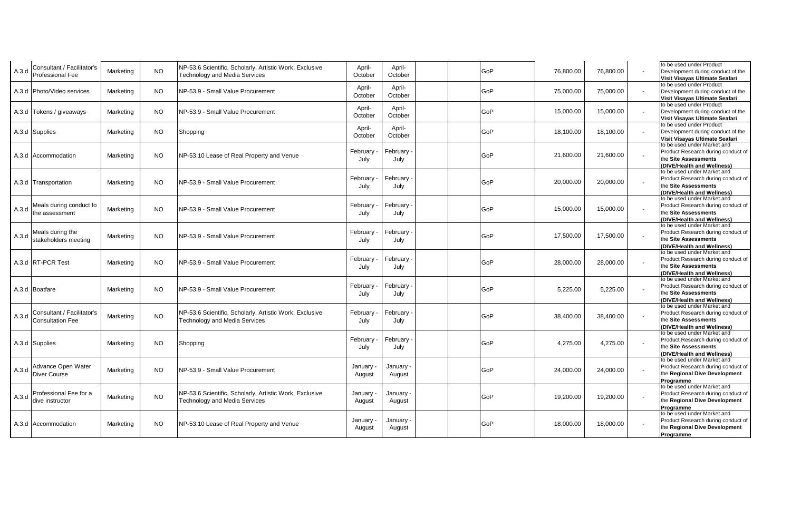| A.3.d | Consultant / Facilitator's<br>Professional Fee        | Marketing | <b>NO</b> | NP-53.6 Scientific, Scholarly, Artistic Work, Exclusive<br><b>Technology and Media Services</b> | April-<br>October   | April-<br>October   | GoP | 76,800.00 | 76,800.00 | to be used under Product<br>Development during conduct of the<br>Visit Visayas Ultimate Seafari                         |
|-------|-------------------------------------------------------|-----------|-----------|-------------------------------------------------------------------------------------------------|---------------------|---------------------|-----|-----------|-----------|-------------------------------------------------------------------------------------------------------------------------|
|       | A.3.d   Photo/Video services                          | Marketing | <b>NO</b> | NP-53.9 - Small Value Procurement                                                               | April-<br>October   | April-<br>October   | GoP | 75,000.00 | 75,000.00 | to be used under Product<br>Development during conduct of the<br>Visit Visayas Ultimate Seafari                         |
|       | A.3.d Tokens / giveaways                              | Marketing | <b>NO</b> | NP-53.9 - Small Value Procurement                                                               | April-<br>October   | April-<br>October   | GoP | 15,000.00 | 15,000.00 | to be used under Product<br>Development during conduct of the<br>Visit Visayas Ultimate Seafari                         |
|       | A.3.d Supplies                                        | Marketing | NO.       | Shopping                                                                                        | April-<br>October   | April-<br>October   | GoP | 18,100.00 | 18,100.00 | to be used under Product<br>Development during conduct of the<br>Visit Visayas Ultimate Seafari                         |
|       | A.3.d Accommodation                                   | Marketing | NO.       | NP-53.10 Lease of Real Property and Venue                                                       | February<br>July    | February<br>July    | GoP | 21,600.00 | 21,600.00 | to be used under Market and<br>Product Research during conduct of<br>the Site Assessments<br>(DIVE/Health and Wellness) |
|       | A.3.d Transportation                                  | Marketing | <b>NO</b> | NP-53.9 - Small Value Procurement                                                               | February<br>July    | February<br>July    | GoP | 20,000.00 | 20,000.00 | to be used under Market and<br>Product Research during conduct of<br>the Site Assessments<br>(DIVE/Health and Wellness) |
| A.3.d | Meals during conduct fo<br>the assessment             | Marketing | <b>NO</b> | NP-53.9 - Small Value Procurement                                                               | February<br>July    | February<br>July    | GoP | 15,000.00 | 15,000.00 | to be used under Market and<br>Product Research during conduct of<br>the Site Assessments<br>(DIVE/Health and Wellness) |
| A.3.d | Meals during the<br>stakeholders meeting              | Marketing | NO.       | NP-53.9 - Small Value Procurement                                                               | February<br>July    | February<br>July    | GoP | 17,500.00 | 17,500.00 | to be used under Market and<br>Product Research during conduct of<br>the Site Assessments<br>(DIVE/Health and Wellness) |
|       | A.3.d RT-PCR Test                                     | Marketing | <b>NO</b> | NP-53.9 - Small Value Procurement                                                               | February<br>July    | February<br>July    | GoP | 28,000.00 | 28,000.00 | to be used under Market and<br>Product Research during conduct of<br>the Site Assessments<br>(DIVE/Health and Wellness) |
|       | A.3.d Boatfare                                        | Marketing | <b>NO</b> | NP-53.9 - Small Value Procurement                                                               | February<br>July    | February<br>July    | GoP | 5,225.00  | 5,225.00  | to be used under Market and<br>Product Research during conduct of<br>the Site Assessments<br>(DIVE/Health and Wellness) |
| A.3.d | Consultant / Facilitator's<br><b>Consultation Fee</b> | Marketing | <b>NO</b> | NP-53.6 Scientific, Scholarly, Artistic Work, Exclusive<br>Technology and Media Services        | February<br>July    | February<br>July    | GoP | 38,400.00 | 38,400.00 | to be used under Market and<br>Product Research during conduct of<br>the Site Assessments<br>(DIVE/Health and Wellness) |
|       | A.3.d Supplies                                        | Marketing | NO        | Shopping                                                                                        | February<br>July    | February<br>July    | GoP | 4,275.00  | 4,275.00  | to be used under Market and<br>Product Research during conduct of<br>the Site Assessments<br>(DIVE/Health and Wellness) |
| A.3.d | Advance Open Water<br>Diver Course                    | Marketing | <b>NO</b> | NP-53.9 - Small Value Procurement                                                               | January ·<br>August | January ·<br>August | GoP | 24,000.00 | 24,000.00 | to be used under Market and<br>Product Research during conduct of<br>the Regional Dive Development<br>Programme         |
| A.3.d | Professional Fee for a<br>dive instructor             | Marketing | <b>NO</b> | NP-53.6 Scientific, Scholarly, Artistic Work, Exclusive<br>Technology and Media Services        | January -<br>August | January<br>August   | GoP | 19,200.00 | 19,200.00 | to be used under Market and<br>Product Research during conduct of<br>the Regional Dive Development<br>Programme         |
|       | A.3.d Accommodation                                   | Marketing | NO.       | NP-53.10 Lease of Real Property and Venue                                                       | January ·<br>August | January<br>August   | GoP | 18,000.00 | 18,000.00 | to be used under Market and<br>Product Research during conduct of<br>the Regional Dive Development<br>Programme         |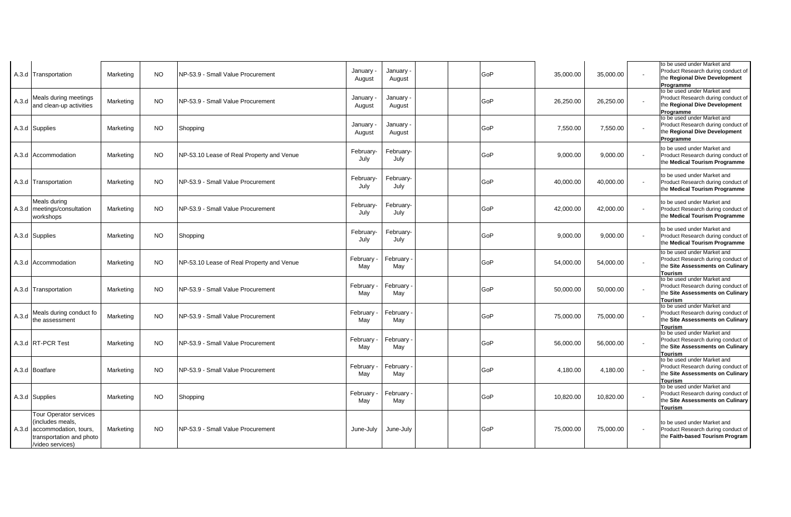|       | A.3.d Transportation                                                                                                      | Marketing | <b>NO</b> | NP-53.9 - Small Value Procurement         | January -<br>August | January<br>August | GoP | 35,000.00 | 35,000.00 |                | to be used under Market and<br>Product Research during conduct of<br>the Regional Dive Development                           |
|-------|---------------------------------------------------------------------------------------------------------------------------|-----------|-----------|-------------------------------------------|---------------------|-------------------|-----|-----------|-----------|----------------|------------------------------------------------------------------------------------------------------------------------------|
| A.3.d | Meals during meetings<br>and clean-up activities                                                                          | Marketing | NO.       | NP-53.9 - Small Value Procurement         | January -<br>August | January<br>August | GoP | 26,250.00 | 26,250.00 |                | Programme<br>to be used under Market and<br>Product Research during conduct of<br>the Regional Dive Development<br>Programme |
|       | A.3.d Supplies                                                                                                            | Marketing | NO.       | Shopping                                  | January -<br>August | January<br>August | GoP | 7,550.00  | 7,550.00  |                | to be used under Market and<br>Product Research during conduct of<br>the Regional Dive Development<br>Programme              |
|       | A.3.d Accommodation                                                                                                       | Marketing | NO.       | NP-53.10 Lease of Real Property and Venue | February-<br>July   | February-<br>July | GoP | 9,000.00  | 9,000.00  | $\blacksquare$ | to be used under Market and<br>Product Research during conduct of<br>the Medical Tourism Programme                           |
|       | A.3.d Transportation                                                                                                      | Marketing | NO.       | NP-53.9 - Small Value Procurement         | February-<br>July   | February-<br>July | GoP | 40,000.00 | 40,000.00 |                | to be used under Market and<br>Product Research during conduct of<br>the Medical Tourism Programme                           |
|       | Meals during<br>A.3.d meetings/consultation<br>workshops                                                                  | Marketing | NO.       | NP-53.9 - Small Value Procurement         | February-<br>July   | February-<br>July | GoP | 42,000.00 | 42,000.00 |                | to be used under Market and<br>Product Research during conduct of<br>the Medical Tourism Programme                           |
|       | A.3.d Supplies                                                                                                            | Marketing | NO.       | Shopping                                  | February-<br>July   | February-<br>July | GoP | 9.000.00  | 9,000.00  |                | to be used under Market and<br>Product Research during conduct of<br>the Medical Tourism Programme                           |
|       | A.3.d Accommodation                                                                                                       | Marketing | NO.       | NP-53.10 Lease of Real Property and Venue | February<br>May     | February<br>May   | GoP | 54,000.00 | 54,000.00 |                | to be used under Market and<br>Product Research during conduct of<br>the Site Assessments on Culinary<br>Tourism             |
|       | A.3.d Transportation                                                                                                      | Marketing | NO.       | NP-53.9 - Small Value Procurement         | February -<br>May   | February<br>May   | GoP | 50,000.00 | 50,000.00 |                | to be used under Market and<br>Product Research during conduct of<br>the Site Assessments on Culinary<br><b>Tourism</b>      |
| A.3.d | Meals during conduct fo<br>the assessment                                                                                 | Marketing | <b>NO</b> | NP-53.9 - Small Value Procurement         | February<br>May     | February<br>May   | GoP | 75,000.00 | 75,000.00 |                | to be used under Market and<br>Product Research during conduct of<br>the Site Assessments on Culinary<br><b>Tourism</b>      |
|       | A.3.d RT-PCR Test                                                                                                         | Marketing | <b>NO</b> | NP-53.9 - Small Value Procurement         | February<br>May     | February<br>May   | GoP | 56,000.00 | 56,000.00 |                | to be used under Market and<br>Product Research during conduct of<br>the Site Assessments on Culinary<br><b>Tourism</b>      |
|       | A.3.d Boatfare                                                                                                            | Marketing | NO.       | NP-53.9 - Small Value Procurement         | February -<br>May   | February ·<br>May | GoP | 4,180.00  | 4,180.00  |                | to be used under Market and<br>Product Research during conduct of<br>the Site Assessments on Culinary<br><b>Tourism</b>      |
|       | A.3.d Supplies                                                                                                            | Marketing | NO.       | Shopping                                  | February<br>May     | February<br>May   | GoP | 10,820.00 | 10,820.00 |                | to be used under Market and<br>Product Research during conduct of<br>the Site Assessments on Culinary<br>Tourism             |
|       | Tour Operator services<br>(includes meals,<br>A.3.d accommodation, tours,<br>transportation and photo<br>/video services) | Marketing | NO.       | INP-53.9 - Small Value Procurement        | June-July           | June-July         | GoP | 75,000.00 | 75,000.00 |                | to be used under Market and<br>Product Research during conduct of<br>the Faith-based Tourism Program                         |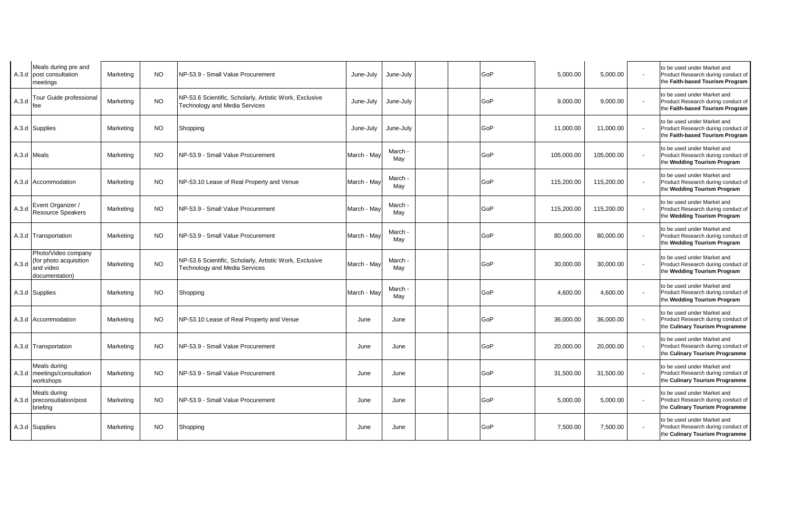|             | Meals during pre and<br>A.3.d post consultation<br>meetings                  | Marketing | NO.       | NP-53.9 - Small Value Procurement                                                               | June-July   | June-July      |  | GoP | 5,000.00   | 5,000.00   |                          | to be used under Market and<br>Product Research during conduct of<br>the Faith-based Tourism Program |
|-------------|------------------------------------------------------------------------------|-----------|-----------|-------------------------------------------------------------------------------------------------|-------------|----------------|--|-----|------------|------------|--------------------------|------------------------------------------------------------------------------------------------------|
| A.3.d       | Tour Guide professional<br>fee                                               | Marketing | <b>NO</b> | NP-53.6 Scientific, Scholarly, Artistic Work, Exclusive<br><b>Technology and Media Services</b> | June-July   | June-July      |  | GoP | 9,000.00   | 9,000.00   |                          | to be used under Market and<br>Product Research during conduct of<br>the Faith-based Tourism Program |
|             | A.3.d Supplies                                                               | Marketing | NO.       | Shopping                                                                                        | June-July   | June-July      |  | GoP | 11,000.00  | 11,000.00  |                          | to be used under Market and<br>Product Research during conduct of<br>the Faith-based Tourism Program |
| A.3.d Meals |                                                                              | Marketing | NO.       | NP-53.9 - Small Value Procurement                                                               | March - May | March<br>May   |  | GoP | 105,000.00 | 105,000.00 | $\overline{\phantom{a}}$ | to be used under Market and<br>Product Research during conduct of<br>the Wedding Tourism Program     |
|             | A.3.d Accommodation                                                          | Marketing | <b>NO</b> | NP-53.10 Lease of Real Property and Venue                                                       | March - May | March<br>May   |  | GoP | 115,200.00 | 115,200.00 |                          | to be used under Market and<br>Product Research during conduct of<br>the Wedding Tourism Program     |
| A.3.d       | Event Organizer /<br>Resource Speakers                                       | Marketing | NO.       | NP-53.9 - Small Value Procurement                                                               | March - May | March ·<br>May |  | GoP | 115,200.00 | 115,200.00 | $\overline{\phantom{0}}$ | to be used under Market and<br>Product Research during conduct of<br>the Wedding Tourism Program     |
|             | A.3.d Transportation                                                         | Marketing | <b>NO</b> | NP-53.9 - Small Value Procurement                                                               | March - Mav | March<br>May   |  | GoP | 80,000.00  | 80,000.00  | $\blacksquare$           | to be used under Market and<br>Product Research during conduct of<br>the Wedding Tourism Program     |
| A.3.d       | Photo/Video company<br>(for photo acquisition<br>and video<br>documentation) | Marketing | <b>NO</b> | NP-53.6 Scientific, Scholarly, Artistic Work, Exclusive<br>Technology and Media Services        | March - May | March<br>May   |  | GoP | 30,000.00  | 30,000.00  |                          | to be used under Market and<br>Product Research during conduct of<br>the Wedding Tourism Program     |
|             | A.3.d Supplies                                                               | Marketing | NO.       | Shopping                                                                                        | March - May | March<br>May   |  | GoP | 4,600.00   | 4,600.00   |                          | to be used under Market and<br>Product Research during conduct of<br>the Wedding Tourism Program     |
|             | A.3.d Accommodation                                                          | Marketing | NO.       | NP-53.10 Lease of Real Property and Venue                                                       | June        | June           |  | GoP | 36,000.00  | 36,000.00  |                          | to be used under Market and<br>Product Research during conduct of<br>the Culinary Tourism Programme  |
|             | A.3.d Transportation                                                         | Marketing | <b>NO</b> | NP-53.9 - Small Value Procurement                                                               | June        | June           |  | GoP | 20,000.00  | 20,000.00  | $\overline{\phantom{a}}$ | to be used under Market and<br>Product Research during conduct of<br>the Culinary Tourism Programme  |
|             | Meals during<br>A.3.d meetings/consultation<br>workshops                     | Marketing | <b>NO</b> | NP-53.9 - Small Value Procurement                                                               | June        | June           |  | GoP | 31,500.00  | 31,500.00  |                          | to be used under Market and<br>Product Research during conduct of<br>the Culinary Tourism Programme  |
|             | Meals during<br>A.3.d preconsultation/post<br>briefing                       | Marketing | NO.       | NP-53.9 - Small Value Procurement                                                               | June        | June           |  | GoP | 5,000.00   | 5,000.00   |                          | to be used under Market and<br>Product Research during conduct of<br>the Culinary Tourism Programme  |
|             | A.3.d Supplies                                                               | Marketing | <b>NO</b> | Shopping                                                                                        | June        | June           |  | GoP | 7,500.00   | 7,500.00   |                          | to be used under Market and<br>Product Research during conduct of<br>the Culinary Tourism Programme  |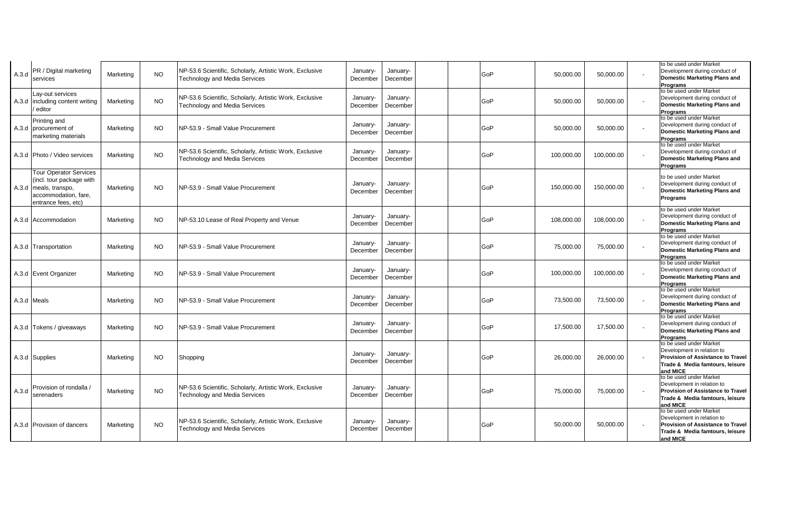| A.3.d       | PR / Digital marketing<br>services                                                                                                | Marketing | NO.       | NP-53.6 Scientific, Scholarly, Artistic Work, Exclusive<br><b>Technology and Media Services</b> | January-<br>December | January-<br>December | GoP | 50,000.00  | 50,000.00  | to be used under Market<br>Development during conduct of<br><b>Domestic Marketing Plans and</b><br>Programs                                      |
|-------------|-----------------------------------------------------------------------------------------------------------------------------------|-----------|-----------|-------------------------------------------------------------------------------------------------|----------------------|----------------------|-----|------------|------------|--------------------------------------------------------------------------------------------------------------------------------------------------|
|             | Lay-out services<br>A.3.d including content writing<br>editor                                                                     | Marketing | <b>NO</b> | NP-53.6 Scientific, Scholarly, Artistic Work, Exclusive<br><b>Technology and Media Services</b> | January-<br>December | January-<br>December | GoP | 50,000.00  | 50,000.00  | to be used under Market<br>Development during conduct of<br><b>Domestic Marketing Plans and</b><br>Programs                                      |
|             | Printing and<br>A.3.d procurement of<br>marketing materials                                                                       | Marketing | <b>NO</b> | NP-53.9 - Small Value Procurement                                                               | January-<br>December | January-<br>December | GoP | 50,000.00  | 50,000.00  | to be used under Market<br>Development during conduct of<br><b>Domestic Marketing Plans and</b><br>Programs                                      |
|             | A.3.d Photo / Video services                                                                                                      | Marketing | <b>NO</b> | NP-53.6 Scientific, Scholarly, Artistic Work, Exclusive<br><b>Technology and Media Services</b> | January-<br>December | January-<br>December | GoP | 100,000.00 | 100,000.00 | to be used under Market<br>Development during conduct of<br><b>Domestic Marketing Plans and</b><br>Programs                                      |
|             | <b>Tour Operator Services</b><br>(incl. tour package with<br>A.3.d meals, transpo,<br>accommodation, fare,<br>entrance fees, etc) | Marketing | <b>NO</b> | NP-53.9 - Small Value Procurement                                                               | January-<br>December | January-<br>December | GoP | 150,000.00 | 150,000.00 | to be used under Market<br>Development during conduct of<br><b>Domestic Marketing Plans and</b><br>Programs                                      |
|             | A.3.d Accommodation                                                                                                               | Marketing | <b>NO</b> | NP-53.10 Lease of Real Property and Venue                                                       | January-<br>December | January-<br>December | GoP | 108,000.00 | 108,000.00 | to be used under Market<br>Development during conduct of<br><b>Domestic Marketing Plans and</b><br><b>Programs</b>                               |
|             | A.3.d Transportation                                                                                                              | Marketing | <b>NO</b> | NP-53.9 - Small Value Procurement                                                               | January-<br>December | January-<br>December | GoP | 75,000.00  | 75,000.00  | to be used under Market<br>Development during conduct of<br><b>Domestic Marketing Plans and</b><br>Programs                                      |
|             | A.3.d Event Organizer                                                                                                             | Marketing | <b>NO</b> | NP-53.9 - Small Value Procurement                                                               | January-<br>December | January-<br>December | GoP | 100,000.00 | 100,000.00 | to be used under Market<br>Development during conduct of<br><b>Domestic Marketing Plans and</b><br><b>Programs</b>                               |
| A.3.d Meals |                                                                                                                                   | Marketing | NO.       | NP-53.9 - Small Value Procurement                                                               | January-<br>December | January-<br>December | GoP | 73,500.00  | 73,500.00  | to be used under Market<br>Development during conduct of<br><b>Domestic Marketing Plans and</b><br><b>Programs</b>                               |
|             | A.3.d Tokens / giveaways                                                                                                          | Marketing | NO.       | INP-53.9 - Small Value Procurement                                                              | January-<br>December | January-<br>December | GoP | 17,500.00  | 17,500.00  | to be used under Market<br>Development during conduct of<br><b>Domestic Marketing Plans and</b><br><b>Programs</b>                               |
|             | A.3.d Supplies                                                                                                                    | Marketing | NO.       | Shopping                                                                                        | January-<br>December | January-<br>December | GoP | 26,000.00  | 26,000.00  | to be used under Market<br>Development in relation to<br><b>Provision of Assistance to Travel</b><br>Trade & Media famtours, leisure<br>and MICE |
| A.3.d       | Provision of rondalla /<br>serenaders                                                                                             | Marketing | <b>NO</b> | NP-53.6 Scientific, Scholarly, Artistic Work, Exclusive<br><b>Technology and Media Services</b> | January-<br>December | January-<br>December | GoP | 75,000.00  | 75,000.00  | to be used under Market<br>Development in relation to<br><b>Provision of Assistance to Travel</b><br>Trade & Media famtours, leisure<br>and MICE |
|             | A.3.d Provision of dancers                                                                                                        | Marketing | <b>NO</b> | NP-53.6 Scientific, Scholarly, Artistic Work, Exclusive<br><b>Technology and Media Services</b> | January-<br>December | January-<br>December | GoP | 50,000.00  | 50,000.00  | to be used under Market<br>Development in relation to<br><b>Provision of Assistance to Travel</b><br>Trade & Media famtours, leisure<br>and MICE |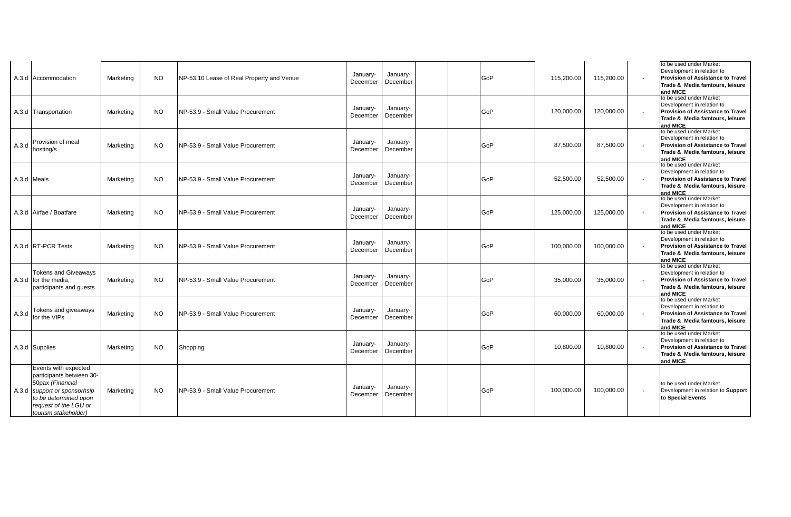|             | A.3.d Accommodation                                                                                                                                                            | Marketing | <b>NO</b> | NP-53.10 Lease of Real Property and Venue | January-<br>December | January-<br>December |  | GoP | 115,200.00 | 115,200.00 | to be used under Market<br>Development in relation to<br><b>Provision of Assistance to Travel</b><br>Trade & Media famtours, leisure<br>and MICE |
|-------------|--------------------------------------------------------------------------------------------------------------------------------------------------------------------------------|-----------|-----------|-------------------------------------------|----------------------|----------------------|--|-----|------------|------------|--------------------------------------------------------------------------------------------------------------------------------------------------|
|             | A.3.d Transportation                                                                                                                                                           | Marketing | NO.       | INP-53.9 - Small Value Procurement        | January-<br>December | January-<br>December |  | GoP | 120.000.00 | 120,000.00 | to be used under Market<br>Development in relation to<br><b>Provision of Assistance to Travel</b><br>Trade & Media famtours, leisure<br>and MICE |
| A.3.d       | Provision of meal<br>hosting/s                                                                                                                                                 | Marketing | <b>NO</b> | NP-53.9 - Small Value Procurement         | January-<br>December | January-<br>December |  | GoP | 87,500.00  | 87,500.00  | to be used under Market<br>Development in relation to<br><b>Provision of Assistance to Travel</b><br>Trade & Media famtours, leisure<br>and MICE |
| A.3.d Meals |                                                                                                                                                                                | Marketing | NO.       | NP-53.9 - Small Value Procurement         | January-<br>December | January-<br>December |  | GoP | 52,500.00  | 52,500.00  | to be used under Market<br>Development in relation to<br><b>Provision of Assistance to Travel</b><br>Trade & Media famtours, leisure<br>and MICE |
|             | A.3.d Airfae / Boatfare                                                                                                                                                        | Marketing | NO.       | INP-53.9 - Small Value Procurement        | January-<br>December | January-<br>December |  | GoP | 125,000.00 | 125,000.00 | to be used under Market<br>Development in relation to<br><b>Provision of Assistance to Travel</b><br>Trade & Media famtours, leisure<br>and MICE |
|             | A.3.d RT-PCR Tests                                                                                                                                                             | Marketing | <b>NO</b> | INP-53.9 - Small Value Procurement        | January-<br>December | January-<br>December |  | GoP | 100,000.00 | 100,000.00 | to be used under Market<br>Development in relation to<br>Provision of Assistance to Travel<br>Trade & Media famtours, leisure<br>and MICE        |
|             | <b>Tokens and Giveawavs</b><br>A.3.d for the media,<br>participants and quests                                                                                                 | Marketing | NO.       | NP-53.9 - Small Value Procurement         | January-<br>December | January-<br>December |  | GoP | 35,000.00  | 35,000.00  | to be used under Market<br>Development in relation to<br><b>Provision of Assistance to Travel</b><br>Trade & Media famtours, leisure<br>and MICE |
| A.3.d       | Tokens and giveaways<br>for the VIPs                                                                                                                                           | Marketing | <b>NO</b> | INP-53.9 - Small Value Procurement        | January-<br>December | January-<br>December |  | GoP | 60,000.00  | 60,000.00  | to be used under Market<br>Development in relation to<br><b>Provision of Assistance to Travel</b><br>Trade & Media famtours, leisure<br>and MICE |
|             | A.3.d Supplies                                                                                                                                                                 | Marketing | NO.       | Shopping                                  | January-<br>December | January-<br>December |  | GoP | 10,800.00  | 10,800.00  | to be used under Market<br>Development in relation to<br><b>Provision of Assistance to Travel</b><br>Trade & Media famtours, leisure<br>and MICE |
|             | Events with expected<br>participants between 30-<br>50pax (Financial<br>A.3.d support or sponsorhsip<br>to be determined upon<br>request of the LGU or<br>tourism stakeholder) | Marketing | NO.       | INP-53.9 - Small Value Procurement        | January-<br>December | January-<br>December |  | GoP | 100,000.00 | 100,000.00 | to be used under Market<br>Development in relation to Support<br>to Special Events                                                               |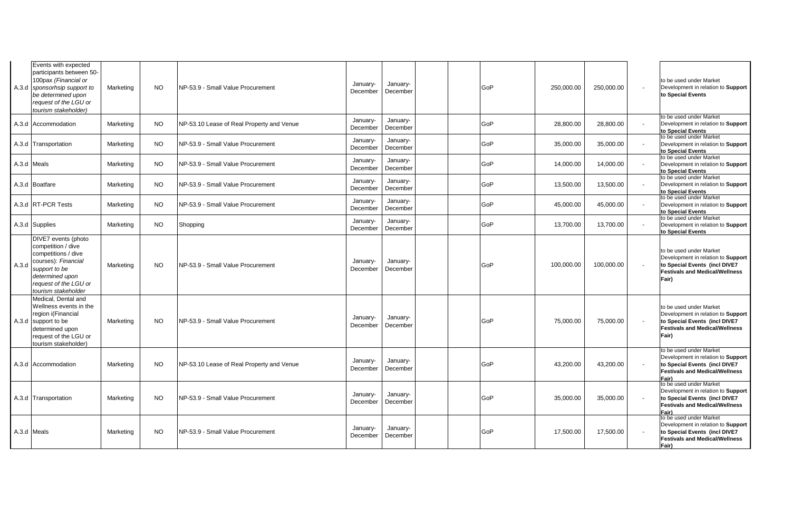| Events with expected<br>participants between 50-<br>100pax (Financial or<br>A.3.d sponsorhsip support to<br>be determined upon<br>request of the LGU or<br>tourism stakeholder)      | Marketing | NO.       | NP-53.9 - Small Value Procurement         | January-<br>December | January-<br>December | GoP | 250,000.00 | 250,000.00 | to be used under Market<br>Development in relation to Support<br>to Special Events                                                               |
|--------------------------------------------------------------------------------------------------------------------------------------------------------------------------------------|-----------|-----------|-------------------------------------------|----------------------|----------------------|-----|------------|------------|--------------------------------------------------------------------------------------------------------------------------------------------------|
| A.3.d Accommodation                                                                                                                                                                  | Marketing | <b>NO</b> | NP-53.10 Lease of Real Property and Venue | January-<br>December | January-<br>December | GoP | 28,800.00  | 28,800.00  | to be used under Market<br>Development in relation to Support<br>to Special Events                                                               |
| A.3.d Transportation                                                                                                                                                                 | Marketing | <b>NO</b> | NP-53.9 - Small Value Procurement         | January-<br>December | January-<br>December | GoP | 35,000.00  | 35,000.00  | to be used under Market<br>Development in relation to Support<br>to Special Events                                                               |
| A.3.d Meals                                                                                                                                                                          | Marketing | <b>NO</b> | NP-53.9 - Small Value Procurement         | January-<br>December | January-<br>December | GoP | 14,000.00  | 14,000.00  | to be used under Market<br>Development in relation to Support<br>to Special Events                                                               |
| A.3.d Boatfare                                                                                                                                                                       | Marketing | NO.       | NP-53.9 - Small Value Procurement         | January-<br>December | January-<br>December | GoP | 13,500.00  | 13,500.00  | to be used under Market<br>Development in relation to Support<br>to Special Events                                                               |
| A.3.d RT-PCR Tests                                                                                                                                                                   | Marketing | <b>NO</b> | NP-53.9 - Small Value Procurement         | January-<br>December | January-<br>December | GoP | 45,000.00  | 45,000.00  | to be used under Market<br>Development in relation to Support<br>to Special Events                                                               |
| A.3.d Supplies                                                                                                                                                                       | Marketing | NO.       | Shopping                                  | January-<br>December | January-<br>December | GoP | 13,700.00  | 13,700.00  | to be used under Market<br>Development in relation to Support<br>to Special Events                                                               |
| DIVE7 events (photo<br>competition / dive<br>competitions / dive<br>courses): Financial<br>A.3.d<br>support to be<br>determined upon<br>request of the LGU or<br>tourism stakeholder | Marketing | <b>NO</b> | NP-53.9 - Small Value Procurement         | January-<br>December | January-<br>December | GoP | 100,000.00 | 100,000.00 | to be used under Market<br>Development in relation to Support<br>to Special Events (incl DIVE7<br><b>Festivals and Medical/Wellness</b><br>Fair) |
| Medical. Dental and<br>Wellness events in the<br>region i(Financial<br>A.3.d support to be<br>determined upon<br>request of the LGU or<br>tourism stakeholder)                       | Marketing | <b>NO</b> | NP-53.9 - Small Value Procurement         | January-<br>December | January-<br>December | GoP | 75,000.00  | 75,000.00  | to be used under Market<br>Development in relation to Support<br>to Special Events (incl DIVE7<br><b>Festivals and Medical/Wellness</b><br>Fair) |
| A.3.d Accommodation                                                                                                                                                                  | Marketing | <b>NO</b> | NP-53.10 Lease of Real Property and Venue | January-<br>December | January-<br>December | GoP | 43,200.00  | 43,200.00  | to be used under Market<br>Development in relation to Support<br>to Special Events (incl DIVE7<br><b>Festivals and Medical/Wellness</b><br>Fair) |
| A.3.d Transportation                                                                                                                                                                 | Marketing | <b>NO</b> | NP-53.9 - Small Value Procurement         | January-<br>December | January-<br>December | GoP | 35,000.00  | 35.000.00  | to be used under Market<br>Development in relation to Support<br>to Special Events (incl DIVE7<br><b>Festivals and Medical/Wellness</b><br>Fair) |
| A.3.d Meals                                                                                                                                                                          | Marketing | NO.       | NP-53.9 - Small Value Procurement         | January-<br>December | January-<br>December | GoP | 17,500.00  | 17,500.00  | to be used under Market<br>Development in relation to Support<br>to Special Events (incl DIVE7<br><b>Festivals and Medical/Wellness</b><br>Fair) |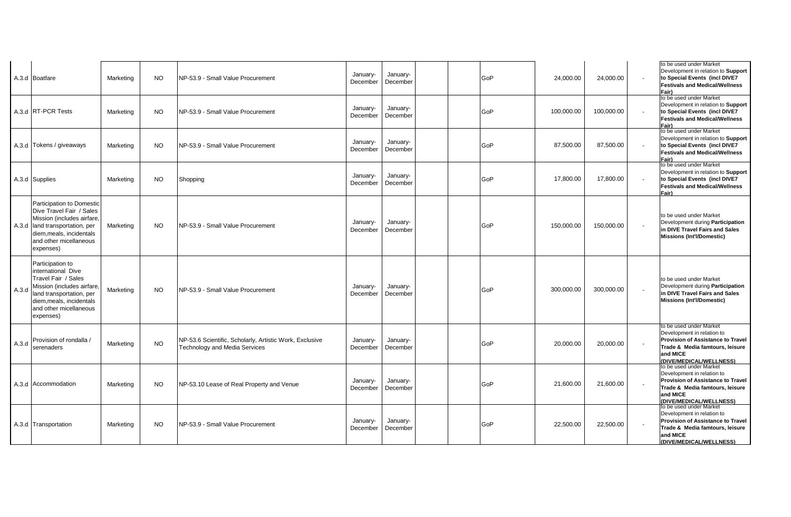|       | A.3.d Boatfare                                                                                                                                                                             | Marketing | <b>NO</b> | NP-53.9 - Small Value Procurement                                                               | January-<br>December | January-<br>December | GoP | 24,000.00  | 24,000.00  |                          | to be used under Market<br>Development in relation to Support<br>to Special Events (incl DIVE7<br><b>Festivals and Medical/Wellness</b><br>Fair)                                                       |
|-------|--------------------------------------------------------------------------------------------------------------------------------------------------------------------------------------------|-----------|-----------|-------------------------------------------------------------------------------------------------|----------------------|----------------------|-----|------------|------------|--------------------------|--------------------------------------------------------------------------------------------------------------------------------------------------------------------------------------------------------|
|       | A.3.d RT-PCR Tests                                                                                                                                                                         | Marketing | <b>NO</b> | NP-53.9 - Small Value Procurement                                                               | January-<br>December | January-<br>December | GoP | 100,000.00 | 100,000.00 |                          | to be used under Market<br>Development in relation to Support<br>to Special Events (incl DIVE7<br><b>Festivals and Medical/Wellness</b><br>Fair)                                                       |
|       | A.3.d Tokens / giveaways                                                                                                                                                                   | Marketing | <b>NO</b> | NP-53.9 - Small Value Procurement                                                               | January-<br>December | January-<br>December | GoP | 87,500.00  | 87,500.00  |                          | to be used under Market<br>Development in relation to Support<br>to Special Events (incl DIVE7<br><b>Festivals and Medical/Wellness</b><br>Fair)                                                       |
|       | A.3.d Supplies                                                                                                                                                                             | Marketing | <b>NO</b> | Shopping                                                                                        | January-<br>December | January-<br>December | GoP | 17,800.00  | 17,800.00  |                          | to be used under Market<br>Development in relation to Support<br>to Special Events (incl DIVE7<br><b>Festivals and Medical/Wellness</b><br>Fair)                                                       |
|       | Participation to Domestic<br>Dive Travel Fair / Sales<br>Mission (includes airfare.<br>A.3.d land transportation, per<br>diem.meals. incidentals<br>and other micellaneous<br>expenses)    | Marketing | <b>NO</b> | NP-53.9 - Small Value Procurement                                                               | January-<br>December | January-<br>December | GoP | 150,000.00 | 150,000.00 |                          | to be used under Market<br>Development during Participation<br>in DIVE Travel Fairs and Sales<br><b>Missions (Int'l/Domestic)</b>                                                                      |
| A.3.d | Participation to<br>international Dive<br>Travel Fair / Sales<br>Mission (includes airfare.<br>land transportation, per<br>diem, meals, incidentals<br>and other micellaneous<br>expenses) | Marketing | NO.       | NP-53.9 - Small Value Procurement                                                               | January-<br>December | January-<br>December | GoP | 300,000.00 | 300,000.00 | $\overline{\phantom{a}}$ | to be used under Market<br>Development during Participation<br>in DIVE Travel Fairs and Sales<br><b>Missions (Int'l/Domestic)</b>                                                                      |
| A.3.d | Provision of rondalla /<br>serenaders                                                                                                                                                      | Marketing | <b>NO</b> | NP-53.6 Scientific, Scholarly, Artistic Work, Exclusive<br><b>Technology and Media Services</b> | January-<br>December | January-<br>December | GoP | 20,000.00  | 20,000.00  |                          | to be used under Market<br>Development in relation to<br><b>Provision of Assistance to Travel</b><br>Trade & Media famtours, leisure<br>and MICE<br>(DIVE/MEDICAL/WELLNESS)<br>to be used under Market |
|       | A.3.d Accommodation                                                                                                                                                                        | Marketing | NO.       | NP-53.10 Lease of Real Property and Venue                                                       | January-<br>December | January-<br>December | GoP | 21,600.00  | 21,600.00  |                          | Development in relation to<br>Provision of Assistance to Travel<br>Trade & Media famtours, leisure<br>and MICE<br>(DIVE/MEDICAL/WELLNESS)                                                              |
|       | A.3.d Transportation                                                                                                                                                                       | Marketing | NO.       | NP-53.9 - Small Value Procurement                                                               | January-<br>December | January-<br>December | GoP | 22,500.00  | 22,500.00  |                          | to be used under Market<br>Development in relation to<br><b>Provision of Assistance to Travel</b><br>Trade & Media famtours, leisure<br>and MICE<br>(DIVE/MEDICAL/WELLNESS)                            |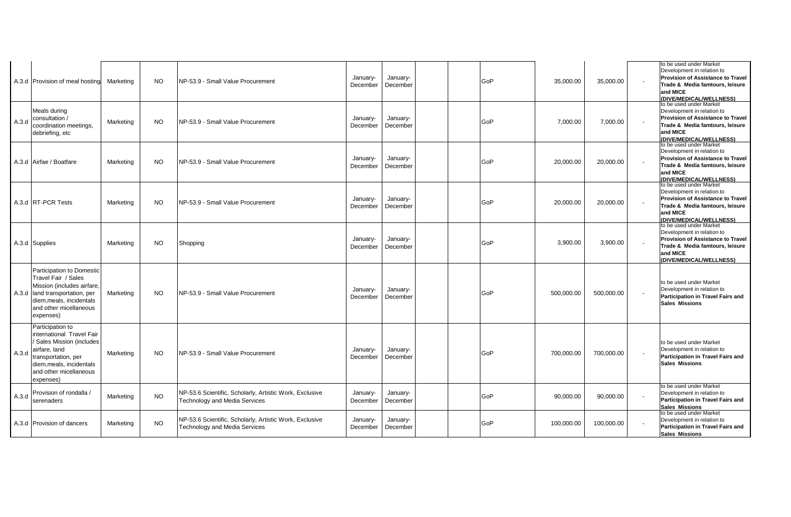|       | A.3.d Provision of meal hosting                                                                                                                                                           | Marketing | <b>NO</b> | NP-53.9 - Small Value Procurement                                                               | January-<br>December | January-<br>December | GoP | 35.000.00  | 35,000.00  | to be used under Market<br>Development in relation to<br><b>Provision of Assistance to Travel</b><br>Trade & Media famtours, leisure<br>and MICE<br>(DIVE/MEDICAL/WELLNESS)<br>to be used under Market |
|-------|-------------------------------------------------------------------------------------------------------------------------------------------------------------------------------------------|-----------|-----------|-------------------------------------------------------------------------------------------------|----------------------|----------------------|-----|------------|------------|--------------------------------------------------------------------------------------------------------------------------------------------------------------------------------------------------------|
| A.3.d | Meals during<br>consultation /<br>coordination meetings,<br>debriefing, etc                                                                                                               | Marketing | <b>NO</b> | NP-53.9 - Small Value Procurement                                                               | January-<br>December | January-<br>December | GoP | 7,000.00   | 7,000.00   | Development in relation to<br><b>Provision of Assistance to Travel</b><br>Trade & Media famtours, leisure<br>and MICE<br>(DIVE/MEDICAL/WELLNESS)                                                       |
|       | A.3.d Airfae / Boatfare                                                                                                                                                                   | Marketing | NO.       | INP-53.9 - Small Value Procurement                                                              | January-<br>December | January-<br>December | GoP | 20,000.00  | 20,000.00  | to be used under Market<br>Development in relation to<br><b>Provision of Assistance to Travel</b><br>Trade & Media famtours, leisure<br>and MICE<br>(DIVE/MEDICAL/WELLNESS)<br>to be used under Market |
|       | A.3.d RT-PCR Tests                                                                                                                                                                        | Marketing | <b>NO</b> | NP-53.9 - Small Value Procurement                                                               | January-<br>December | January-<br>December | GoP | 20.000.00  | 20,000.00  | Development in relation to<br><b>Provision of Assistance to Travel</b><br>Trade & Media famtours, leisure<br>and MICE<br>(DIVE/MEDICAL/WELLNESS)                                                       |
|       | A.3.d Supplies                                                                                                                                                                            | Marketing | <b>NO</b> | Shopping                                                                                        | January-<br>December | January-<br>December | GoP | 3,900.00   | 3,900.00   | to be used under Market<br>Development in relation to<br><b>Provision of Assistance to Travel</b><br>Trade & Media famtours, leisure<br>and MICE<br>(DIVE/MEDICAL/WELLNESS)                            |
|       | Participation to Domestic<br>Travel Fair / Sales<br>Mission (includes airfare,<br>A.3.d land transportation, per<br>diem, meals, incidentals<br>and other micellaneous<br>expenses)       | Marketing | <b>NO</b> | NP-53.9 - Small Value Procurement                                                               | January-<br>December | January-<br>December | GoP | 500,000.00 | 500,000.00 | to be used under Market<br>Development in relation to<br>Participation in Travel Fairs and<br><b>Sales Missions</b>                                                                                    |
| A.3.d | Participation to<br>international Travel Fair<br><b>Sales Mission (includes</b><br>airfare, land<br>transportation, per<br>diem,meals, incidentals<br>and other micellaneous<br>expenses) | Marketing | <b>NO</b> | NP-53.9 - Small Value Procurement                                                               | January-<br>December | January-<br>December | GoP | 700,000.00 | 700,000.00 | to be used under Market<br>Development in relation to<br>Participation in Travel Fairs and<br><b>Sales Missions</b>                                                                                    |
| A.3.d | Provision of rondalla /<br>serenaders                                                                                                                                                     | Marketing | <b>NO</b> | NP-53.6 Scientific, Scholarly, Artistic Work, Exclusive<br><b>Technology and Media Services</b> | January-<br>December | January-<br>December | GoP | 90,000.00  | 90,000.00  | to be used under Market<br>Development in relation to<br><b>Participation in Travel Fairs and</b><br><b>Sales Missions</b>                                                                             |
|       | A.3.d Provision of dancers                                                                                                                                                                | Marketing | NO.       | NP-53.6 Scientific, Scholarly, Artistic Work, Exclusive<br><b>Technology and Media Services</b> | January-<br>December | January-<br>December | GoP | 100,000.00 | 100,000.00 | to be used under Market<br>Development in relation to<br>Participation in Travel Fairs and<br><b>Sales Missions</b>                                                                                    |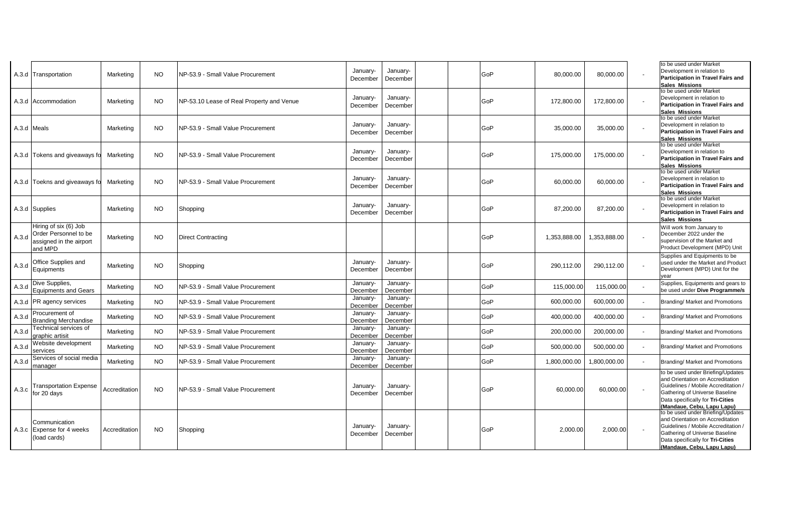|             | A.3.d Transportation                                                                 | Marketing     | NO.       | NP-53.9 - Small Value Procurement         | January-<br>December | January-<br>December | GoP | 80,000.00    | 80,000.00    | to be used under Market<br>Development in relation to<br>Participation in Travel Fairs and<br><b>Sales Missions</b>                                                                                              |
|-------------|--------------------------------------------------------------------------------------|---------------|-----------|-------------------------------------------|----------------------|----------------------|-----|--------------|--------------|------------------------------------------------------------------------------------------------------------------------------------------------------------------------------------------------------------------|
|             | A.3.d Accommodation                                                                  | Marketing     | <b>NO</b> | NP-53.10 Lease of Real Property and Venue | January-<br>December | January-<br>December | GoP | 172,800.00   | 172,800.00   | to be used under Market<br>Development in relation to<br>Participation in Travel Fairs and<br><b>Sales Missions</b>                                                                                              |
| A.3.d Meals |                                                                                      | Marketing     | <b>NO</b> | NP-53.9 - Small Value Procurement         | January-<br>December | January-<br>December | GoP | 35,000.00    | 35,000.00    | to be used under Market<br>Development in relation to<br>Participation in Travel Fairs and<br><b>Sales Missions</b>                                                                                              |
|             | A.3.d Tokens and giveaways fo                                                        | Marketing     | <b>NO</b> | NP-53.9 - Small Value Procurement         | January-<br>December | January-<br>December | GoP | 175,000.00   | 175,000.00   | to be used under Market<br>Development in relation to<br><b>Participation in Travel Fairs and</b><br><b>Sales Missions</b>                                                                                       |
|             | A.3.d Toekns and giveaways fo                                                        | Marketing     | <b>NO</b> | NP-53.9 - Small Value Procurement         | January-<br>December | January-<br>December | GoP | 60.000.00    | 60,000.00    | to be used under Market<br>Development in relation to<br>Participation in Travel Fairs and<br><b>Sales Missions</b>                                                                                              |
|             | A.3.d Supplies                                                                       | Marketing     | <b>NO</b> | Shopping                                  | January-<br>December | January-<br>December | GoP | 87,200.00    | 87,200.00    | to be used under Market<br>Development in relation to<br><b>Participation in Travel Fairs and</b><br><b>Sales Missions</b>                                                                                       |
| A.3.d       | Hiring of six (6) Job<br>Order Personnel to be<br>assigned in the airport<br>and MPD | Marketing     | <b>NO</b> | <b>Direct Contracting</b>                 |                      |                      | GoP | 1,353,888.00 | 1,353,888.00 | Will work from January to<br>December 2022 under the<br>supervision of the Market and<br>Product Development (MPD) Unit                                                                                          |
| A.3.d       | Office Supplies and<br>Equipments                                                    | Marketing     | <b>NO</b> | Shopping                                  | January-<br>December | January-<br>December | GoP | 290,112.00   | 290,112.00   | Supplies and Equipments to be<br>used under the Market and Product<br>Development (MPD) Unit for the<br>vear                                                                                                     |
| A.3.d       | Dive Supplies,<br><b>Equipments and Gears</b>                                        | Marketing     | <b>NO</b> | NP-53.9 - Small Value Procurement         | January-<br>December | January-<br>December | GoP | 115,000.00   | 115,000.00   | Supplies, Equipments and gears to<br>be used under Dive Programme/s                                                                                                                                              |
|             | A.3.d PR agency services                                                             | Marketing     | <b>NO</b> | NP-53.9 - Small Value Procurement         | January-<br>December | January-<br>December | GoP | 600,000.00   | 600,000.00   | Branding/ Market and Promotions                                                                                                                                                                                  |
| A.3.d       | Procurement of<br><b>Branding Merchandise</b>                                        | Marketing     | <b>NO</b> | NP-53.9 - Small Value Procurement         | January-<br>December | January-<br>December | GoP | 400,000.00   | 400,000.00   | Branding/ Market and Promotions                                                                                                                                                                                  |
| A.3.d       | <b>Technical services of</b><br>traphic artisit                                      | Marketing     | <b>NO</b> | NP-53.9 - Small Value Procurement         | January-<br>December | January-<br>December | GoP | 200,000.00   | 200,000.00   | Branding/ Market and Promotions                                                                                                                                                                                  |
| A.3.d       | <b>Nebsite development</b><br>services                                               | Marketing     | <b>NO</b> | NP-53.9 - Small Value Procurement         | January-<br>December | January-<br>December | GoP | 500,000.00   | 500,000.00   | Branding/ Market and Promotions                                                                                                                                                                                  |
| A.3.d       | Services of social media<br>nanager                                                  | Marketing     | <b>NO</b> | NP-53.9 - Small Value Procurement         | January-<br>December | January-<br>December | GoP | 1,800,000.00 | 1,800,000.00 | Branding/ Market and Promotions                                                                                                                                                                                  |
| A.3.c       | <b>Fransportation Expense</b><br>for 20 days                                         | Accreditation | <b>NO</b> | NP-53.9 - Small Value Procurement         | January-<br>December | January-<br>December | GoP | 60,000.00    | 60,000.00    | to be used under Briefing/Updates<br>and Orientation on Accreditation<br>Guidelines / Mobile Accreditation /<br>Gathering of Universe Baseline<br>Data specifically for Tri-Cities<br>(Mandaue, Cebu, Lapu Lapu) |
|             | Communication<br>A.3.c Expense for 4 weeks<br>load cards)                            | Accreditation | NO.       | Shopping                                  | January-<br>December | January-<br>December | GoP | 2,000.00     | 2,000.00     | to be used under Briefing/Updates<br>and Orientation on Accreditation<br>Guidelines / Mobile Accreditation /<br>Gathering of Universe Baseline<br>Data specifically for Tri-Cities<br>(Mandaue, Cebu, Lapu Lapu) |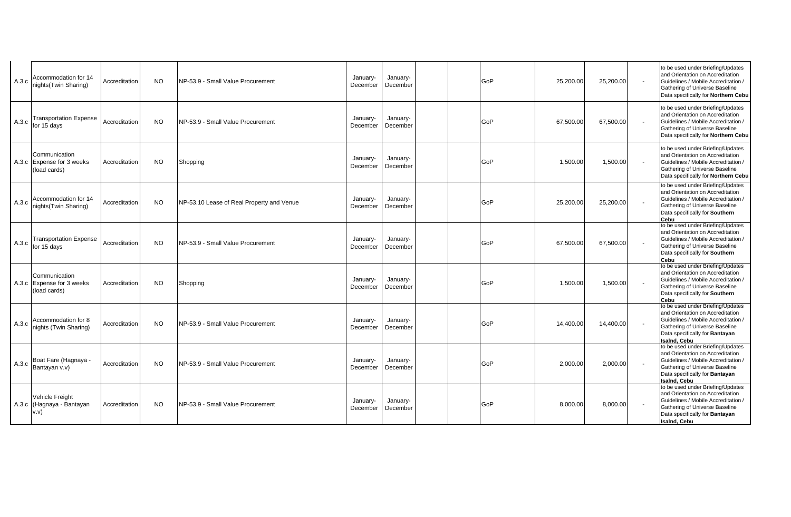| A.3.c | <b>Accommodation for 14</b><br>nights(Twin Sharing)         | Accreditation | <b>NO</b> | NP-53.9 - Small Value Procurement         | January-<br>December | January-<br>December | GoP | 25,200.00 | 25,200.00 | $\sim$ | to be used under Briefing/Updates<br>and Orientation on Accreditation<br>Guidelines / Mobile Accreditation /<br>Gathering of Universe Baseline<br>Data specifically for Northern Cebu                   |
|-------|-------------------------------------------------------------|---------------|-----------|-------------------------------------------|----------------------|----------------------|-----|-----------|-----------|--------|---------------------------------------------------------------------------------------------------------------------------------------------------------------------------------------------------------|
| A.3.c | <b>Transportation Expense</b><br>for 15 days                | Accreditation | <b>NO</b> | NP-53.9 - Small Value Procurement         | January-<br>December | January-<br>December | GoP | 67.500.00 | 67,500.00 | $\sim$ | to be used under Briefing/Updates<br>and Orientation on Accreditation<br>Guidelines / Mobile Accreditation /<br>Gathering of Universe Baseline<br>Data specifically for Northern Cebu                   |
|       | Communication<br>A.3.c Expense for 3 weeks<br>(load cards)  | Accreditation | <b>NO</b> | Shopping                                  | January-<br>December | January-<br>December | GoP | 1,500.00  | 1,500.00  |        | to be used under Briefing/Updates<br>and Orientation on Accreditation<br>Guidelines / Mobile Accreditation /<br>Gathering of Universe Baseline<br>Data specifically for Northern Cebu                   |
| A.3.c | <b>Accommodation for 14</b><br>nights(Twin Sharing)         | Accreditation | <b>NO</b> | NP-53.10 Lease of Real Property and Venue | January-<br>December | January-<br>December | GoP | 25,200.00 | 25,200.00 | $\sim$ | to be used under Briefing/Updates<br>and Orientation on Accreditation<br>Guidelines / Mobile Accreditation /<br>Gathering of Universe Baseline<br>Data specifically for Southern<br>Cebu                |
| A.3.c | <b>Transportation Expense</b><br>for 15 days                | Accreditation | <b>NO</b> | NP-53.9 - Small Value Procurement         | January-<br>December | January-<br>December | GoP | 67,500.00 | 67,500.00 |        | to be used under Briefing/Updates<br>and Orientation on Accreditation<br>Guidelines / Mobile Accreditation /<br>Gathering of Universe Baseline<br>Data specifically for Southern<br>Cebu                |
|       | Communication<br>A.3.c Expense for 3 weeks<br>(load cards)  | Accreditation | <b>NO</b> | Shopping                                  | January-<br>December | January-<br>December | GoP | 1,500.00  | 1,500.00  |        | to be used under Briefing/Updates<br>and Orientation on Accreditation<br>Guidelines / Mobile Accreditation /<br>Gathering of Universe Baseline<br>Data specifically for Southern<br>Cebu                |
| A.3.c | Accommodation for 8<br>nights (Twin Sharing)                | Accreditation | <b>NO</b> | NP-53.9 - Small Value Procurement         | January-<br>December | January-<br>December | GoP | 14,400.00 | 14,400.00 |        | to be used under Briefing/Updates<br>and Orientation on Accreditation<br>Guidelines / Mobile Accreditation /<br>Gathering of Universe Baseline<br>Data specifically for Bantayan<br>Isalnd, Cebu        |
| A.3.c | Boat Fare (Hagnaya -<br>Bantayan v.v)                       | Accreditation | <b>NO</b> | NP-53.9 - Small Value Procurement         | January-<br>December | January-<br>December | GoP | 2.000.00  | 2,000.00  |        | to be used under Briefing/Updates<br>and Orientation on Accreditation<br>Guidelines / Mobile Accreditation /<br>Gathering of Universe Baseline<br>Data specifically for Bantayan<br><b>Isaind, Cebu</b> |
|       | <b>Vehicle Freight</b><br>A.3.c (Hagnaya - Bantayan<br>v.v) | Accreditation | <b>NO</b> | NP-53.9 - Small Value Procurement         | January-<br>December | January-<br>December | GoP | 8,000.00  | 8,000.00  |        | to be used under Briefing/Updates<br>and Orientation on Accreditation<br>Guidelines / Mobile Accreditation /<br>Gathering of Universe Baseline<br>Data specifically for Bantayan<br>Isalnd, Cebu        |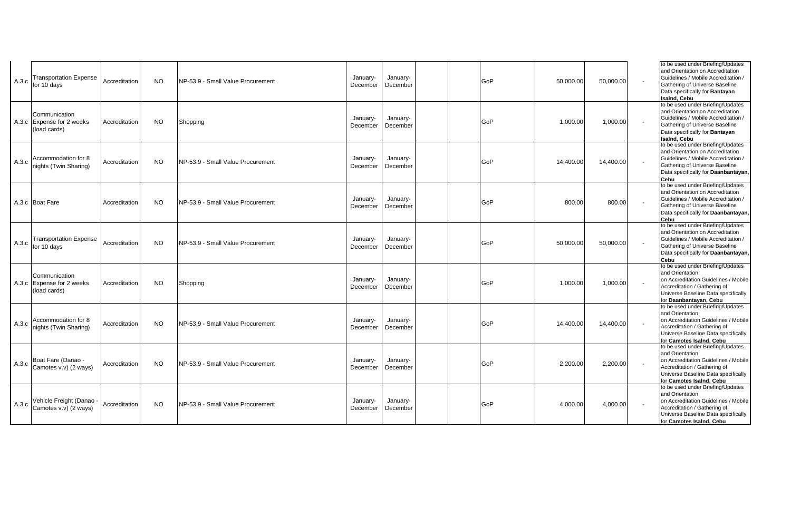| A.3.c | <b>Transportation Expense</b><br>for 10 days               | Accreditation | <b>NO</b> | NP-53.9 - Small Value Procurement | January-<br>December | January-<br>December | GoP        | 50,000.00 | 50,000.00 | to be used under Briefing/Updates<br>and Orientation on Accreditation<br>Guidelines / Mobile Accreditation /<br>Gathering of Universe Baseline<br>Data specifically for Bantayan<br><b>Isaind, Cebu</b> |
|-------|------------------------------------------------------------|---------------|-----------|-----------------------------------|----------------------|----------------------|------------|-----------|-----------|---------------------------------------------------------------------------------------------------------------------------------------------------------------------------------------------------------|
|       | Communication<br>A.3.c Expense for 2 weeks<br>(load cards) | Accreditation | <b>NO</b> | Shopping                          | January-<br>December | January-<br>December | GoP        | 1,000.00  | 1,000.00  | to be used under Briefing/Updates<br>and Orientation on Accreditation<br>Guidelines / Mobile Accreditation /<br>Gathering of Universe Baseline<br>Data specifically for Bantayan<br><b>Isaind, Cebu</b> |
| A.3.c | <b>Accommodation for 8</b><br>iights (Twin Sharing)        | Accreditation | <b>NO</b> | NP-53.9 - Small Value Procurement | January-<br>December | January-<br>December | GoP        | 14,400.00 | 14,400.00 | to be used under Briefing/Updates<br>and Orientation on Accreditation<br>Guidelines / Mobile Accreditation /<br>Gathering of Universe Baseline<br>Data specifically for Daanbantayan,<br>Cebu           |
|       | A.3.c Boat Fare                                            | Accreditation | <b>NO</b> | NP-53.9 - Small Value Procurement | January-<br>December | January-<br>December | <b>GoP</b> | 800.00    | 800.00    | to be used under Briefing/Updates<br>and Orientation on Accreditation<br>Guidelines / Mobile Accreditation /<br>Gathering of Universe Baseline<br>Data specifically for Daanbantayan,<br>Cebu           |
| A.3.c | <b>Transportation Expense</b><br>for 10 days               | Accreditation | <b>NO</b> | NP-53.9 - Small Value Procurement | January-<br>December | January-<br>December | GoP        | 50,000.00 | 50,000.00 | to be used under Briefing/Updates<br>and Orientation on Accreditation<br>Guidelines / Mobile Accreditation /<br>Gathering of Universe Baseline<br>Data specifically for Daanbantayan,<br>Cebu           |
|       | Communication<br>A.3.c Expense for 2 weeks<br>(load cards) | Accreditation | <b>NO</b> | Shopping                          | January-<br>December | January-<br>December | <b>GoP</b> | 1.000.00  | 1,000.00  | to be used under Briefing/Updates<br>and Orientation<br>on Accreditation Guidelines / Mobile<br>Accreditation / Gathering of<br>Universe Baseline Data specifically<br>for Daanbantayan, Cebu           |
| A.3.c | Accommodation for 8<br>hights (Twin Sharing)               | Accreditation | <b>NO</b> | NP-53.9 - Small Value Procurement | January-<br>December | January-<br>December | <b>GoP</b> | 14.400.00 | 14.400.00 | to be used under Briefing/Updates<br>and Orientation<br>on Accreditation Guidelines / Mobile<br>Accreditation / Gathering of<br>Universe Baseline Data specifically<br>for Camotes IsaInd, Cebu         |
| A.3.c | Boat Fare (Danao -<br>Camotes v.v) (2 ways)                | Accreditation | <b>NO</b> | NP-53.9 - Small Value Procurement | January-<br>December | January-<br>December | GoP        | 2,200.00  | 2,200.00  | to be used under Briefing/Updates<br>and Orientation<br>on Accreditation Guidelines / Mobile<br>Accreditation / Gathering of<br>Universe Baseline Data specifically<br>for Camotes Isaind, Cebu         |
| A.3.c | Vehicle Freight (Danao<br>Camotes v.v) (2 ways)            | Accreditation | <b>NO</b> | NP-53.9 - Small Value Procurement | January-<br>December | January-<br>December | GoP        | 4,000.00  | 4,000.00  | to be used under Briefing/Updates<br>and Orientation<br>on Accreditation Guidelines / Mobile<br>Accreditation / Gathering of<br>Universe Baseline Data specifically<br>for Camotes Isalnd, Cebu         |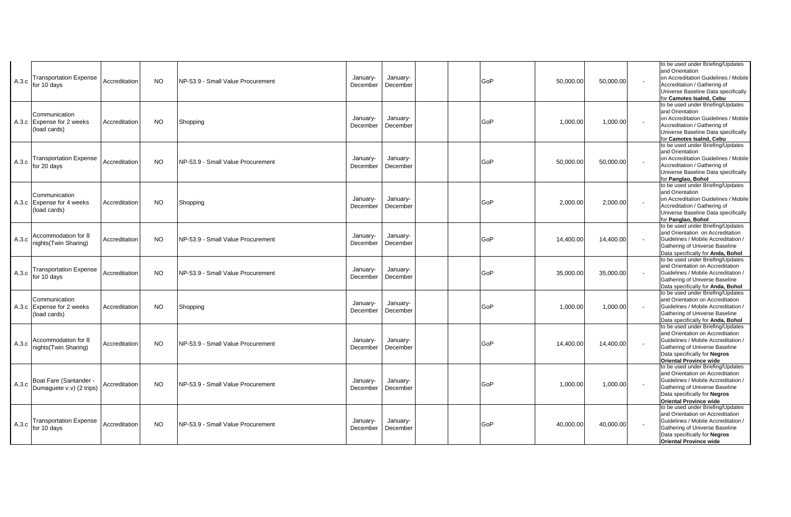| A.3.c | <b>Transportation Expense</b><br>for 10 days               | Accreditation | <b>NO</b> | NP-53.9 - Small Value Procurement | January-<br>December | January-<br>December | GoP | 50,000.00 | 50,000.00           | to be used under Briefing/Updates<br>and Orientation<br>on Accreditation Guidelines / Mobile<br>Accreditation / Gathering of<br>Universe Baseline Data specifically<br>for Camotes Isaind. Cebu                        |
|-------|------------------------------------------------------------|---------------|-----------|-----------------------------------|----------------------|----------------------|-----|-----------|---------------------|------------------------------------------------------------------------------------------------------------------------------------------------------------------------------------------------------------------------|
|       | Communication<br>A.3.c Expense for 2 weeks<br>(load cards) | Accreditation | NO.       | Shopping                          | January-<br>December | January-<br>December | GoP | 1,000.00  | 1,000.00            | to be used under Briefing/Updates<br>and Orientation<br>on Accreditation Guidelines / Mobile<br>Accreditation / Gathering of<br>Universe Baseline Data specifically<br>for Camotes Isalnd, Cebu                        |
| A.3.c | <b>Transportation Expense</b><br>for 20 days               | Accreditation | NO.       | NP-53.9 - Small Value Procurement | January-<br>December | January-<br>December | GoP | 50,000.00 | 50,000.00           | to be used under Briefing/Updates<br>and Orientation<br>on Accreditation Guidelines / Mobile<br>Accreditation / Gathering of<br>Universe Baseline Data specifically<br>for Panglao, Bohol                              |
|       | Communication<br>A.3.c Expense for 4 weeks<br>(load cards) | Accreditation | <b>NO</b> | Shopping                          | January-<br>December | January-<br>December | GoP | 2.000.00  | 2.000.00            | to be used under Briefing/Updates<br>and Orientation<br>on Accreditation Guidelines / Mobile<br>Accreditation / Gathering of<br>Universe Baseline Data specifically<br>for Panglao, Bohol                              |
| A.3.c | Accommodation for 8<br>nights(Twin Sharing)                | Accreditation | <b>NO</b> | NP-53.9 - Small Value Procurement | January-<br>December | January-<br>December | GoP | 14.400.00 | 14,400.00<br>$\sim$ | to be used under Briefing/Updates<br>and Orientation on Accreditation<br>Guidelines / Mobile Accreditation /<br>Gathering of Universe Baseline<br>Data specifically for Anda, Bohol                                    |
|       | <b>Transportation Expense</b><br>$A.3.c$ for 10 days       | Accreditation | <b>NO</b> | NP-53.9 - Small Value Procurement | January-<br>December | January-<br>December | GoP | 35,000.00 | 35,000.00<br>$\sim$ | to be used under Briefing/Updates<br>and Orientation on Accreditation<br>Guidelines / Mobile Accreditation /<br>Gathering of Universe Baseline<br>Data specifically for Anda, Bohol                                    |
|       | Communication<br>A.3.c Expense for 2 weeks<br>(load cards) | Accreditation | <b>NO</b> | Shopping                          | January-<br>December | January-<br>December | GoP | 1.000.00  | 1,000.00<br>$\sim$  | to be used under Briefing/Updates<br>and Orientation on Accreditation<br>Guidelines / Mobile Accreditation /<br>Gathering of Universe Baseline<br>Data specifically for Anda, Bohol                                    |
| A.3.c | Accommodation for 8<br>nights (Twin Sharing)               | Accreditation | NO.       | NP-53.9 - Small Value Procurement | January-<br>December | January-<br>December | GoP | 14,400.00 | 14,400.00           | to be used under Briefing/Updates<br>and Orientation on Accreditation<br>Guidelines / Mobile Accreditation /<br>Gathering of Universe Baseline<br>Data specifically for Negros<br><b>Oriental Province wide</b>        |
| A.3.c | Boat Fare (Santander<br>Dumaquete v.v) (2 trips)           | Accreditation | <b>NO</b> | NP-53.9 - Small Value Procurement | January-<br>December | January-<br>December | GoP | 1.000.00  | 1,000.00            | to be used under Briefing/Updates<br>and Orientation on Accreditation<br>Guidelines / Mobile Accreditation /<br>Gathering of Universe Baseline<br>Data specifically for Negros<br><b>Oriental Province wide</b>        |
| A.3.c | <b>Transportation Expense</b><br>for 10 days               | Accreditation | <b>NO</b> | NP-53.9 - Small Value Procurement | January-<br>December | January-<br>December | GoP | 40.000.00 | 40,000.00           | to be used under Briefing/Updates<br>and Orientation on Accreditation<br>Guidelines / Mobile Accreditation /<br>Gathering of Universe Baseline<br>Data specifically for <b>Negros</b><br><b>Oriental Province wide</b> |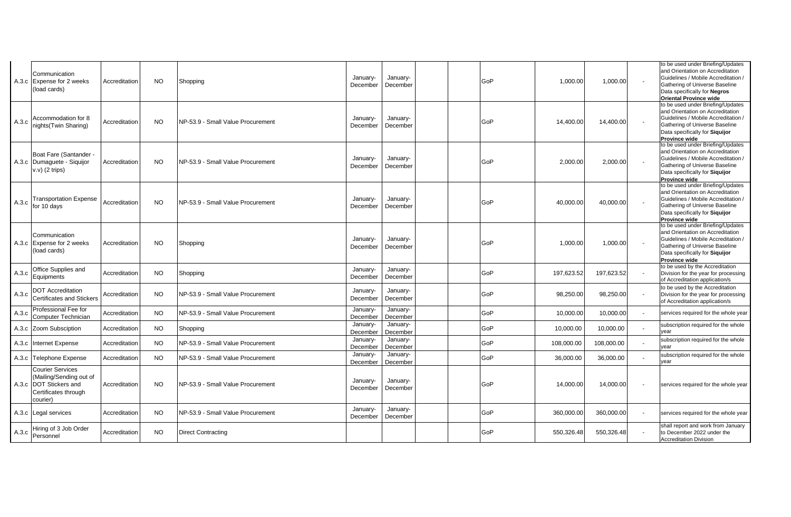|       | Communication<br>A.3.c Expense for 2 weeks<br>(load cards)                                                       | Accreditation | <b>NO</b> | Shopping                          | January-<br>December | January-<br>December | GoP | 1,000.00   | 1,000.00   | to be used under Briefing/Updates<br>and Orientation on Accreditation<br>Guidelines / Mobile Accreditation /<br>Gathering of Universe Baseline<br>Data specifically for <b>Negros</b><br><b>Oriental Province wide</b> |
|-------|------------------------------------------------------------------------------------------------------------------|---------------|-----------|-----------------------------------|----------------------|----------------------|-----|------------|------------|------------------------------------------------------------------------------------------------------------------------------------------------------------------------------------------------------------------------|
| A.3.c | Accommodation for 8<br>nights(Twin Sharing)                                                                      | Accreditation | NO.       | NP-53.9 - Small Value Procurement | January-<br>December | January-<br>December | GoP | 14,400.00  | 14,400.00  | to be used under Briefing/Updates<br>and Orientation on Accreditation<br>Guidelines / Mobile Accreditation /<br>Gathering of Universe Baseline<br>Data specifically for Siguijor<br><b>Province wide</b>               |
|       | Boat Fare (Santander -<br>A.3.c Dumaguete - Siquijor<br>$v.v)$ (2 trips)                                         | Accreditation | <b>NO</b> | NP-53.9 - Small Value Procurement | January-<br>December | January-<br>December | GoP | 2,000.00   | 2,000.00   | to be used under Briefing/Updates<br>and Orientation on Accreditation<br>Guidelines / Mobile Accreditation /<br>Gathering of Universe Baseline<br>Data specifically for Siquijor<br><b>Province wide</b>               |
| A.3.c | Transportation Expense<br>for 10 davs                                                                            | Accreditation | <b>NO</b> | NP-53.9 - Small Value Procurement | January-<br>December | January-<br>December | GoP | 40,000.00  | 40,000.00  | to be used under Briefing/Updates<br>and Orientation on Accreditation<br>Guidelines / Mobile Accreditation /<br>Gathering of Universe Baseline<br>Data specifically for Siquijor<br><b>Province wide</b>               |
|       | Communication<br>A.3.c Expense for 2 weeks<br>(load cards)                                                       | Accreditation | NO.       | Shopping                          | January-<br>December | January-<br>December | GoP | 1,000.00   | 1,000.00   | to be used under Briefing/Updates<br>and Orientation on Accreditation<br>Guidelines / Mobile Accreditation /<br>Gathering of Universe Baseline<br>Data specifically for Siquijor<br><b>Province wide</b>               |
| A.3.c | Office Supplies and<br>Equipments                                                                                | Accreditation | <b>NO</b> | Shopping                          | January-<br>December | January-<br>December | GoP | 197,623.52 | 197,623.52 | to be used by the Accreditation<br>Division for the year for processing<br>of Accreditation application/s                                                                                                              |
| A.3.c | <b>DOT Accreditation</b><br>Certificates and Stickers                                                            | Accreditation | <b>NO</b> | NP-53.9 - Small Value Procurement | January-<br>December | January-<br>December | GoP | 98,250.00  | 98,250.00  | to be used by the Accreditation<br>Division for the year for processing<br>of Accreditation application/s                                                                                                              |
| A.3.c | Professional Fee for<br>Computer Technician                                                                      | Accreditation | <b>NO</b> | NP-53.9 - Small Value Procurement | January-<br>December | January-<br>December | GoP | 10,000.00  | 10,000.00  | services required for the whole year                                                                                                                                                                                   |
|       | A.3.c Zoom Subsciption                                                                                           | Accreditation | <b>NO</b> | Shopping                          | January-<br>December | January-<br>December | GoP | 10,000.00  | 10,000.00  | subscription required for the whole<br>vear                                                                                                                                                                            |
|       | A.3.c Internet Expense                                                                                           | Accreditation | <b>NO</b> | NP-53.9 - Small Value Procurement | January-<br>December | January-<br>December | GoP | 108,000.00 | 108,000.00 | subscription required for the whole<br>vear                                                                                                                                                                            |
|       | A.3.c Telephone Expense                                                                                          | Accreditation | <b>NO</b> | NP-53.9 - Small Value Procurement | January-<br>December | January-<br>December | GoP | 36,000.00  | 36,000.00  | subscription required for the whole<br>vear                                                                                                                                                                            |
|       | <b>Courier Services</b><br>(Mailing/Sending out of<br>A.3.c DOT Stickers and<br>Certificates through<br>courier) | Accreditation | <b>NO</b> | NP-53.9 - Small Value Procurement | January-<br>December | January-<br>December | GoP | 14,000.00  | 14,000.00  | services required for the whole year                                                                                                                                                                                   |
|       | A.3.c Legal services                                                                                             | Accreditation | <b>NO</b> | NP-53.9 - Small Value Procurement | January-<br>December | January-<br>December | GoP | 360,000.00 | 360,000.00 | services required for the whole year                                                                                                                                                                                   |
| A.3.c | Hiring of 3 Job Order<br>Personnel                                                                               | Accreditation | <b>NO</b> | <b>Direct Contracting</b>         |                      |                      | GoP | 550,326.48 | 550,326.48 | shall report and work from January<br>to December 2022 under the<br><b>Accreditation Division</b>                                                                                                                      |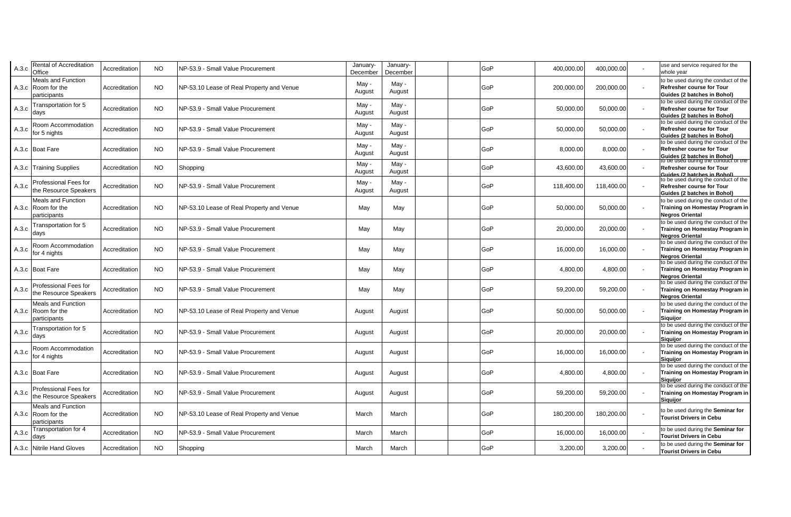| A.3.c | <b>Rental of Accreditation</b><br>Office                   | Accreditation | <b>NO</b> | NP-53.9 - Small Value Procurement         | January-<br>December | January-<br>Decembei | GoP | 400,000.00 | 400,000.00 | use and service required for the<br>whole year                                                                                                  |
|-------|------------------------------------------------------------|---------------|-----------|-------------------------------------------|----------------------|----------------------|-----|------------|------------|-------------------------------------------------------------------------------------------------------------------------------------------------|
|       | Meals and Function<br>A.3.c Room for the<br>participants   | Accreditation | <b>NO</b> | NP-53.10 Lease of Real Property and Venue | May -<br>August      | May -<br>August      | GoP | 200,000.00 | 200,000.00 | to be used during the conduct of the<br>Refresher course for Tour<br>Guides (2 batches in Bohol)                                                |
| A.3.c | Fransportation for 5<br>days                               | Accreditation | <b>NO</b> | NP-53.9 - Small Value Procurement         | May -<br>August      | May -<br>August      | GoP | 50,000.00  | 50,000.00  | to be used during the conduct of the<br><b>Refresher course for Tour</b><br><b>Guides (2 batches in Bohol)</b>                                  |
| A.3.c | Room Accommodation<br>for 5 nights                         | Accreditation | <b>NO</b> | NP-53.9 - Small Value Procurement         | May -<br>August      | May -<br>August      | GoP | 50,000.00  | 50,000.00  | to be used during the conduct of the<br>Refresher course for Tour<br>Guides (2 batches in Bohol)                                                |
|       | A.3.c Boat Fare                                            | Accreditation | <b>NO</b> | NP-53.9 - Small Value Procurement         | May -<br>August      | May -<br>August      | GoP | 8,000.00   | 8,000.00   | to be used during the conduct of the<br><b>Refresher course for Tour</b><br>Guides (2 batches in Bohol)<br>to be used during the conduct of the |
|       | A.3.c Training Supplies                                    | Accreditation | <b>NO</b> | Shopping                                  | May -<br>August      | May -<br>August      | GoP | 43,600.00  | 43,600.00  | Refresher course for Tour<br><b>Guides (2 batches in Bohol)</b>                                                                                 |
| A.3.c | <b>Professional Fees for</b><br>the Resource Speakers      | Accreditation | <b>NO</b> | NP-53.9 - Small Value Procurement         | May -<br>August      | May -<br>August      | GoP | 118,400.00 | 118,400.00 | to be used during the conduct of the<br><b>Refresher course for Tour</b><br>Guides (2 batches in Bohol)                                         |
|       | Meals and Function<br>A.3.c Room for the<br>participants   | Accreditation | <b>NO</b> | NP-53.10 Lease of Real Property and Venue | May                  | May                  | GoP | 50,000.00  | 50,000.00  | to be used during the conduct of the<br>Training on Homestay Program in<br><b>Negros Oriental</b>                                               |
| A.3.c | Fransportation for 5<br>days                               | Accreditation | <b>NO</b> | NP-53.9 - Small Value Procurement         | May                  | May                  | GoP | 20,000.00  | 20,000.00  | to be used during the conduct of the<br>Training on Homestay Program in<br><b>Negros Oriental</b>                                               |
| A.3.c | Room Accommodation<br>for 4 nights                         | Accreditation | <b>NO</b> | NP-53.9 - Small Value Procurement         | May                  | May                  | GoP | 16,000.00  | 16,000.00  | to be used during the conduct of the<br>Training on Homestay Program in<br><b>Negros Oriental</b>                                               |
|       | A.3.c Boat Fare                                            | Accreditation | NO.       | NP-53.9 - Small Value Procurement         | May                  | May                  | GoP | 4,800.00   | 4,800.00   | to be used during the conduct of the<br>Training on Homestay Program in<br><b>Nearos Oriental</b>                                               |
| A.3.c | Professional Fees for<br>the Resource Speakers             | Accreditation | <b>NO</b> | NP-53.9 - Small Value Procurement         | May                  | May                  | GoP | 59,200.00  | 59,200.00  | to be used during the conduct of the<br>Training on Homestay Program in<br><b>Negros Oriental</b>                                               |
|       | Meals and Function<br>A.3.c Room for the<br>participants   | Accreditation | <b>NO</b> | NP-53.10 Lease of Real Property and Venue | August               | August               | GoP | 50,000.00  | 50,000.00  | to be used during the conduct of the<br>Training on Homestay Program in<br><b>Siquijor</b>                                                      |
| A.3.c | Transportation for 5<br>days                               | Accreditation | <b>NO</b> | NP-53.9 - Small Value Procurement         | August               | August               | GoP | 20,000.00  | 20,000.00  | to be used during the conduct of the<br>Training on Homestay Program in<br><b>Siguiior</b>                                                      |
| A.3.c | Room Accommodation<br>for 4 nights                         | Accreditation | <b>NO</b> | NP-53.9 - Small Value Procurement         | August               | August               | GoP | 16,000.00  | 16,000.00  | to be used during the conduct of the<br>Training on Homestay Program in<br><b>Siquijor</b>                                                      |
|       | A.3.c Boat Fare                                            | Accreditation | <b>NO</b> | NP-53.9 - Small Value Procurement         | August               | August               | GoP | 4,800.00   | 4,800.00   | to be used during the conduct of the<br>Training on Homestay Program in<br><b>Siguijor</b>                                                      |
| A.3.c | <b>Professional Fees for</b><br>the Resource Speakers      | Accreditation | <b>NO</b> | NP-53.9 - Small Value Procurement         | August               | August               | GoP | 59,200.00  | 59,200.00  | to be used during the conduct of the<br>Training on Homestay Program in<br><b>Siguijor</b>                                                      |
|       | Meals and Function<br>A.3.c   Room for the<br>participants | Accreditation | <b>NO</b> | NP-53.10 Lease of Real Property and Venue | March                | March                | GoP | 180,200.00 | 180,200.00 | to be used during the Seminar for<br><b>Tourist Drivers in Cebu</b>                                                                             |
| A.3.c | Transportation for 4<br>davs                               | Accreditation | <b>NO</b> | NP-53.9 - Small Value Procurement         | March                | March                | GoP | 16,000.00  | 16,000.00  | to be used during the Seminar for<br><b>Tourist Drivers in Cebu</b>                                                                             |
|       | A.3.c Nitrile Hand Gloves                                  | Accreditation | <b>NO</b> | Shopping                                  | March                | March                | GoP | 3,200.00   | 3,200.00   | to be used during the Seminar for<br><b>Tourist Drivers in Cebu</b>                                                                             |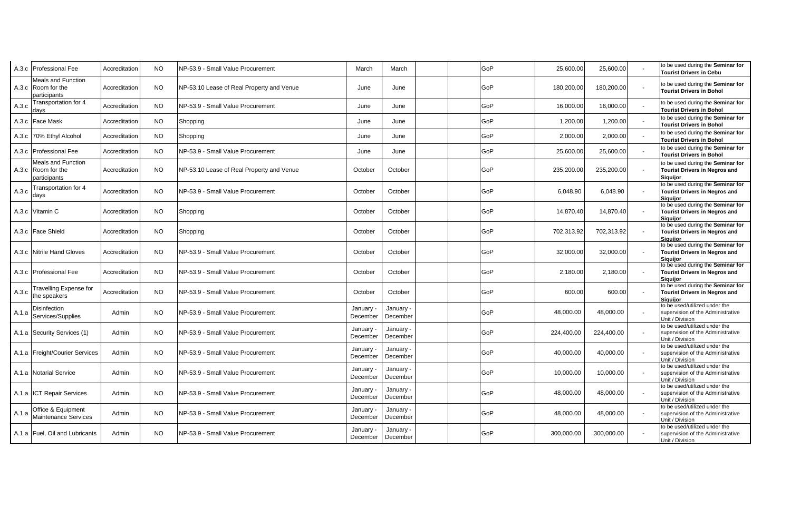|       | A.3.c Professional Fee                                          | Accreditation | <b>NO</b> | NP-53.9 - Small Value Procurement         | March                 | March                 | GoP | 25,600.00  | 25,600.00  | to be used during the Seminar for<br><b>Tourist Drivers in Cebu</b>                          |
|-------|-----------------------------------------------------------------|---------------|-----------|-------------------------------------------|-----------------------|-----------------------|-----|------------|------------|----------------------------------------------------------------------------------------------|
|       | <b>Meals and Function</b><br>A.3.c Room for the<br>participants | Accreditation | <b>NO</b> | NP-53.10 Lease of Real Property and Venue | June                  | June                  | GoP | 180,200.00 | 180,200.00 | to be used during the Seminar for<br><b>Tourist Drivers in Bohol</b>                         |
| A.3.c | <b>Fransportation for 4</b><br>davs                             | Accreditation | <b>NO</b> | NP-53.9 - Small Value Procurement         | June                  | June                  | GoP | 16,000.00  | 16,000.00  | to be used during the Seminar for<br><b>Tourist Drivers in Bohol</b>                         |
|       | A.3.c Face Mask                                                 | Accreditation | <b>NO</b> | Shopping                                  | June                  | June                  | GoP | 1,200.00   | 1,200.00   | to be used during the Seminar for<br><b>Tourist Drivers in Bohol</b>                         |
|       | A.3.c 70% Ethyl Alcohol                                         | Accreditation | <b>NO</b> | Shopping                                  | June                  | June                  | GoP | 2,000.00   | 2,000.00   | to be used during the Seminar for<br><b>Tourist Drivers in Bohol</b>                         |
|       | A.3.c Professional Fee                                          | Accreditation | <b>NO</b> | NP-53.9 - Small Value Procurement         | June                  | June                  | GoP | 25,600.00  | 25,600.00  | to be used during the Seminar for<br><b>Tourist Drivers in Bohol</b>                         |
|       | <b>Meals and Function</b><br>A.3.c Room for the<br>participants | Accreditation | <b>NO</b> | NP-53.10 Lease of Real Property and Venue | October               | October               | GoP | 235,200.00 | 235,200.00 | to be used during the Seminar for<br><b>Tourist Drivers in Negros and</b><br>Siquijor        |
| A.3.c | <b>Transportation for 4</b><br>days                             | Accreditation | <b>NO</b> | NP-53.9 - Small Value Procurement         | October               | October               | GoP | 6,048.90   | 6,048.90   | to be used during the Seminar for<br><b>Tourist Drivers in Negros and</b><br><b>Siguijor</b> |
|       | A.3.c Vitamin C                                                 | Accreditation | <b>NO</b> | Shopping                                  | October               | October               | GoP | 14,870.40  | 14,870.40  | to be used during the Seminar for<br><b>Tourist Drivers in Negros and</b><br><b>Siguiior</b> |
|       | A.3.c   Face Shield                                             | Accreditation | <b>NO</b> | Shopping                                  | October               | October               | GoP | 702,313.92 | 702,313.92 | to be used during the Seminar for<br><b>Tourist Drivers in Negros and</b><br><b>Siguiior</b> |
|       | A.3.c Nitrile Hand Gloves                                       | Accreditation | <b>NO</b> | NP-53.9 - Small Value Procurement         | October               | October               | GoP | 32,000.00  | 32,000.00  | to be used during the Seminar for<br><b>Tourist Drivers in Negros and</b><br><b>Siguiior</b> |
|       | A.3.c Professional Fee                                          | Accreditation | <b>NO</b> | NP-53.9 - Small Value Procurement         | October               | October               | GoP | 2,180.00   | 2,180.00   | to be used during the Seminar for<br><b>Tourist Drivers in Negros and</b><br><b>Siguiior</b> |
| A.3.c | <b>Travelling Expense for</b><br>the speakers                   | Accreditation | <b>NO</b> | NP-53.9 - Small Value Procurement         | October               | October               | GoP | 600.00     | 600.00     | to be used during the Seminar for<br><b>Tourist Drivers in Negros and</b><br><b>Siguijor</b> |
| A.1.a | Disinfection<br>Services/Supplies                               | Admin         | NO.       | NP-53.9 - Small Value Procurement         | January -<br>December | January ·<br>December | GoP | 48,000.00  | 48,000.00  | to be used/utilized under the<br>supervision of the Administrative<br>Unit / Division        |
|       | A.1.a Security Services (1)                                     | Admin         | <b>NO</b> | NP-53.9 - Small Value Procurement         | January -<br>December | January<br>December   | GoP | 224,400.00 | 224,400.00 | to be used/utilized under the<br>supervision of the Administrative<br>Unit / Division        |
|       | A.1.a Freight/Courier Services                                  | Admin         | <b>NO</b> | NP-53.9 - Small Value Procurement         | January -<br>December | January -<br>December | GoP | 40,000.00  | 40,000.00  | to be used/utilized under the<br>supervision of the Administrative<br>Unit / Division        |
|       | A.1.a Notarial Service                                          | Admin         | <b>NO</b> | NP-53.9 - Small Value Procurement         | January -<br>December | January -<br>December | GoP | 10,000.00  | 10,000.00  | to be used/utilized under the<br>supervision of the Administrative<br>Unit / Division        |
|       | A.1.a ICT Repair Services                                       | Admin         | NO.       | NP-53.9 - Small Value Procurement         | January -<br>December | January -<br>December | GoP | 48,000.00  | 48,000.00  | to be used/utilized under the<br>supervision of the Administrative<br>Unit / Division        |
| A.1.a | Office & Equipment<br>Maintenance Services                      | Admin         | <b>NO</b> | NP-53.9 - Small Value Procurement         | January -<br>December | January -<br>December | GoP | 48,000.00  | 48,000.00  | to be used/utilized under the<br>supervision of the Administrative<br>Unit / Division        |
|       | A.1.a   Fuel, Oil and Lubricants                                | Admin         | <b>NO</b> | NP-53.9 - Small Value Procurement         | January -<br>December | January -<br>December | GoP | 300,000.00 | 300,000.00 | to be used/utilized under the<br>supervision of the Administrative<br>Unit / Division        |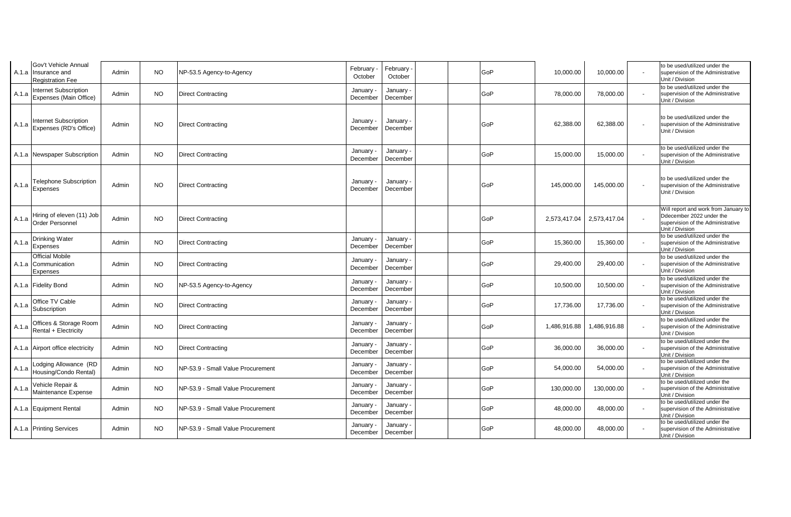|       | Gov't Vehicle Annual<br>A.1.a Insurance and<br><b>Registration Fee</b> | Admin | <b>NO</b> | NP-53.5 Agency-to-Agency          | February<br>October   | February<br>October   | GoP | 10,000.00    | 10,000.00    | to be used/utilized under the<br>supervision of the Administrative<br>Unit / Division                                    |
|-------|------------------------------------------------------------------------|-------|-----------|-----------------------------------|-----------------------|-----------------------|-----|--------------|--------------|--------------------------------------------------------------------------------------------------------------------------|
| A.1.a | <b>Internet Subscription</b><br>Expenses (Main Office)                 | Admin | <b>NO</b> | <b>Direct Contracting</b>         | January -<br>December | January<br>December   | GoP | 78,000.00    | 78,000.00    | to be used/utilized under the<br>supervision of the Administrative<br>Unit / Division                                    |
| A.1.a | <b>Internet Subscription</b><br>Expenses (RD's Office)                 | Admin | <b>NO</b> | <b>Direct Contracting</b>         | January -<br>December | January ·<br>December | GoP | 62,388.00    | 62,388.00    | to be used/utilized under the<br>supervision of the Administrative<br>Unit / Division                                    |
|       | A.1.a Newspaper Subscription                                           | Admin | <b>NO</b> | <b>Direct Contracting</b>         | January -<br>December | January ·<br>December | GoP | 15,000.00    | 15,000.00    | to be used/utilized under the<br>supervision of the Administrative<br>Unit / Division                                    |
| A.1.a | <b>Telephone Subscription</b><br>Expenses                              | Admin | <b>NO</b> | <b>Direct Contracting</b>         | January -<br>December | January ·<br>December | GoP | 145,000.00   | 145,000.00   | to be used/utilized under the<br>supervision of the Administrative<br>Unit / Division                                    |
| A.1.a | Hiring of eleven (11) Job<br><b>Order Personnel</b>                    | Admin | <b>NO</b> | <b>Direct Contracting</b>         |                       |                       | GoP | 2,573,417.04 | 2,573,417.04 | Will report and work from January to<br>Ddecember 2022 under the<br>supervision of the Administrative<br>Unit / Division |
| A.1.a | Drinking Water<br>Expenses                                             | Admin | NO.       | <b>Direct Contracting</b>         | January -<br>December | January -<br>December | GoP | 15,360.00    | 15,360.00    | to be used/utilized under the<br>supervision of the Administrative<br>Unit / Division                                    |
|       | <b>Official Mobile</b><br>A.1.a Communication<br>Expenses              | Admin | <b>NO</b> | <b>Direct Contracting</b>         | January -<br>December | January -<br>December | GoP | 29,400.00    | 29,400.00    | to be used/utilized under the<br>supervision of the Administrative<br>Unit / Division                                    |
|       | A.1.a Fidelity Bond                                                    | Admin | <b>NO</b> | NP-53.5 Agency-to-Agency          | January -<br>December | January -<br>December | GoP | 10,500.00    | 10,500.00    | to be used/utilized under the<br>supervision of the Administrative<br>Unit / Division                                    |
| A.1.a | Office TV Cable<br>Subscription                                        | Admin | <b>NO</b> | <b>Direct Contracting</b>         | January -<br>December | January -<br>December | GoP | 17,736.00    | 17,736.00    | to be used/utilized under the<br>supervision of the Administrative<br>Unit / Division                                    |
| A.1.a | Offices & Storage Room<br>Rental + Electricity                         | Admin | <b>NO</b> | <b>Direct Contracting</b>         | January -<br>December | January -<br>December | GoP | 1,486,916.88 | 1,486,916.88 | to be used/utilized under the<br>supervision of the Administrative<br>Unit / Division                                    |
|       | A.1.a Airport office electricity                                       | Admin | <b>NO</b> | <b>Direct Contracting</b>         | January -<br>December | January ·<br>December | GoP | 36,000.00    | 36,000.00    | to be used/utilized under the<br>supervision of the Administrative<br>Unit / Division                                    |
| A.1.a | Lodging Allowance (RD<br>Housing/Condo Rental)                         | Admin | <b>NO</b> | NP-53.9 - Small Value Procurement | January -<br>December | January -<br>December | GoP | 54,000.00    | 54,000.00    | to be used/utilized under the<br>supervision of the Administrative<br>Unit / Division                                    |
| A.1.a | Vehicle Repair &<br>Maintenance Expense                                | Admin | <b>NO</b> | NP-53.9 - Small Value Procurement | January -<br>December | January ·<br>December | GoP | 130,000.00   | 130,000.00   | to be used/utilized under the<br>supervision of the Administrative<br>Unit / Division                                    |
|       | A.1.a Equipment Rental                                                 | Admin | <b>NO</b> | NP-53.9 - Small Value Procurement | January -<br>December | January -<br>December | GoP | 48,000.00    | 48,000.00    | to be used/utilized under the<br>supervision of the Administrative<br>Unit / Division                                    |
|       | A.1.a Printing Services                                                | Admin | <b>NO</b> | NP-53.9 - Small Value Procurement | January ·<br>December | January -<br>December | GoP | 48,000.00    | 48,000.00    | to be used/utilized under the<br>supervision of the Administrative<br>Unit / Division                                    |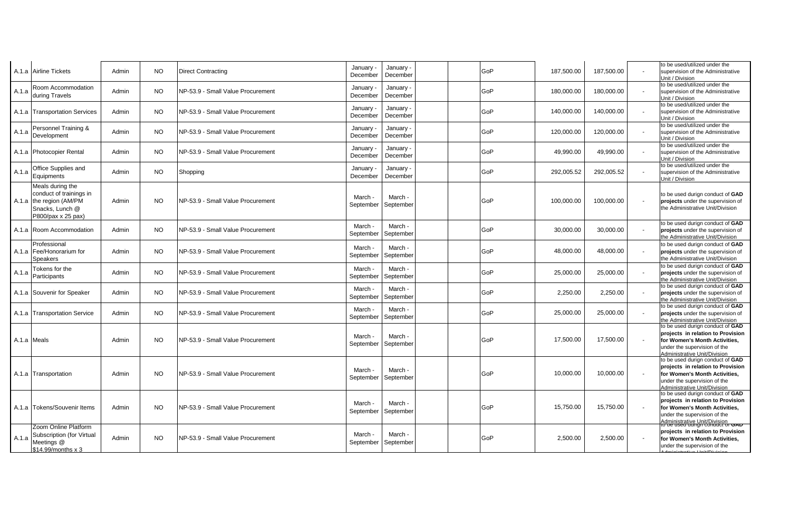|             | A.1.a  Airline Tickets                                                                                          | Admin | NO.       | <b>Direct Contracting</b>         | January -<br>December | January ·<br>December | GoP | 187,500.00 | 187,500.00 | to be used/utilized under the<br>supervision of the Administrative<br>Unit / Division                                                                                  |
|-------------|-----------------------------------------------------------------------------------------------------------------|-------|-----------|-----------------------------------|-----------------------|-----------------------|-----|------------|------------|------------------------------------------------------------------------------------------------------------------------------------------------------------------------|
| A.1.a       | Room Accommodation<br>during Travels                                                                            | Admin | NO.       | NP-53.9 - Small Value Procurement | January -<br>December | January -<br>December | GoP | 180.000.00 | 180.000.00 | to be used/utilized under the<br>supervision of the Administrative<br>Unit / Division                                                                                  |
|             | A.1.a Transportation Services                                                                                   | Admin | <b>NO</b> | NP-53.9 - Small Value Procurement | January -<br>December | January -<br>December | GoP | 140,000.00 | 140,000.00 | to be used/utilized under the<br>supervision of the Administrative<br>Unit / Division                                                                                  |
| A.1.a       | Personnel Training &<br>Development                                                                             | Admin | NO.       | NP-53.9 - Small Value Procurement | January -<br>December | January -<br>December | GoP | 120,000.00 | 120,000.00 | to be used/utilized under the<br>supervision of the Administrative<br>Unit / Division                                                                                  |
|             | A.1.a Photocopier Rental                                                                                        | Admin | <b>NO</b> | NP-53.9 - Small Value Procurement | January -<br>December | January -<br>December | GoP | 49,990.00  | 49,990.00  | to be used/utilized under the<br>supervision of the Administrative<br>Unit / Division                                                                                  |
| A.1.a       | Office Supplies and<br>Equipments                                                                               | Admin | <b>NO</b> | Shopping                          | January -<br>December | January ·<br>December | GoP | 292,005.52 | 292,005.52 | to be used/utilized under the<br>supervision of the Administrative<br>Unit / Division                                                                                  |
|             | Meals during the<br>conduct of trainings in<br>A.1.a the region (AM/PM<br>Snacks. Lunch @<br>P800/pax x 25 pax) | Admin | <b>NO</b> | NP-53.9 - Small Value Procurement | March -<br>September  | March -<br>September  | GoP | 100,000.00 | 100,000.00 | to be used durign conduct of GAD<br>projects under the supervision of<br>the Administrative Unit/Division                                                              |
|             | A.1.a Room Accommodation                                                                                        | Admin | <b>NO</b> | NP-53.9 - Small Value Procurement | March -<br>September  | March -<br>September  | GoP | 30,000.00  | 30,000.00  | to be used durign conduct of GAD<br>projects under the supervision of<br>the Administrative Unit/Division                                                              |
|             | Professional<br>A.1.a Fee/Honorarium for<br><b>Speakers</b>                                                     | Admin | <b>NO</b> | NP-53.9 - Small Value Procurement | March -<br>September  | March -<br>September  | GoP | 48.000.00  | 48.000.00  | to be used durign conduct of GAD<br>projects under the supervision of<br>the Administrative Unit/Division                                                              |
| A.1.a       | Tokens for the<br>Participants                                                                                  | Admin | <b>NO</b> | NP-53.9 - Small Value Procurement | March -<br>September  | March -<br>September  | GoP | 25,000.00  | 25,000.00  | to be used durign conduct of GAD<br>projects under the supervision of<br>the Administrative Unit/Division                                                              |
|             | A.1.a Souvenir for Speaker                                                                                      | Admin | NO.       | NP-53.9 - Small Value Procurement | March -<br>September  | March -<br>September  | GoP | 2,250.00   | 2,250.00   | to be used durign conduct of GAD<br>projects under the supervision of<br>the Administrative Unit/Division                                                              |
|             | 4.1.a Transportation Service                                                                                    | Admin | <b>NO</b> | NP-53.9 - Small Value Procurement | March -<br>September  | March -<br>September  | GoP | 25,000.00  | 25,000.00  | to be used durign conduct of GAD<br>projects under the supervision of<br>the Administrative Unit/Division                                                              |
| A.1.a Meals |                                                                                                                 | Admin | <b>NO</b> | NP-53.9 - Small Value Procurement | March -<br>September  | March -<br>September  | GoP | 17,500.00  | 17,500.00  | to be used durign conduct of GAD<br>projects in relation to Provision<br>for Women's Month Activities,<br>under the supervision of the<br>Administrative Unit/Division |
|             | A.1.a Transportation                                                                                            | Admin | <b>NO</b> | NP-53.9 - Small Value Procurement | March -<br>September  | March -<br>September  | GoP | 10,000.00  | 10,000.00  | to be used durign conduct of GAD<br>projects in relation to Provision<br>for Women's Month Activities,<br>under the supervision of the<br>Administrative Unit/Division |
|             | A.1.a Tokens/Souvenir Items                                                                                     | Admin | <b>NO</b> | NP-53.9 - Small Value Procurement | March -<br>September  | March -<br>September  | GoP | 15,750.00  | 15,750.00  | to be used durign conduct of GAD<br>projects in relation to Provision<br>for Women's Month Activities,<br>under the supervision of the<br>Administrative Unit/Division |
| A.1.a       | Zoom Online Platform<br>Subscription (for Virtual<br>Meetings @<br>\$14.99/months x 3                           | Admin | <b>NO</b> | NP-53.9 - Small Value Procurement | March -<br>September  | March -<br>September  | GoP | 2,500.00   | 2,500.00   | <del>üru AD</del><br>projects in relation to Provision<br>for Women's Month Activities.<br>under the supervision of the                                                |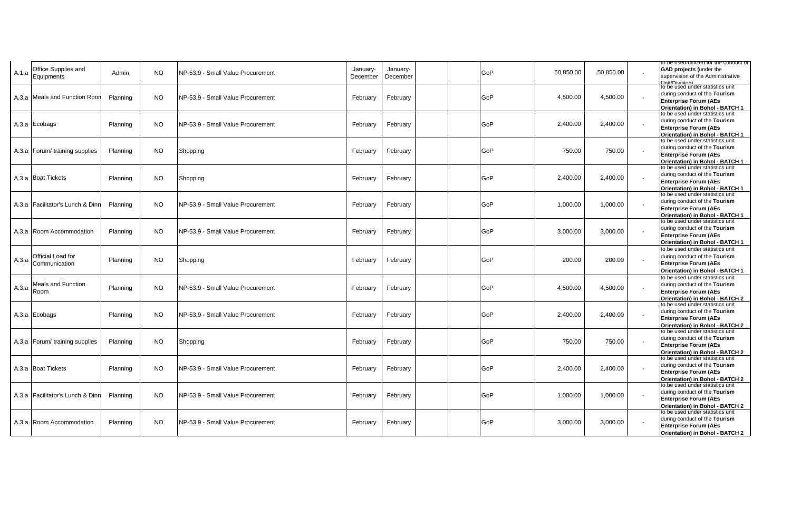|       |                                    |          |           |                                    |                      |                      |     |           |           | to be usea/utilized for the conduct of                                     |
|-------|------------------------------------|----------|-----------|------------------------------------|----------------------|----------------------|-----|-----------|-----------|----------------------------------------------------------------------------|
| A.1.a | Office Supplies and<br>Equipments  | Admin    | <b>NO</b> | NP-53.9 - Small Value Procurement  | January-<br>December | Januarv-<br>December | GoP | 50,850.00 | 50,850.00 | <b>GAD projects (under the</b><br>supervision of the Administrative        |
|       | A.3.a Meals and Function Roor      | Planning | <b>NO</b> | NP-53.9 - Small Value Procurement  | February             | February             | GoP | 4,500.00  | 4,500.00  | to be used under statistics unit<br>during conduct of the Tourism          |
|       |                                    |          |           |                                    |                      |                      |     |           |           | <b>Enterprise Forum (AEs</b><br>Orientation) in Bohol - BATCH 1            |
|       |                                    |          |           |                                    |                      |                      |     |           |           | to be used under statistics unit<br>during conduct of the Tourism          |
|       | A.3.a Ecobags                      | Planning | NO.       | NP-53.9 - Small Value Procurement  | February             | February             | GoP | 2,400.00  | 2,400.00  | <b>Enterprise Forum (AEs</b>                                               |
|       |                                    |          |           |                                    |                      |                      |     |           |           | <b>Orientation) in Bohol - BATCH 1</b><br>to be used under statistics unit |
|       |                                    |          |           |                                    |                      |                      |     |           |           | during conduct of the Tourism                                              |
|       | A.3.a Forum/ training supplies     | Planning | <b>NO</b> | Shopping                           | February             | February             | GoP | 750.00    | 750.00    | <b>Enterprise Forum (AEs</b>                                               |
|       |                                    |          |           |                                    |                      |                      |     |           |           | Orientation) in Bohol - BATCH 1<br>to be used under statistics unit        |
|       | A.3.a Boat Tickets                 | Planning | <b>NO</b> | Shopping                           | February             | February             | GoP | 2,400.00  | 2,400.00  | during conduct of the Tourism                                              |
|       |                                    |          |           |                                    |                      |                      |     |           |           | <b>Enterprise Forum (AEs</b>                                               |
|       |                                    |          |           |                                    |                      |                      |     |           |           | Orientation) in Bohol - BATCH 1<br>to be used under statistics unit        |
|       | A.3.a   Facilitator's Lunch & Dinr | Planning | NO.       | NP-53.9 - Small Value Procurement  | February             | February             | GoP | 1,000.00  | 1,000.00  | during conduct of the Tourism                                              |
|       |                                    |          |           |                                    |                      |                      |     |           |           | <b>Enterprise Forum (AEs</b><br>Orientation) in Bohol - BATCH 1            |
|       |                                    |          |           |                                    |                      |                      |     |           |           | to be used under statistics unit                                           |
|       | A.3.a Room Accommodation           | Planning | NO.       | NP-53.9 - Small Value Procurement  | February             | February             | GoP | 3,000.00  | 3,000.00  | during conduct of the Tourism                                              |
|       |                                    |          |           |                                    |                      |                      |     |           |           | <b>Enterprise Forum (AEs</b><br>Orientation) in Bohol - BATCH 1            |
|       |                                    |          |           |                                    |                      |                      |     |           |           | to be used under statistics unit                                           |
| A.3.a | Official Load for                  | Planning | <b>NO</b> | Shopping                           | February             | February             | GoP | 200.00    | 200.00    | during conduct of the Tourism                                              |
|       | Communication                      |          |           |                                    |                      |                      |     |           |           | <b>Enterprise Forum (AEs</b><br>Orientation) in Bohol - BATCH 1            |
|       |                                    |          |           |                                    |                      |                      |     |           |           | to be used under statistics unit                                           |
| A.3.a | Meals and Function                 | Planning | NO.       | INP-53.9 - Small Value Procurement | February             | February             | GoP | 4,500.00  | 4,500.00  | during conduct of the Tourism                                              |
|       | Room                               |          |           |                                    |                      |                      |     |           |           | <b>Enterprise Forum (AEs</b>                                               |
|       |                                    |          |           |                                    |                      |                      |     |           |           | Orientation) in Bohol - BATCH 2<br>to be used under statistics unit        |
|       | A.3.a Ecobags                      | Planning | NO.       | NP-53.9 - Small Value Procurement  | February             | February             | GoP | 2,400.00  | 2,400.00  | during conduct of the Tourism                                              |
|       |                                    |          |           |                                    |                      |                      |     |           |           | <b>Enterprise Forum (AEs</b><br>Orientation) in Bohol - BATCH 2            |
|       |                                    |          |           |                                    |                      |                      |     |           |           | to be used under statistics unit                                           |
|       | A.3.a Forum/ training supplies     | Planning | NO.       | Shopping                           | February             | February             | GoP | 750.00    | 750.00    | during conduct of the Tourism                                              |
|       |                                    |          |           |                                    |                      |                      |     |           |           | <b>Enterprise Forum (AEs</b><br>Orientation) in Bohol - BATCH 2            |
|       |                                    |          |           |                                    |                      |                      |     |           |           | to be used under statistics unit                                           |
|       | A.3.a Boat Tickets                 | Planning | <b>NO</b> | INP-53.9 - Small Value Procurement | February             | February             | GoP | 2,400.00  | 2,400.00  | during conduct of the Tourism                                              |
|       |                                    |          |           |                                    |                      |                      |     |           |           | <b>Enterprise Forum (AEs</b><br>Orientation) in Bohol - BATCH 2            |
|       |                                    |          |           |                                    |                      |                      |     |           |           | to be used under statistics unit                                           |
|       | A.3.a Facilitator's Lunch & Dinr   | Planning | NO.       | NP-53.9 - Small Value Procurement  | February             | February             | GoP | 1,000.00  | 1,000.00  | during conduct of the Tourism                                              |
|       |                                    |          |           |                                    |                      |                      |     |           |           | <b>Enterprise Forum (AEs</b><br>Orientation) in Bohol - BATCH 2            |
|       |                                    |          |           |                                    |                      |                      |     |           |           | to be used under statistics unit                                           |
|       | A.3.a Room Accommodation           | Planning | NO.       | NP-53.9 - Small Value Procurement  | February             | February             | GoP | 3,000.00  | 3,000.00  | during conduct of the Tourism<br><b>Enterprise Forum (AEs</b>              |
|       |                                    |          |           |                                    |                      |                      |     |           |           | Orientation) in Bohol - BATCH 2                                            |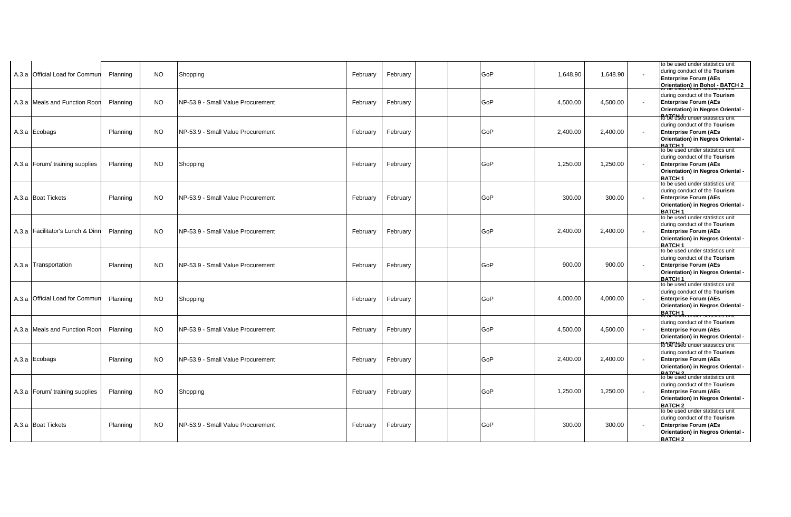| A.3.a Official Load for Commun   | Planning | <b>NO</b> | Shopping                          | February | February | GoP | 1,648.90 | 1,648.90 |        | to be used under statistics unit<br>during conduct of the Tourism<br><b>Enterprise Forum (AEs</b><br>Orientation) in Bohol - BATCH 2                     |
|----------------------------------|----------|-----------|-----------------------------------|----------|----------|-----|----------|----------|--------|----------------------------------------------------------------------------------------------------------------------------------------------------------|
| A.3.a Meals and Function Roor    | Planning | <b>NO</b> | NP-53.9 - Small Value Procurement | February | February | GoP | 4,500.00 | 4,500.00 |        | during conduct of the Tourism<br><b>Enterprise Forum (AEs</b><br>Orientation) in Negros Oriental -<br><b>R<sup>8</sup>BEUsea under statistics unit</b>   |
| A.3.a Ecobags                    | Planning | <b>NO</b> | NP-53.9 - Small Value Procurement | February | February | GoP | 2,400.00 | 2,400.00 |        | during conduct of the Tourism<br><b>Enterprise Forum (AEs</b><br>Orientation) in Negros Oriental -<br><b>BATCH 1</b>                                     |
| A.3.a Forum/ training supplies   | Planning | <b>NO</b> | Shopping                          | February | February | GoP | 1,250.00 | 1,250.00 |        | to be used under statistics unit<br>during conduct of the Tourism<br><b>Enterprise Forum (AEs</b><br>Orientation) in Negros Oriental -<br><b>BATCH1</b>  |
| A.3.a Boat Tickets               | Planning | <b>NO</b> | NP-53.9 - Small Value Procurement | February | February | GoP | 300.00   | 300.00   |        | to be used under statistics unit<br>during conduct of the Tourism<br><b>Enterprise Forum (AEs</b><br>Orientation) in Negros Oriental -<br><b>BATCH1</b>  |
| A.3.a Facilitator's Lunch & Dinn | Planning | <b>NO</b> | NP-53.9 - Small Value Procurement | February | February | GoP | 2,400.00 | 2,400.00 |        | to be used under statistics unit<br>during conduct of the Tourism<br><b>Enterprise Forum (AEs</b><br>Orientation) in Negros Oriental -<br><b>BATCH1</b>  |
| A.3.a Transportation             | Planning | NO.       | NP-53.9 - Small Value Procurement | February | February | GoP | 900.00   | 900.00   |        | to be used under statistics unit<br>during conduct of the Tourism<br><b>Enterprise Forum (AEs</b><br>Orientation) in Negros Oriental -<br><b>BATCH1</b>  |
| A.3.a Official Load for Commur   | Planning | <b>NO</b> | Shopping                          | February | February | GoP | 4.000.00 | 4.000.00 | $\sim$ | to be used under statistics unit<br>during conduct of the Tourism<br><b>Enterprise Forum (AEs</b><br>Orientation) in Negros Oriental -<br><b>BATCH1</b>  |
| A.3.a Meals and Function Roon    | Planning | <b>NO</b> | NP-53.9 - Small Value Procurement | February | February | GoP | 4,500.00 | 4,500.00 |        | during conduct of the Tourism<br><b>Enterprise Forum (AEs</b><br>Orientation) in Negros Oriental -<br><b>RbE used under statistics uni</b>               |
| A.3.a Ecobags                    | Planning | <b>NO</b> | NP-53.9 - Small Value Procurement | February | February | GoP | 2,400.00 | 2,400.00 |        | during conduct of the Tourism<br><b>Enterprise Forum (AEs</b><br>Orientation) in Negros Oriental -<br><b>RATCH 2</b>                                     |
| A.3.a Forum/ training supplies   | Planning | <b>NO</b> | Shopping                          | February | February | GoP | 1,250.00 | 1,250.00 |        | to be used under statistics unit<br>during conduct of the Tourism<br><b>Enterprise Forum (AEs</b><br>Orientation) in Negros Oriental -<br><b>BATCH 2</b> |
| A.3.a Boat Tickets               | Planning | <b>NO</b> | NP-53.9 - Small Value Procurement | February | February | GoP | 300.00   | 300.00   |        | to be used under statistics unit<br>during conduct of the Tourism<br><b>Enterprise Forum (AEs</b><br>Orientation) in Negros Oriental -<br><b>BATCH 2</b> |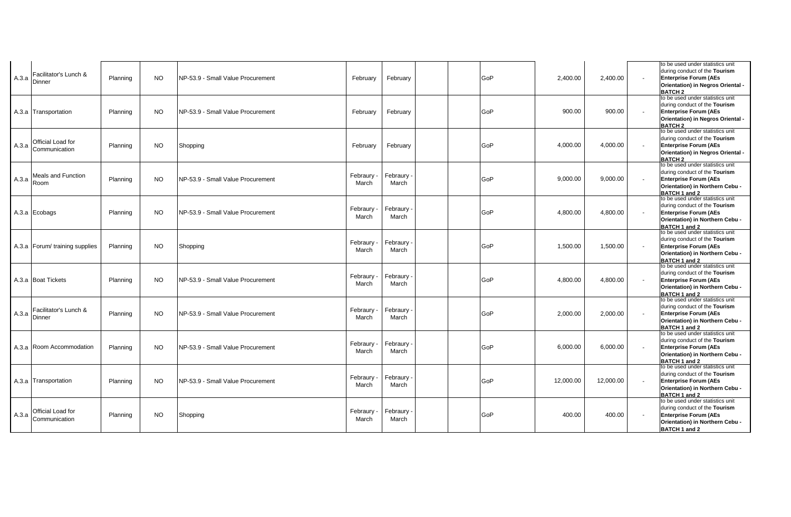| A.3.a | Facilitator's Lunch &<br>Dinner        | Planning | <b>NO</b> | NP-53.9 - Small Value Procurement | February            | February          | GoP | 2,400.00  | 2.400.00  |        | to be used under statistics unit<br>during conduct of the Tourism<br><b>Enterprise Forum (AEs</b><br>Orientation) in Negros Oriental -<br><b>BATCH 2</b> |
|-------|----------------------------------------|----------|-----------|-----------------------------------|---------------------|-------------------|-----|-----------|-----------|--------|----------------------------------------------------------------------------------------------------------------------------------------------------------|
|       | A.3.a Transportation                   | Planning | <b>NO</b> | NP-53.9 - Small Value Procurement | February            | February          | GoP | 900.00    | 900.00    |        | to be used under statistics unit<br>during conduct of the Tourism<br><b>Enterprise Forum (AEs</b><br>Orientation) in Negros Oriental -<br><b>BATCH2</b>  |
| A.3.a | Official Load for<br>Communication     | Planning | <b>NO</b> | Shopping                          | February            | February          | GoP | 4,000.00  | 4,000.00  |        | to be used under statistics unit<br>during conduct of the Tourism<br><b>Enterprise Forum (AEs</b><br>Orientation) in Negros Oriental -<br><b>BATCH 2</b> |
| A.3.a | <b>Meals and Function</b><br>Room      | Planning | <b>NO</b> | NP-53.9 - Small Value Procurement | Febraury -<br>March | Febraury<br>March | GoP | 9,000.00  | 9,000.00  |        | to be used under statistics unit<br>during conduct of the Tourism<br><b>Enterprise Forum (AEs</b><br>Orientation) in Northern Cebu -<br>BATCH 1 and 2    |
|       | A.3.a Ecobags                          | Planning | <b>NO</b> | NP-53.9 - Small Value Procurement | Febraury -<br>March | Febraury<br>March | GoP | 4,800.00  | 4,800.00  |        | to be used under statistics unit<br>during conduct of the Tourism<br><b>Enterprise Forum (AEs</b><br>Orientation) in Northern Cebu -<br>BATCH 1 and 2    |
|       | A.3.a Forum/ training supplies         | Planning | <b>NO</b> | Shopping                          | Febraury<br>March   | Febraury<br>March | GoP | 1,500.00  | 1,500.00  |        | to be used under statistics unit<br>during conduct of the Tourism<br><b>Enterprise Forum (AEs</b><br>Orientation) in Northern Cebu -<br>BATCH 1 and 2    |
|       | A.3.a Boat Tickets                     | Planning | <b>NO</b> | NP-53.9 - Small Value Procurement | Febraury -<br>March | Febraury<br>March | GoP | 4,800.00  | 4,800.00  |        | to be used under statistics unit<br>during conduct of the Tourism<br><b>Enterprise Forum (AEs</b><br>Orientation) in Northern Cebu -<br>BATCH 1 and 2    |
| A.3.a | Facilitator's Lunch &<br><b>Dinner</b> | Planning | <b>NO</b> | NP-53.9 - Small Value Procurement | Febraury<br>March   | Febraury<br>March | GoP | 2,000.00  | 2,000.00  |        | to be used under statistics unit<br>during conduct of the Tourism<br><b>Enterprise Forum (AEs</b><br>Orientation) in Northern Cebu -<br>BATCH 1 and 2    |
|       | A.3.a Room Accommodation               | Planning | <b>NO</b> | NP-53.9 - Small Value Procurement | Febraury -<br>March | Febraury<br>March | GoP | 6,000.00  | 6,000.00  |        | to be used under statistics unit<br>during conduct of the Tourism<br><b>Enterprise Forum (AEs</b><br>Orientation) in Northern Cebu -<br>BATCH 1 and 2    |
|       | A.3.a Transportation                   | Planning | NO.       | NP-53.9 - Small Value Procurement | Febraury -<br>March | Febraury<br>March | GoP | 12.000.00 | 12,000.00 | $\sim$ | to be used under statistics unit<br>during conduct of the Tourism<br><b>Enterprise Forum (AEs</b><br>Orientation) in Northern Cebu -<br>BATCH 1 and 2    |
| A.3.a | Official Load for<br>Communication     | Planning | NO.       | Shopping                          | Febraury<br>March   | Febraury<br>March | GoP | 400.00    | 400.00    |        | to be used under statistics unit<br>during conduct of the Tourism<br><b>Enterprise Forum (AEs</b><br>Orientation) in Northern Cebu -<br>BATCH 1 and 2    |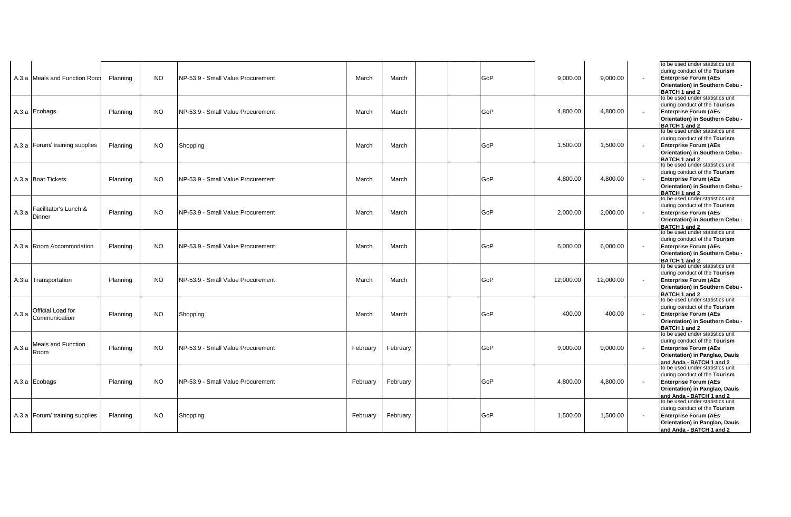|       | A.3.a Meals and Function Roon      | Planning | NO.       | NP-53.9 - Small Value Procurement | March    | March    | GoP | 9,000.00  | 9,000.00  | to be used under statistics unit<br>during conduct of the Tourism<br><b>Enterprise Forum (AEs</b><br>Orientation) in Southern Cebu -<br>BATCH 1 and 2           |
|-------|------------------------------------|----------|-----------|-----------------------------------|----------|----------|-----|-----------|-----------|-----------------------------------------------------------------------------------------------------------------------------------------------------------------|
|       | A.3.a Ecobags                      | Planning | <b>NO</b> | NP-53.9 - Small Value Procurement | March    | March    | GoP | 4,800.00  | 4,800.00  | to be used under statistics unit<br>during conduct of the Tourism<br><b>Enterprise Forum (AEs</b><br>Orientation) in Southern Cebu -<br>BATCH 1 and 2           |
|       | A.3.a Forum/ training supplies     | Planning | <b>NO</b> | Shopping                          | March    | March    | GoP | 1,500.00  | 1,500.00  | to be used under statistics unit<br>during conduct of the Tourism<br><b>Enterprise Forum (AEs</b><br>Orientation) in Southern Cebu -<br>BATCH 1 and 2           |
|       | A.3.a Boat Tickets                 | Planning | <b>NO</b> | NP-53.9 - Small Value Procurement | March    | March    | GoP | 4,800.00  | 4,800.00  | to be used under statistics unit<br>during conduct of the Tourism<br><b>Enterprise Forum (AEs</b><br>Orientation) in Southern Cebu -<br>BATCH 1 and 2           |
| A.3.a | Facilitator's Lunch &<br>Dinner    | Planning | NO.       | NP-53.9 - Small Value Procurement | March    | March    | GoP | 2,000.00  | 2,000.00  | to be used under statistics unit<br>during conduct of the Tourism<br><b>Enterprise Forum (AEs</b><br>Orientation) in Southern Cebu -<br>BATCH 1 and 2           |
|       | A.3.a Room Accommodation           | Planning | <b>NO</b> | NP-53.9 - Small Value Procurement | March    | March    | GoP | 6,000.00  | 6,000.00  | to be used under statistics unit<br>during conduct of the Tourism<br><b>Enterprise Forum (AEs</b><br>Orientation) in Southern Cebu -<br>BATCH 1 and 2           |
|       | A.3.a Transportation               | Planning | <b>NO</b> | NP-53.9 - Small Value Procurement | March    | March    | GoP | 12,000.00 | 12,000.00 | to be used under statistics unit<br>during conduct of the Tourism<br><b>Enterprise Forum (AEs</b><br>Orientation) in Southern Cebu -<br>BATCH 1 and 2           |
| A.3.a | Official Load for<br>Communication | Planning | NO.       | Shopping                          | March    | March    | GoP | 400.00    | 400.00    | to be used under statistics unit<br>during conduct of the Tourism<br><b>Enterprise Forum (AEs</b><br>Orientation) in Southern Cebu -<br>BATCH 1 and 2           |
| A.3.a | <b>Meals and Function</b><br>Room  | Planning | NO.       | NP-53.9 - Small Value Procurement | February | February | GoP | 9,000.00  | 9,000.00  | to be used under statistics unit<br>during conduct of the Tourism<br><b>Enterprise Forum (AEs</b><br>Orientation) in Panglao, Dauis<br>and Anda - BATCH 1 and 2 |
|       | A.3.a Ecobags                      | Planning | NO.       | NP-53.9 - Small Value Procurement | February | February | GoP | 4,800.00  | 4,800.00  | to be used under statistics unit<br>during conduct of the Tourism<br><b>Enterprise Forum (AEs</b><br>Orientation) in Panglao, Dauis<br>and Anda - BATCH 1 and 2 |
|       | A.3.a Forum/ training supplies     | Planning | NO.       | Shopping                          | February | February | GoP | 1,500.00  | 1,500.00  | to be used under statistics unit<br>during conduct of the Tourism<br><b>Enterprise Forum (AEs</b><br>Orientation) in Panglao, Dauis<br>and Anda - BATCH 1 and 2 |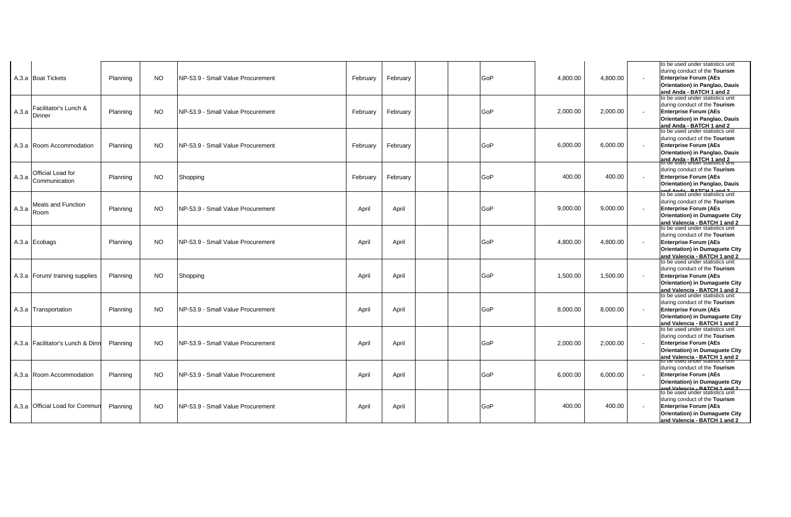|       | A.3.a Boat Tickets                 | Planning | <b>NO</b> | INP-53.9 - Small Value Procurement | February | February | GoP | 4,800.00 | 4,800.00 | to be used under statistics unit<br>during conduct of the Tourism<br><b>Enterprise Forum (AEs</b><br>Orientation) in Panglao, Dauis<br>and Anda - BATCH 1 and 2            |
|-------|------------------------------------|----------|-----------|------------------------------------|----------|----------|-----|----------|----------|----------------------------------------------------------------------------------------------------------------------------------------------------------------------------|
| A.3.a | Facilitator's Lunch &<br>Dinner    | Planning | NO.       | INP-53.9 - Small Value Procurement | February | February | GoP | 2,000.00 | 2,000.00 | to be used under statistics unit<br>during conduct of the Tourism<br><b>Enterprise Forum (AEs</b><br>Orientation) in Panglao, Dauis<br>and Anda - BATCH 1 and 2            |
|       | A.3.a Room Accommodation           | Planning | <b>NO</b> | INP-53.9 - Small Value Procurement | February | February | GoP | 6,000.00 | 6,000.00 | to be used under statistics unit<br>during conduct of the Tourism<br><b>Enterprise Forum (AEs</b><br>Orientation) in Panglao, Dauis<br>and Anda - BATCH 1 and 2            |
| A.3.a | Official Load for<br>Communication | Planning | NO.       | Shopping                           | February | February | GoP | 400.00   | 400.00   | during conduct of the Tourism<br><b>Enterprise Forum (AEs</b><br>Orientation) in Panglao, Dauis<br><b>DATCH 4 and 2</b>                                                    |
| A.3.a | <b>Meals and Function</b><br>Room  | Planning | <b>NO</b> | INP-53.9 - Small Value Procurement | April    | April    | GoP | 9,000.00 | 9,000.00 | to be used under statistics unit<br>during conduct of the Tourism<br><b>Enterprise Forum (AEs</b><br><b>Orientation) in Dumaquete City</b><br>and Valencia - BATCH 1 and 2 |
|       | A.3.a Ecobags                      | Planning | <b>NO</b> | NP-53.9 - Small Value Procurement  | April    | April    | GoP | 4,800.00 | 4,800.00 | to be used under statistics unit<br>during conduct of the Tourism<br><b>Enterprise Forum (AEs</b><br>Orientation) in Dumaguete City<br>and Valencia - BATCH 1 and 2        |
|       | A.3.a   Forum/ training supplies   | Planning | NO.       | Shopping                           | April    | April    | GoP | 1,500.00 | 1,500.00 | to be used under statistics unit<br>during conduct of the Tourism<br><b>Enterprise Forum (AEs</b><br>Orientation) in Dumaguete City<br>and Valencia - BATCH 1 and 2        |
|       | A.3.a Transportation               | Planning | NO.       | NP-53.9 - Small Value Procurement  | April    | April    | GoP | 8,000.00 | 8,000.00 | to be used under statistics unit<br>during conduct of the Tourism<br><b>Enterprise Forum (AEs</b><br>Orientation) in Dumaguete City<br>and Valencia - BATCH 1 and 2        |
|       | A.3.a   Facilitator's Lunch & Dinr | Planning | NO.       | INP-53.9 - Small Value Procurement | April    | April    | GoP | 2,000.00 | 2,000.00 | to be used under statistics unit<br>during conduct of the Tourism<br><b>Enterprise Forum (AEs</b><br>Orientation) in Dumaquete City<br>and Valencia - BATCH 1 and 2        |
|       | A.3.a Room Accommodation           | Planning | NO.       | INP-53.9 - Small Value Procurement | April    | April    | GoP | 6,000.00 | 6,000.00 | during conduct of the Tourism<br><b>Enterprise Forum (AEs</b><br>Orientation) in Dumaguete City<br>nd Valencia - BATCH 1 and 2                                             |
|       | A.3.a Official Load for Commur     | Planning | <b>NO</b> | INP-53.9 - Small Value Procurement | April    | April    | GoP | 400.00   | 400.00   | to be used under statistics unit<br>during conduct of the Tourism<br><b>Enterprise Forum (AEs</b><br>Orientation) in Dumaguete City<br>and Valencia - BATCH 1 and 2        |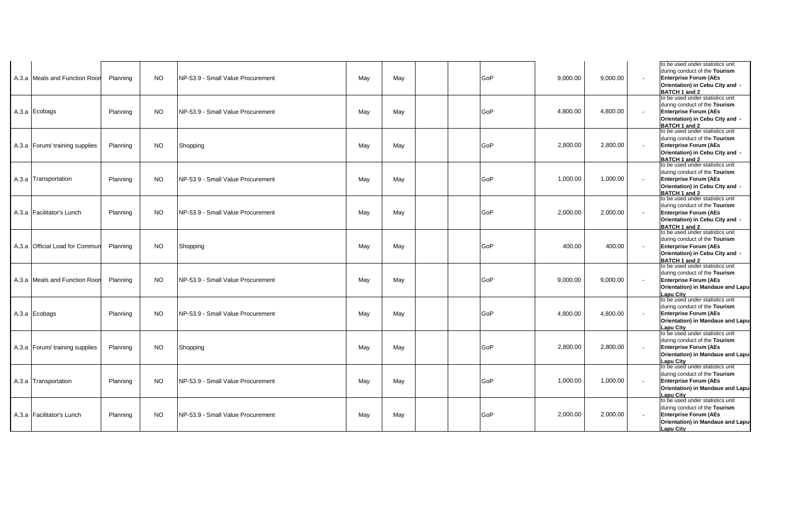| A.3.a Meals and Function Roon  | Planning | NO.       | INP-53.9 - Small Value Procurement | May | May | GoP | 9,000.00 | 9,000.00 | to be used under statistics unit<br>during conduct of the Tourism<br><b>Enterprise Forum (AEs</b><br>Orientation) in Cebu City and -<br>BATCH 1 and 2      |
|--------------------------------|----------|-----------|------------------------------------|-----|-----|-----|----------|----------|------------------------------------------------------------------------------------------------------------------------------------------------------------|
| A.3.a Ecobags                  | Planning | NO.       | NP-53.9 - Small Value Procurement  | May | May | GoP | 4,800.00 | 4,800.00 | to be used under statistics unit<br>during conduct of the Tourism<br><b>Enterprise Forum (AEs</b><br>Orientation) in Cebu City and -<br>BATCH 1 and 2      |
| A.3.a Forum/ training supplies | Planning | NO.       | Shopping                           | May | May | GoP | 2,800.00 | 2,800.00 | to be used under statistics unit<br>during conduct of the Tourism<br><b>Enterprise Forum (AEs</b><br>Orientation) in Cebu City and -<br>BATCH 1 and 2      |
| A.3.a Transportation           | Planning | NO.       | NP-53.9 - Small Value Procurement  | May | May | GoP | 1,000.00 | 1,000.00 | to be used under statistics unit<br>during conduct of the Tourism<br><b>Enterprise Forum (AEs</b><br>Orientation) in Cebu City and -<br>BATCH 1 and 2      |
| A.3.a Facilitator's Lunch      | Planning | <b>NO</b> | INP-53.9 - Small Value Procurement | May | May | GoP | 2,000.00 | 2,000.00 | to be used under statistics unit<br>during conduct of the Tourism<br><b>Enterprise Forum (AEs</b><br>Orientation) in Cebu City and -<br>BATCH 1 and 2      |
| A.3.a Official Load for Commur | Planning | NO.       | Shopping                           | May | May | GoP | 400.00   | 400.00   | to be used under statistics unit<br>during conduct of the Tourism<br><b>Enterprise Forum (AEs</b><br>Orientation) in Cebu City and -<br>BATCH 1 and 2      |
| A.3.a Meals and Function Roor  | Planning | NO.       | NP-53.9 - Small Value Procurement  | May | May | GoP | 9,000.00 | 9,000.00 | to be used under statistics unit<br>during conduct of the Tourism<br><b>Enterprise Forum (AEs</b><br>Orientation) in Mandaue and Lapu-<br>Lapu City        |
| A.3.a Ecobags                  | Planning | NO.       | NP-53.9 - Small Value Procurement  | May | May | GoP | 4,800.00 | 4,800.00 | to be used under statistics unit<br>during conduct of the Tourism<br><b>Enterprise Forum (AEs</b><br>Orientation) in Mandaue and Lapu-<br><b>Lapu City</b> |
| A.3.a Forum/ training supplies | Planning | NO.       | Shopping                           | May | May | GoP | 2,800.00 | 2,800.00 | to be used under statistics unit<br>during conduct of the Tourism<br><b>Enterprise Forum (AEs</b><br>Orientation) in Mandaue and Lapu-<br>Lapu City        |
| A.3.a Transportation           | Planning | NO.       | NP-53.9 - Small Value Procurement  | May | May | GoP | 1,000.00 | 1,000.00 | to be used under statistics unit<br>during conduct of the Tourism<br><b>Enterprise Forum (AEs</b><br>Orientation) in Mandaue and Lapu-<br><b>Lapu City</b> |
| A.3.a Facilitator's Lunch      | Planning | NO.       | INP-53.9 - Small Value Procurement | May | May | GoP | 2,000.00 | 2,000.00 | to be used under statistics unit<br>during conduct of the Tourism<br><b>Enterprise Forum (AEs</b><br>Orientation) in Mandaue and Lapu-<br>Lapu City        |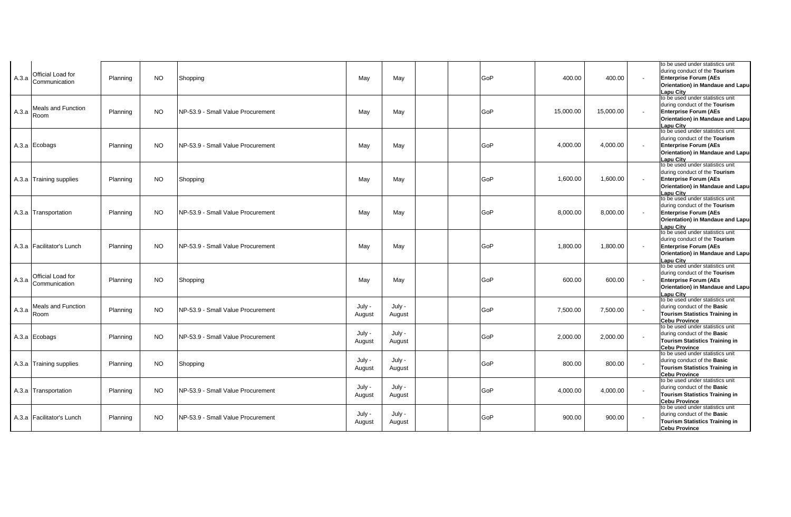| Official Load for<br>A.3.a<br>Communication | Planning | NO.       | Shopping                           | May              | May              |  | GoP | 400.00    | 400.00    | to be used under statistics unit<br>during conduct of the Tourism<br><b>Enterprise Forum (AEs</b><br>Orientation) in Mandaue and Lapu-<br>Lapu Citv        |
|---------------------------------------------|----------|-----------|------------------------------------|------------------|------------------|--|-----|-----------|-----------|------------------------------------------------------------------------------------------------------------------------------------------------------------|
| Meals and Function<br>A.3.a<br>Room         | Planning | NO.       | INP-53.9 - Small Value Procurement | May              | May              |  | GoP | 15,000.00 | 15,000.00 | to be used under statistics unit<br>during conduct of the Tourism<br><b>Enterprise Forum (AEs</b><br>Orientation) in Mandaue and Lapu-<br>Lapu City        |
| A.3.a Ecobags                               | Planning | NO.       | INP-53.9 - Small Value Procurement | May              | May              |  | GoP | 4,000.00  | 4,000.00  | to be used under statistics unit<br>during conduct of the Tourism<br><b>Enterprise Forum (AEs</b><br>Orientation) in Mandaue and Lapu-<br>Lapu City        |
| A.3.a Training supplies                     | Planning | NO.       | Shopping                           | May              | May              |  | GoP | 1,600.00  | 1,600.00  | to be used under statistics unit<br>during conduct of the Tourism<br><b>Enterprise Forum (AEs</b><br>Orientation) in Mandaue and Lapu-<br><b>Lapu City</b> |
| A.3.a Transportation                        | Planning | NO.       | INP-53.9 - Small Value Procurement | May              | May              |  | GoP | 8,000.00  | 8,000.00  | to be used under statistics unit<br>during conduct of the Tourism<br><b>Enterprise Forum (AEs</b><br>Orientation) in Mandaue and Lapu-<br><b>Lapu City</b> |
| A.3.a Facilitator's Lunch                   | Planning | NO.       | NP-53.9 - Small Value Procurement  | May              | May              |  | GoP | 1,800.00  | 1,800.00  | to be used under statistics unit<br>during conduct of the Tourism<br><b>Enterprise Forum (AEs</b><br>Orientation) in Mandaue and Lapu-<br><b>Lapu City</b> |
| Official Load for<br>A.3.a<br>Communication | Planning | NO.       | Shopping                           | May              | May              |  | GoP | 600.00    | 600.00    | to be used under statistics unit<br>during conduct of the Tourism<br><b>Enterprise Forum (AEs</b><br>Orientation) in Mandaue and Lapu-<br>Lapu City        |
| Meals and Function<br>A.3.a<br>Room         | Planning | <b>NO</b> | NP-53.9 - Small Value Procurement  | July -<br>August | July -<br>August |  | GoP | 7,500.00  | 7,500.00  | to be used under statistics unit<br>during conduct of the Basic<br>Tourism Statistics Training in<br><b>Cebu Province</b>                                  |
| A.3.a Ecobags                               | Planning | NO.       | NP-53.9 - Small Value Procurement  | July -<br>August | July -<br>August |  | GoP | 2,000.00  | 2,000.00  | to be used under statistics unit<br>during conduct of the Basic<br>Tourism Statistics Training in<br><b>Cebu Province</b>                                  |
| A.3.a Training supplies                     | Planning | NO.       | Shopping                           | July -<br>August | July -<br>August |  | GoP | 800.00    | 800.00    | to be used under statistics unit<br>during conduct of the Basic<br>Tourism Statistics Training in<br><b>Cebu Province</b>                                  |
| A.3.a Transportation                        | Planning | NO.       | NP-53.9 - Small Value Procurement  | July -<br>August | July -<br>August |  | GoP | 4,000.00  | 4,000.00  | to be used under statistics unit<br>during conduct of the Basic<br>Tourism Statistics Training in<br><b>Cebu Province</b>                                  |
| A.3.a   Facilitator's Lunch                 | Planning | NO.       | INP-53.9 - Small Value Procurement | July -<br>August | July -<br>August |  | GoP | 900.00    | 900.00    | to be used under statistics unit<br>during conduct of the <b>Basic</b><br>Tourism Statistics Training in<br><b>Cebu Province</b>                           |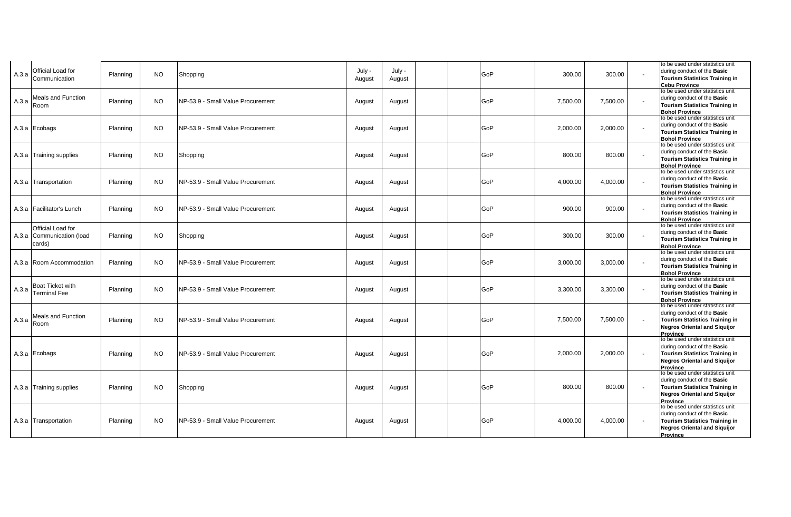| A.3.a | Official Load for<br>Communication                       | Planning | <b>NO</b> | July -<br>Shopping<br>August                 | July -<br>August | GoP | 300.00   | 300.00   | to be used under statistics unit<br>during conduct of the Basic<br><b>Tourism Statistics Training in</b><br><b>Cebu Province</b>                                   |
|-------|----------------------------------------------------------|----------|-----------|----------------------------------------------|------------------|-----|----------|----------|--------------------------------------------------------------------------------------------------------------------------------------------------------------------|
| A.3.a | Meals and Function<br>Room                               | Planning | <b>NO</b> | NP-53.9 - Small Value Procurement<br>August  | August           | GoP | 7,500.00 | 7.500.00 | to be used under statistics unit<br>during conduct of the Basic<br><b>Tourism Statistics Training in</b><br><b>Bohol Province</b>                                  |
|       | A.3.a Ecobags                                            | Planning | NO.       | NP-53.9 - Small Value Procurement<br>August  | August           | GoP | 2,000.00 | 2,000.00 | to be used under statistics unit<br>during conduct of the Basic<br><b>Tourism Statistics Training in</b><br><b>Bohol Province</b>                                  |
|       | A.3.a Training supplies                                  | Planning | NO.       | Shopping<br>August                           | August           | GoP | 800.00   | 800.00   | to be used under statistics unit<br>during conduct of the Basic<br><b>Tourism Statistics Training in</b><br><b>Bohol Province</b>                                  |
|       | A.3.a Transportation                                     | Planning | NO.       | INP-53.9 - Small Value Procurement<br>August | August           | GoP | 4,000.00 | 4,000.00 | to be used under statistics unit<br>during conduct of the Basic<br><b>Tourism Statistics Training in</b><br><b>Bohol Province</b>                                  |
|       | A.3.a Facilitator's Lunch                                | Planning | <b>NO</b> | NP-53.9 - Small Value Procurement<br>August  | August           | GoP | 900.00   | 900.00   | to be used under statistics unit<br>during conduct of the Basic<br><b>Tourism Statistics Training in</b><br><b>Bohol Province</b>                                  |
|       | Official Load for<br>A.3.a Communication (load<br>cards) | Planning | NO.       | Shopping<br>August                           | August           | GoP | 300.00   | 300.00   | to be used under statistics unit<br>during conduct of the Basic<br><b>Tourism Statistics Training in</b><br><b>Bohol Province</b>                                  |
|       | A.3.a Room Accommodation                                 | Planning | NO.       | NP-53.9 - Small Value Procurement<br>August  | August           | GoP | 3,000.00 | 3,000.00 | to be used under statistics unit<br>during conduct of the Basic<br><b>Tourism Statistics Training in</b><br><b>Bohol Province</b>                                  |
|       | A.3.a $\sqrt{\frac{3}{2}}$<br><b>Terminal Fee</b>        | Planning | <b>NO</b> | NP-53.9 - Small Value Procurement<br>August  | August           | GoP | 3,300.00 | 3,300.00 | to be used under statistics unit<br>during conduct of the Basic<br><b>Tourism Statistics Training in</b><br><b>Bohol Province</b>                                  |
| A.3.a | <b>Meals and Function</b><br>Room                        | Planning | NO.       | NP-53.9 - Small Value Procurement<br>August  | August           | GoP | 7,500.00 | 7,500.00 | to be used under statistics unit<br>during conduct of the Basic<br><b>Tourism Statistics Training in</b><br><b>Negros Oriental and Siquijor</b><br><b>Province</b> |
|       | A.3.a Ecobags                                            | Planning | NO.       | NP-53.9 - Small Value Procurement<br>August  | August           | GoP | 2,000.00 | 2,000.00 | to be used under statistics unit<br>during conduct of the Basic<br><b>Tourism Statistics Training in</b><br><b>Negros Oriental and Siquijor</b><br>Province        |
|       | A.3.a Training supplies                                  | Planning | <b>NO</b> | Shopping<br>August                           | August           | GoP | 800.00   | 800.00   | to be used under statistics unit<br>during conduct of the Basic<br><b>Tourism Statistics Training in</b><br><b>Negros Oriental and Siquijor</b><br>Province        |
|       | A.3.a Transportation                                     | Planning | NO.       | NP-53.9 - Small Value Procurement<br>August  | August           | GoP | 4,000.00 | 4,000.00 | to be used under statistics unit<br>during conduct of the Basic<br><b>Tourism Statistics Training in</b><br><b>Negros Oriental and Siquijor</b><br><b>Province</b> |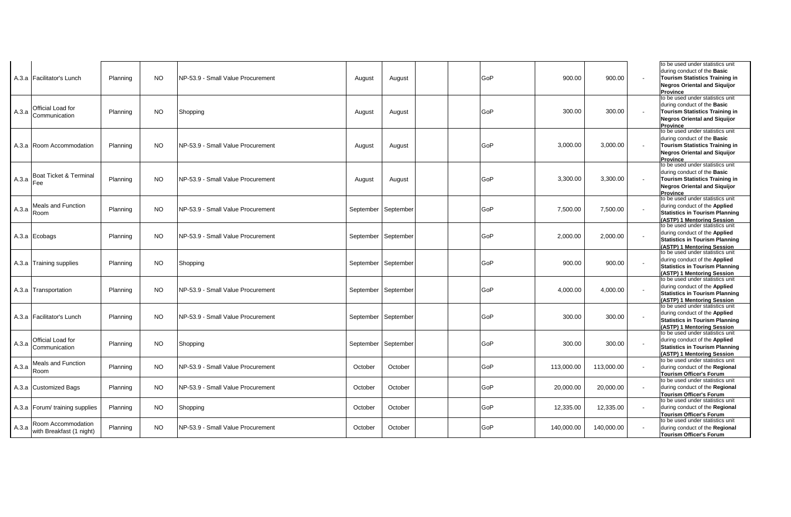|       | A.3.a Facilitator's Lunch                      | Planning | <b>NO</b> | NP-53.9 - Small Value Procurement  | August              | August  | GoP | 900.00     | 900.00     | to be used under statistics unit<br>during conduct of the Basic<br><b>Tourism Statistics Training in</b><br><b>Negros Oriental and Siguijor</b><br><b>Province</b>        |
|-------|------------------------------------------------|----------|-----------|------------------------------------|---------------------|---------|-----|------------|------------|---------------------------------------------------------------------------------------------------------------------------------------------------------------------------|
| A.3.a | <b>Official Load for</b><br>Communication      | Planning | <b>NO</b> | Shopping                           | August              | August  | GoP | 300.00     | 300.00     | to be used under statistics unit<br>during conduct of the Basic<br><b>Tourism Statistics Training in</b><br><b>Negros Oriental and Siguijor</b><br><b>Province</b>        |
|       | A.3.a   Room Accommodation                     | Planning | <b>NO</b> | INP-53.9 - Small Value Procurement | August              | August  | GoP | 3,000.00   | 3,000.00   | to be used under statistics unit<br>during conduct of the Basic<br>Tourism Statistics Training in<br><b>Negros Oriental and Siguijor</b><br><b>Province</b>               |
|       | A.3.a Boat Ticket & Terminal                   | Planning | <b>NO</b> | INP-53.9 - Small Value Procurement | August              | August  | GoP | 3,300.00   | 3,300.00   | to be used under statistics unit<br>during conduct of the <b>Basic</b><br><b>Tourism Statistics Training in</b><br><b>Negros Oriental and Siquijor</b><br><b>Province</b> |
|       | Meals and Function<br>$A.3.a$ Room             | Planning | NO.       | INP-53.9 - Small Value Procurement | September September |         | GoP | 7,500.00   | 7,500.00   | to be used under statistics unit<br>during conduct of the Applied<br><b>Statistics in Tourism Planning</b><br>(ASTP) 1 Mentoring Session                                  |
|       | A.3.a Ecobags                                  | Planning | NO.       | INP-53.9 - Small Value Procurement | September September |         | GoP | 2,000.00   | 2,000.00   | to be used under statistics unit<br>during conduct of the Applied<br><b>Statistics in Tourism Planning</b><br>(ASTP) 1 Mentoring Session                                  |
|       | A.3.a Training supplies                        | Planning | <b>NO</b> | Shopping                           | September September |         | GoP | 900.00     | 900.00     | to be used under statistics unit<br>during conduct of the Applied<br><b>Statistics in Tourism Planning</b><br>(ASTP) 1 Mentoring Session                                  |
|       | A.3.a Transportation                           | Planning | <b>NO</b> | NP-53.9 - Small Value Procurement  | September September |         | GoP | 4,000.00   | 4,000.00   | to be used under statistics unit<br>during conduct of the Applied<br><b>Statistics in Tourism Planning</b><br>(ASTP) 1 Mentoring Session                                  |
|       | A.3.a Facilitator's Lunch                      | Planning | <b>NO</b> | NP-53.9 - Small Value Procurement  | September September |         | GoP | 300.00     | 300.00     | to be used under statistics unit<br>during conduct of the Applied<br><b>Statistics in Tourism Planning</b><br>(ASTP) 1 Mentoring Session                                  |
|       | A.3.a Official Load for<br>Communication       | Planning | <b>NO</b> | Shopping                           | September September |         | GoP | 300.00     | 300.00     | to be used under statistics unit<br>during conduct of the Applied<br><b>Statistics in Tourism Planning</b><br>(ASTP) 1 Mentoring Session                                  |
| A.3.a | <b>Meals and Function</b><br>Room              | Planning | <b>NO</b> | NP-53.9 - Small Value Procurement  | October             | October | GoP | 113,000.00 | 113,000.00 | to be used under statistics unit<br>during conduct of the Regional<br><b>Tourism Officer's Forum</b>                                                                      |
|       | A.3.a Customized Bags                          | Planning | <b>NO</b> | NP-53.9 - Small Value Procurement  | October             | October | GoP | 20,000.00  | 20,000.00  | to be used under statistics unit<br>during conduct of the Regional<br><b>Tourism Officer's Forum</b>                                                                      |
|       | A.3.a Forum/ training supplies                 | Planning | NO.       | Shopping                           | October             | October | GoP | 12,335.00  | 12,335.00  | to be used under statistics unit<br>during conduct of the Regional<br><b>Tourism Officer's Forum</b>                                                                      |
| A.3.a | Room Accommodation<br>with Breakfast (1 night) | Planning | <b>NO</b> | NP-53.9 - Small Value Procurement  | October             | October | GoP | 140,000.00 | 140,000.00 | to be used under statistics unit<br>during conduct of the Regional<br><b>Tourism Officer's Forum</b>                                                                      |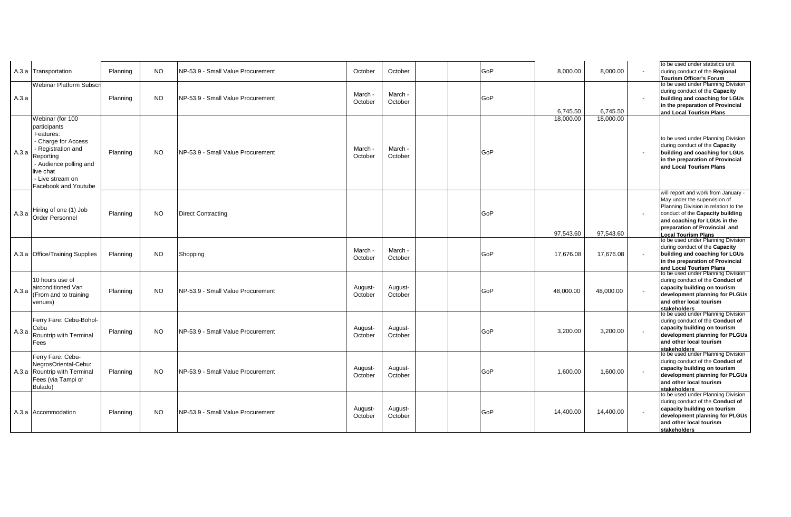|       | A.3.a Transportation                                                                                                                                                                       | Planning | NO.       | INP-53.9 - Small Value Procurement | October            | October            |  | GoP | 8,000.00  | 8,000.00  | to be used under statistics unit<br>during conduct of the Regional<br>Tourism Officer's Forum                                                                                                                                                  |
|-------|--------------------------------------------------------------------------------------------------------------------------------------------------------------------------------------------|----------|-----------|------------------------------------|--------------------|--------------------|--|-----|-----------|-----------|------------------------------------------------------------------------------------------------------------------------------------------------------------------------------------------------------------------------------------------------|
| A.3.a | <b>Webinar Platform Subscr</b>                                                                                                                                                             | Planning | <b>NO</b> | NP-53.9 - Small Value Procurement  | March -<br>October | March -<br>October |  | GoP | 6,745.50  | 6.745.50  | to be used under Planning Division<br>during conduct of the Capacity<br>building and coaching for LGUs<br>in the preparation of Provincial<br>and Local Tourism Plans                                                                          |
| A.3.a | Webinar (for 100<br>participants<br>Features:<br>- Charge for Access<br>- Registration and<br>Reporting<br>- Audience polling and<br>live chat<br>- Live stream on<br>Facebook and Youtube | Planning | NO.       | NP-53.9 - Small Value Procurement  | March -<br>October | March -<br>October |  | GoP | 18,000.00 | 18,000.00 | to be used under Planning Division<br>during conduct of the Capacity<br>building and coaching for LGUs<br>in the preparation of Provincial<br>and Local Tourism Plans                                                                          |
| A.3.a | Hiring of one (1) Job<br><b>Order Personnel</b>                                                                                                                                            | Planning | NO.       | Direct Contracting                 |                    |                    |  | GoP | 97,543.60 | 97,543.60 | will report and work from January -<br>May under the supervision of<br>Planning Division in relation to the<br>conduct of the Capacity building<br>and coaching for LGUs in the<br>preparation of Provincial and<br><b>Local Tourism Plans</b> |
|       | A.3.a Office/Training Supplies                                                                                                                                                             | Planning | <b>NO</b> | Shopping                           | March -<br>October | March -<br>October |  | GoP | 17,676.08 | 17,676.08 | to be used under Planning Division<br>during conduct of the Capacity<br>building and coaching for LGUs<br>in the preparation of Provincial<br>and Local Tourism Plans                                                                          |
| A.3.a | 10 hours use of<br>airconditioned Van<br>(From and to training<br>venues)                                                                                                                  | Planning | NO.       | INP-53.9 - Small Value Procurement | August-<br>October | August-<br>October |  | GoP | 48.000.00 | 48.000.00 | to be used under Planning Division<br>during conduct of the Conduct of<br>capacity building on tourism<br>development planning for PLGUs<br>and other local tourism<br>stakeholders                                                            |
| A.3.a | Ferry Fare: Cebu-Bohol-<br>Cebu<br>Rountrip with Terminal<br>Fees                                                                                                                          | Planning | NO.       | NP-53.9 - Small Value Procurement  | August-<br>October | August-<br>October |  | GoP | 3,200.00  | 3,200.00  | to be used under Planning Division<br>during conduct of the Conduct of<br>capacity building on tourism<br>development planning for PLGUs<br>and other local tourism<br>stakeholders                                                            |
|       | Ferry Fare: Cebu-<br>NegrosOriental-Cebu:<br>A.3.a Rountrip with Terminal<br>Fees (via Tampi or<br>Bulado)                                                                                 | Planning | NO.       | INP-53.9 - Small Value Procurement | August-<br>October | August-<br>October |  | GoP | 1,600.00  | 1.600.00  | to be used under Planning Division<br>during conduct of the Conduct of<br>capacity building on tourism<br>development planning for PLGUs<br>and other local tourism<br>stakeholders                                                            |
|       | A.3.a Accommodation                                                                                                                                                                        | Planning | <b>NO</b> | NP-53.9 - Small Value Procurement  | August-<br>October | August-<br>October |  | GoP | 14,400.00 | 14,400.00 | to be used under Planning Division<br>during conduct of the Conduct of<br>capacity building on tourism<br>development planning for PLGUs<br>and other local tourism<br>stakeholders                                                            |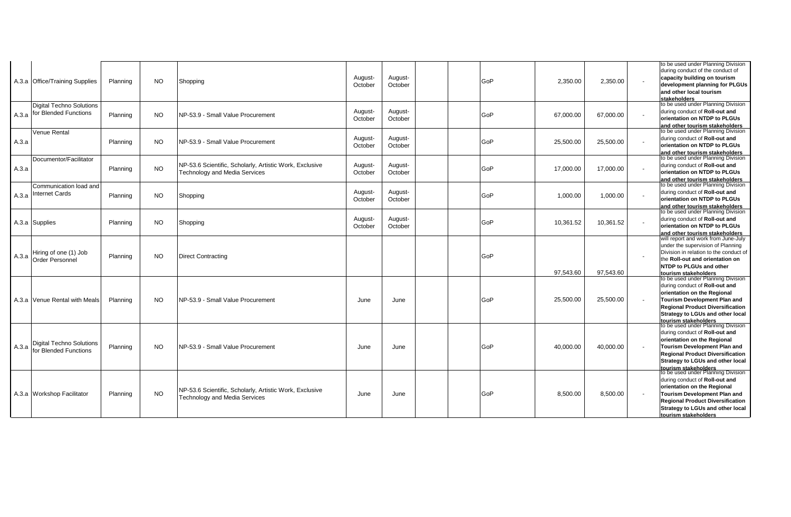|       | A.3.a Office/Training Supplies                                 | Planning | NO.       | Shopping                                                                                        | August-<br>October | August-<br>October | GoP | 2,350.00  | 2,350.00  | to be used under Planning Division<br>during conduct of the conduct of<br>capacity building on tourism<br>development planning for PLGUs<br>and other local tourism<br>stakeholders                                                                                                     |
|-------|----------------------------------------------------------------|----------|-----------|-------------------------------------------------------------------------------------------------|--------------------|--------------------|-----|-----------|-----------|-----------------------------------------------------------------------------------------------------------------------------------------------------------------------------------------------------------------------------------------------------------------------------------------|
|       | <b>Digital Techno Solutions</b><br>A.3.a for Blended Functions | Planning | <b>NO</b> | NP-53.9 - Small Value Procurement                                                               | August-<br>October | August-<br>October | GoP | 67,000.00 | 67,000.00 | to be used under Planning Division<br>during conduct of Roll-out and<br>orientation on NTDP to PLGUs<br>and other tourism stakeholders                                                                                                                                                  |
| A.3.a | Venue Rental                                                   | Planning | NO.       | <b>INP-53.9 - Small Value Procurement</b>                                                       | August-<br>October | August-<br>October | GoP | 25,500.00 | 25,500.00 | to be used under Planning Division<br>during conduct of Roll-out and<br>orientation on NTDP to PLGUs<br>and other tourism stakeholders                                                                                                                                                  |
| A.3.a | Documentor/Facilitator                                         | Planning | <b>NO</b> | NP-53.6 Scientific, Scholarly, Artistic Work, Exclusive<br><b>Technology and Media Services</b> | August-<br>October | August-<br>October | GoP | 17,000.00 | 17,000.00 | to be used under Planning Division<br>during conduct of Roll-out and<br>orientation on NTDP to PLGUs<br>and other tourism stakeholders                                                                                                                                                  |
| A.3.a | Communication load and<br><b>Internet Cards</b>                | Planning | NO.       | Shopping                                                                                        | August-<br>October | August-<br>October | GoP | 1,000.00  | 1,000.00  | to be used under Planning Division<br>during conduct of Roll-out and<br>orientation on NTDP to PLGUs<br>and other tourism stakeholders                                                                                                                                                  |
|       | A.3.a Supplies                                                 | Planning | NO.       | Shopping                                                                                        | August-<br>October | August-<br>October | GoP | 10,361.52 | 10,361.52 | to be used under Planning Division<br>during conduct of Roll-out and<br>orientation on NTDP to PLGUs<br>and other tourism stakeholders                                                                                                                                                  |
| A.3.a | Hiring of one (1) Job<br><b>Order Personnel</b>                | Planning | <b>NO</b> | <b>Direct Contracting</b>                                                                       |                    |                    | GoP | 97,543.60 | 97,543.60 | will report and work from June-July<br>under the supervision of Planning<br>Division in relation to the conduct of<br>the Roll-out and orientation on<br><b>NTDP to PLGUs and other</b><br>tourism stakeholders                                                                         |
|       | A.3.a Venue Rental with Meals                                  | Planning | <b>NO</b> | NP-53.9 - Small Value Procurement                                                               | June               | June               | GoP | 25,500.00 | 25,500.00 | to be used under Planning Division<br>during conduct of Roll-out and<br>orientation on the Regional<br><b>Tourism Development Plan and</b><br><b>Regional Product Diversification</b><br>Strategy to LGUs and other local<br>tourism stakeholders<br>to be used under Planning Division |
| A.3.a | <b>Digital Techno Solutions</b><br>for Blended Functions       | Planning | NO.       | NP-53.9 - Small Value Procurement                                                               | June               | June               | GoP | 40,000.00 | 40,000.00 | during conduct of Roll-out and<br>orientation on the Regional<br>Tourism Development Plan and<br><b>Regional Product Diversification</b><br>Strategy to LGUs and other local                                                                                                            |
|       | A.3.a Workshop Facilitator                                     | Planning | <b>NO</b> | NP-53.6 Scientific, Scholarly, Artistic Work, Exclusive<br><b>Technology and Media Services</b> | June               | June               | GoP | 8,500.00  | 8,500.00  | tourism stakeholders<br>to be used under Planning Division<br>during conduct of Roll-out and<br>orientation on the Regional<br>Tourism Development Plan and<br><b>Regional Product Diversification</b><br>Strategy to LGUs and other local<br>tourism stakeholders                      |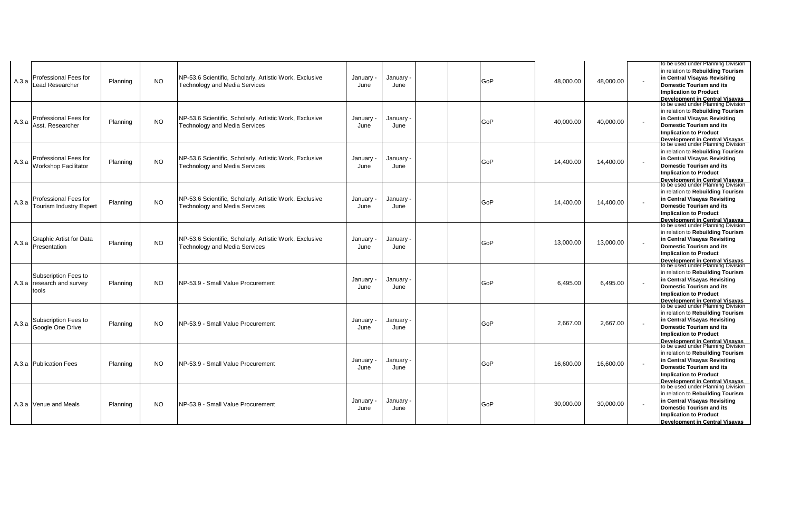| A.3.a | <b>Professional Fees for</b><br>ead Researcher             | Planning | <b>NO</b> | NP-53.6 Scientific, Scholarly, Artistic Work, Exclusive<br><b>Technology and Media Services</b> | January ·<br>June | January<br>June | GoP        | 48,000.00 | 48,000.00 | to be used under Planning Division<br>in relation to Rebuilding Tourism<br>in Central Visayas Revisiting<br><b>Domestic Tourism and its</b><br><b>Implication to Product</b><br><b>Development in Central Visayas</b><br>to be used under Planning Division |
|-------|------------------------------------------------------------|----------|-----------|-------------------------------------------------------------------------------------------------|-------------------|-----------------|------------|-----------|-----------|-------------------------------------------------------------------------------------------------------------------------------------------------------------------------------------------------------------------------------------------------------------|
| A.3.a | Professional Fees for<br>Asst. Researcher                  | Planning | <b>NO</b> | NP-53.6 Scientific, Scholarly, Artistic Work, Exclusive<br><b>Technology and Media Services</b> | January ·<br>June | January<br>June | <b>GoP</b> | 40,000.00 | 40.000.00 | in relation to Rebuilding Tourism<br>in Central Visayas Revisiting<br><b>Domestic Tourism and its</b><br><b>Implication to Product</b><br>Development in Central Visavas<br>to be used under Planning Division                                              |
| A.3.a | Professional Fees for<br><b>Norkshop Facilitator</b>       | Planning | <b>NO</b> | NP-53.6 Scientific, Scholarly, Artistic Work, Exclusive<br><b>Technology and Media Services</b> | January<br>June   | January<br>June | GoP        | 14,400.00 | 14,400.00 | in relation to Rebuilding Tourism<br>in Central Visayas Revisiting<br>Domestic Tourism and its<br><b>Implication to Product</b><br><b>Development in Central Visayas</b><br>to be used under Planning Division                                              |
| A.3.a | Professional Fees for<br><b>Tourism Industry Expert</b>    | Planning | NO.       | NP-53.6 Scientific, Scholarly, Artistic Work, Exclusive<br><b>Technology and Media Services</b> | January<br>June   | January<br>June | GoP        | 14,400.00 | 14,400.00 | in relation to Rebuilding Tourism<br>in Central Visayas Revisiting<br><b>Domestic Tourism and its</b><br><b>Implication to Product</b><br>Development in Central Visavas<br>to be used under Planning Division                                              |
| A.3.a | <b>Graphic Artist for Data</b><br>Presentation             | Planning | NO.       | NP-53.6 Scientific, Scholarly, Artistic Work, Exclusive<br>Technology and Media Services        | January<br>June   | January<br>June | GoP        | 13,000.00 | 13,000.00 | in relation to Rebuilding Tourism<br>in Central Visayas Revisiting<br>Domestic Tourism and its<br><b>Implication to Product</b>                                                                                                                             |
|       | Subscription Fees to<br>A.3.a research and survey<br>tools | Planning | NO.       | NP-53.9 - Small Value Procurement                                                               | January -<br>June | January<br>June | GoP        | 6.495.00  | 6.495.00  | Development in Central Visavas<br>to be used under Planning Division<br>in relation to Rebuilding Tourism<br>in Central Visayas Revisiting<br><b>Domestic Tourism and its</b><br><b>Implication to Product</b>                                              |
| A.3.a | Subscription Fees to<br>Google One Drive                   | Planning | NO.       | NP-53.9 - Small Value Procurement                                                               | January<br>June   | January<br>June | GoP        | 2.667.00  | 2,667.00  | <b>Development in Central Visavas</b><br>to be used under Planning Division<br>in relation to Rebuilding Tourism<br>in Central Visayas Revisiting<br><b>Domestic Tourism and its</b><br><b>Implication to Product</b>                                       |
|       | A.3.a Publication Fees                                     | Planning | NO.       | NP-53.9 - Small Value Procurement                                                               | January<br>June   | January<br>June | GoP        | 16,600.00 | 16,600.00 | Development in Central Visavas<br>to be used under Planning Division<br>in relation to Rebuilding Tourism<br>in Central Visayas Revisiting<br>Domestic Tourism and its<br><b>Implication to Product</b>                                                     |
|       | A.3.a Venue and Meals                                      | Planning | NO.       | NP-53.9 - Small Value Procurement                                                               | January<br>June   | January<br>June | GoP        | 30,000.00 | 30,000.00 | <b>Development in Central Visayas</b><br>to be used under Planning Division<br>in relation to Rebuilding Tourism<br>in Central Visayas Revisiting<br>Domestic Tourism and its<br><b>Implication to Product</b><br><b>Development in Central Visavas</b>     |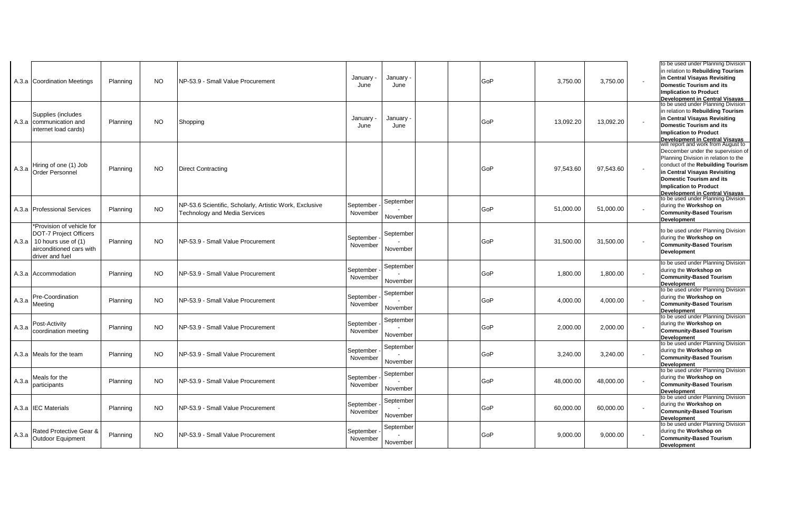|       | A.3.a Coordination Meetings                                                                                                                | Planning | <b>NO</b> | NP-53.9 - Small Value Procurement                                                               | January<br>June       | January<br>June       | GoP | 3.750.00  | 3.750.00  | to be used under Planning Division<br>in relation to Rebuilding Tourism<br>in Central Visayas Revisiting<br>Domestic Tourism and its<br><b>Implication to Product</b><br><b>Development in Central Visayas</b><br>to be used under Planning Division |
|-------|--------------------------------------------------------------------------------------------------------------------------------------------|----------|-----------|-------------------------------------------------------------------------------------------------|-----------------------|-----------------------|-----|-----------|-----------|------------------------------------------------------------------------------------------------------------------------------------------------------------------------------------------------------------------------------------------------------|
|       | Supplies (includes<br>A.3.a communication and<br>internet load cards)                                                                      | Planning | <b>NO</b> | Shopping                                                                                        | January -<br>June     | January<br>June       | GoP | 13,092.20 | 13,092.20 | in relation to Rebuilding Tourism<br>in Central Visayas Revisiting<br>Domestic Tourism and its<br><b>Implication to Product</b><br><b>Development in Central Visavas</b><br>will report and work from August to                                      |
| A.3.a | Hiring of one (1) Job<br><b>Order Personnel</b>                                                                                            | Planning | <b>NO</b> | <b>Direct Contracting</b>                                                                       |                       |                       | GoP | 97,543.60 | 97,543.60 | Deccember under the supervision of<br>Planning Division in relation to the<br>conduct of the Rebuilding Tourism<br>in Central Visayas Revisiting<br>Domestic Tourism and its<br><b>Implication to Product</b>                                        |
|       | A.3.a Professional Services                                                                                                                | Planning | <b>NO</b> | NP-53.6 Scientific, Scholarly, Artistic Work, Exclusive<br><b>Technology and Media Services</b> | September<br>November | September<br>November | GoP | 51,000.00 | 51,000.00 | <b>Development in Central Visavas</b><br>to be used under Planning Division<br>during the Workshop on<br><b>Community-Based Tourism</b><br>Development                                                                                               |
|       | *Provision of vehicle for<br><b>DOT-7 Project Officers</b><br>A.3.a   10 hours use of $(1)$<br>airconditioned cars with<br>driver and fuel | Planning | <b>NO</b> | NP-53.9 - Small Value Procurement                                                               | September<br>November | September<br>November | GoP | 31,500.00 | 31,500.00 | to be used under Planning Division<br>during the Workshop on<br><b>Community-Based Tourism</b><br><b>Development</b>                                                                                                                                 |
|       | A.3.a Accommodation                                                                                                                        | Planning | NO.       | NP-53.9 - Small Value Procurement                                                               | September<br>November | September<br>November | GoP | 1,800.00  | 1,800.00  | to be used under Planning Division<br>during the Workshop on<br><b>Community-Based Tourism</b><br>Development                                                                                                                                        |
| A.3.a | Pre-Coordination<br>Meeting                                                                                                                | Planning | <b>NO</b> | NP-53.9 - Small Value Procurement                                                               | September<br>November | September<br>November | GoP | 4.000.00  | 4.000.00  | to be used under Planning Division<br>during the Workshop on<br><b>Community-Based Tourism</b><br><b>Development</b>                                                                                                                                 |
| A.3.a | Post-Activity<br>coordination meeting                                                                                                      | Planning | <b>NO</b> | NP-53.9 - Small Value Procurement                                                               | September<br>November | September<br>November | GoP | 2,000.00  | 2,000.00  | to be used under Planning Division<br>during the Workshop on<br><b>Community-Based Tourism</b><br><b>Development</b>                                                                                                                                 |
|       | A.3.a Meals for the team                                                                                                                   | Planning | <b>NO</b> | NP-53.9 - Small Value Procurement                                                               | September<br>November | September<br>November | GoP | 3,240.00  | 3,240.00  | to be used under Planning Division<br>during the Workshop on<br><b>Community-Based Tourism</b><br>Development                                                                                                                                        |
| A.3.a | Meals for the<br>participants                                                                                                              | Planning | <b>NO</b> | NP-53.9 - Small Value Procurement                                                               | September<br>November | September<br>November | GoP | 48,000.00 | 48,000.00 | to be used under Planning Division<br>during the Workshop on<br><b>Community-Based Tourism</b><br><b>Development</b>                                                                                                                                 |
|       | A.3.a <b>IEC</b> Materials                                                                                                                 | Planning | NO.       | NP-53.9 - Small Value Procurement                                                               | September<br>November | September<br>November | GoP | 60,000.00 | 60,000.00 | to be used under Planning Division<br>during the Workshop on<br><b>Community-Based Tourism</b><br><b>Development</b>                                                                                                                                 |
| A.3.a | Rated Protective Gear &<br>Outdoor Equipment                                                                                               | Planning | NO.       | NP-53.9 - Small Value Procurement                                                               | September<br>November | September<br>November | GoP | 9,000.00  | 9,000.00  | to be used under Planning Division<br>during the Workshop on<br><b>Community-Based Tourism</b><br><b>Development</b>                                                                                                                                 |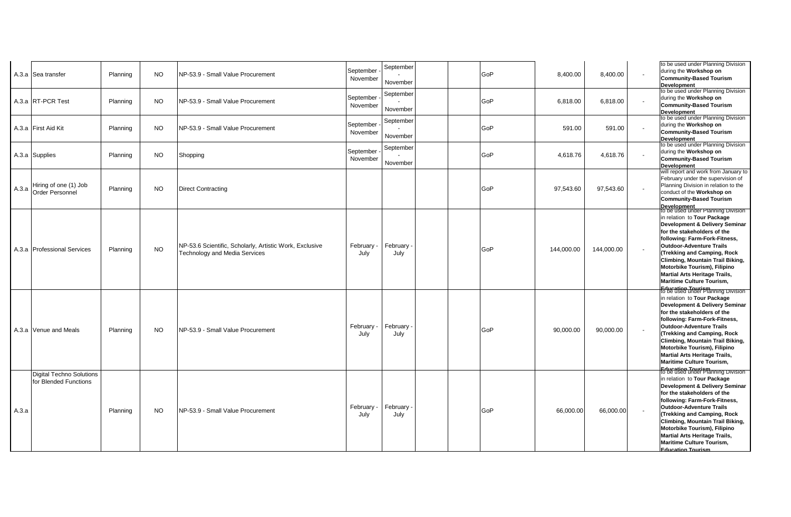|       | A.3.a Sea transfer                                       | Planning | NO.       | NP-53.9 - Small Value Procurement                                                               | September<br>November | September<br>November | GoP | 8,400.00   | 8,400.00   | to be used under Planning Division<br>during the Workshop on<br><b>Community-Based Tourism</b><br><b>Development</b><br>to be used under Planning Division                                                                                                                                                                                                                                                 |
|-------|----------------------------------------------------------|----------|-----------|-------------------------------------------------------------------------------------------------|-----------------------|-----------------------|-----|------------|------------|------------------------------------------------------------------------------------------------------------------------------------------------------------------------------------------------------------------------------------------------------------------------------------------------------------------------------------------------------------------------------------------------------------|
|       | A.3.a RT-PCR Test                                        | Planning | <b>NO</b> | NP-53.9 - Small Value Procurement                                                               | September<br>November | September<br>November | GoP | 6,818.00   | 6,818.00   | during the Workshop on<br><b>Community-Based Tourism</b><br><b>Development</b>                                                                                                                                                                                                                                                                                                                             |
|       | A.3.a First Aid Kit                                      | Planning | <b>NO</b> | NP-53.9 - Small Value Procurement                                                               | September<br>November | September<br>November | GoP | 591.00     | 591.00     | to be used under Planning Division<br>during the Workshop on<br><b>Community-Based Tourism</b><br><b>Development</b>                                                                                                                                                                                                                                                                                       |
|       | A.3.a Supplies                                           | Planning | <b>NO</b> | Shopping                                                                                        | September<br>November | September<br>November | GoP | 4,618.76   | 4,618.76   | to be used under Planning Division<br>during the Workshop on<br><b>Community-Based Tourism</b><br><b>Development</b>                                                                                                                                                                                                                                                                                       |
| A.3.a | Hiring of one (1) Job<br>Order Personnel                 | Planning | NO.       | <b>Direct Contracting</b>                                                                       |                       |                       | GoP | 97,543.60  | 97,543.60  | will report and work from January to<br>February under the supervision of<br>Planning Division in relation to the<br>conduct of the Workshop on<br><b>Community-Based Tourism</b><br>Development                                                                                                                                                                                                           |
|       | A.3.a Professional Services                              | Planning | <b>NO</b> | NP-53.6 Scientific, Scholarly, Artistic Work, Exclusive<br><b>Technology and Media Services</b> | February<br>July      | February<br>July      | GoP | 144,000.00 | 144,000.00 | to be used under Planning Division<br>in relation to Tour Package<br>Development & Delivery Seminar<br>for the stakeholders of the<br>following: Farm-Fork-Fitness,<br><b>Outdoor-Adventure Trails</b><br>(Trekking and Camping, Rock<br>Climbing, Mountain Trail Biking,<br>Motorbike Tourism), Filipino<br><b>Martial Arts Heritage Trails,</b><br><b>Maritime Culture Tourism,</b>                      |
|       | A.3.a Venue and Meals                                    | Planning | <b>NO</b> | NP-53.9 - Small Value Procurement                                                               | February -<br>July    | February<br>July      | GoP | 90,000.00  | 90,000.00  | <b>Education Tourism</b><br>to be used under Planning Division<br>in relation to Tour Package<br>Development & Delivery Seminar<br>for the stakeholders of the<br>following: Farm-Fork-Fitness,<br>Outdoor-Adventure Trails<br>(Trekking and Camping, Rock<br>Climbing, Mountain Trail Biking,<br>Motorbike Tourism), Filipino<br><b>Martial Arts Heritage Trails,</b><br><b>Maritime Culture Tourism,</b> |
| A.3.a | <b>Digital Techno Solutions</b><br>for Blended Functions | Planning | NO.       | NP-53.9 - Small Value Procurement                                                               | February -<br>July    | February<br>July      | GoP | 66,000.00  | 66,000.00  | Folucation Tourism ning Division<br>in relation to Tour Package<br>Development & Delivery Seminar<br>for the stakeholders of the<br>following: Farm-Fork-Fitness,<br><b>Outdoor-Adventure Trails</b><br>(Trekking and Camping, Rock<br>Climbing, Mountain Trail Biking,<br>Motorbike Tourism), Filipino<br><b>Martial Arts Heritage Trails,</b><br>Maritime Culture Tourism,<br><b>Education Tourism</b>   |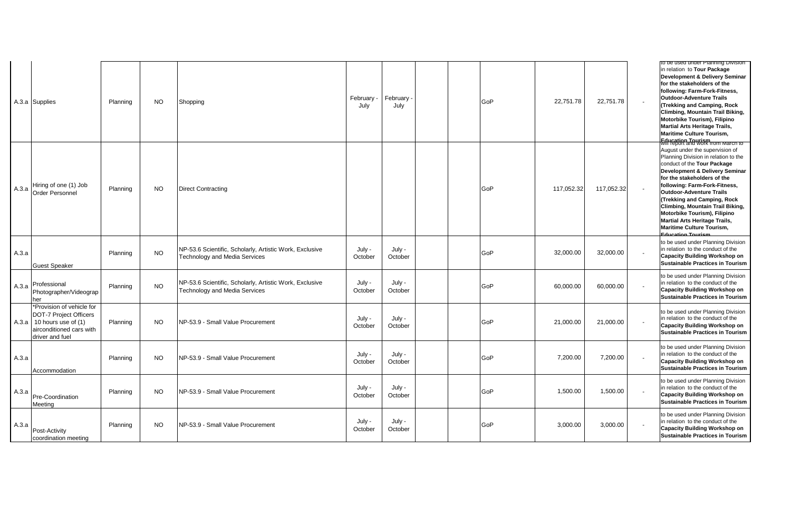|       | A.3.a Supplies                                                                                                                      | Planning | <b>NO</b> | Shopping                                                                                        | February -<br>July | February<br>July  |  | GoP | 22,751.78  | 22,751.78  | to be used under Planning Division<br>in relation to Tour Package<br>Development & Delivery Seminar<br>for the stakeholders of the<br>following: Farm-Fork-Fitness,<br><b>Outdoor-Adventure Trails</b><br>(Trekking and Camping, Rock<br>Climbing, Mountain Trail Biking,<br>Motorbike Tourism), Filipino<br><b>Martial Arts Heritage Trails,</b><br><b>Maritime Culture Tourism,</b><br><b>Education Tourism</b><br>Will report and work from March to |
|-------|-------------------------------------------------------------------------------------------------------------------------------------|----------|-----------|-------------------------------------------------------------------------------------------------|--------------------|-------------------|--|-----|------------|------------|---------------------------------------------------------------------------------------------------------------------------------------------------------------------------------------------------------------------------------------------------------------------------------------------------------------------------------------------------------------------------------------------------------------------------------------------------------|
| A.3.a | Hiring of one (1) Job<br>Order Personnel                                                                                            | Planning | <b>NO</b> | <b>Direct Contracting</b>                                                                       |                    |                   |  | GoP | 117,052.32 | 117,052.32 | August under the supervision of<br>Planning Division in relation to the<br>conduct of the Tour Package<br>Development & Delivery Seminar<br>for the stakeholders of the<br>following: Farm-Fork-Fitness,<br><b>Outdoor-Adventure Trails</b><br>(Trekking and Camping, Rock<br>Climbing, Mountain Trail Biking,<br>Motorbike Tourism), Filipino<br><b>Martial Arts Heritage Trails,</b><br>Maritime Culture Tourism,<br><b>Education Touriem</b>         |
| A.3.a | <b>Guest Speaker</b>                                                                                                                | Planning | <b>NO</b> | NP-53.6 Scientific, Scholarly, Artistic Work, Exclusive<br><b>Technology and Media Services</b> | July -<br>October  | July -<br>October |  | GoP | 32,000.00  | 32,000.00  | to be used under Planning Division<br>in relation to the conduct of the<br><b>Capacity Building Workshop on</b><br><b>Sustainable Practices in Tourism</b>                                                                                                                                                                                                                                                                                              |
|       | A.3.a Professional<br>Photographer/Videograp<br>her                                                                                 | Planning | <b>NO</b> | NP-53.6 Scientific, Scholarly, Artistic Work, Exclusive<br><b>Technology and Media Services</b> | July -<br>October  | July -<br>October |  | GoP | 60,000.00  | 60,000.00  | to be used under Planning Division<br>in relation to the conduct of the<br><b>Capacity Building Workshop on</b><br><b>Sustainable Practices in Tourism</b>                                                                                                                                                                                                                                                                                              |
|       | *Provision of vehicle for<br>DOT-7 Project Officers<br>A.3.a   10 hours use of $(1)$<br>airconditioned cars with<br>driver and fuel | Planning | <b>NO</b> | NP-53.9 - Small Value Procurement                                                               | July -<br>October  | July -<br>October |  | GoP | 21,000.00  | 21,000.00  | to be used under Planning Division<br>in relation to the conduct of the<br><b>Capacity Building Workshop on</b><br><b>Sustainable Practices in Tourism</b>                                                                                                                                                                                                                                                                                              |
| A.3.a | Accommodation                                                                                                                       | Planning | <b>NO</b> | NP-53.9 - Small Value Procurement                                                               | July -<br>October  | July -<br>October |  | GoP | 7,200.00   | 7,200.00   | to be used under Planning Division<br>in relation to the conduct of the<br><b>Capacity Building Workshop on</b><br><b>Sustainable Practices in Tourism</b>                                                                                                                                                                                                                                                                                              |
| A.3.a | Pre-Coordination<br>Meeting                                                                                                         | Planning | <b>NO</b> | NP-53.9 - Small Value Procurement                                                               | July -<br>October  | July -<br>October |  | GoP | 1,500.00   | 1,500.00   | to be used under Planning Division<br>in relation to the conduct of the<br><b>Capacity Building Workshop on</b><br><b>Sustainable Practices in Tourism</b>                                                                                                                                                                                                                                                                                              |
| A.3.a | Post-Activity<br>coordination meeting                                                                                               | Planning | <b>NO</b> | NP-53.9 - Small Value Procurement                                                               | July -<br>October  | July -<br>October |  | GoP | 3,000.00   | 3,000.00   | to be used under Planning Division<br>in relation to the conduct of the<br><b>Capacity Building Workshop on</b><br><b>Sustainable Practices in Tourism</b>                                                                                                                                                                                                                                                                                              |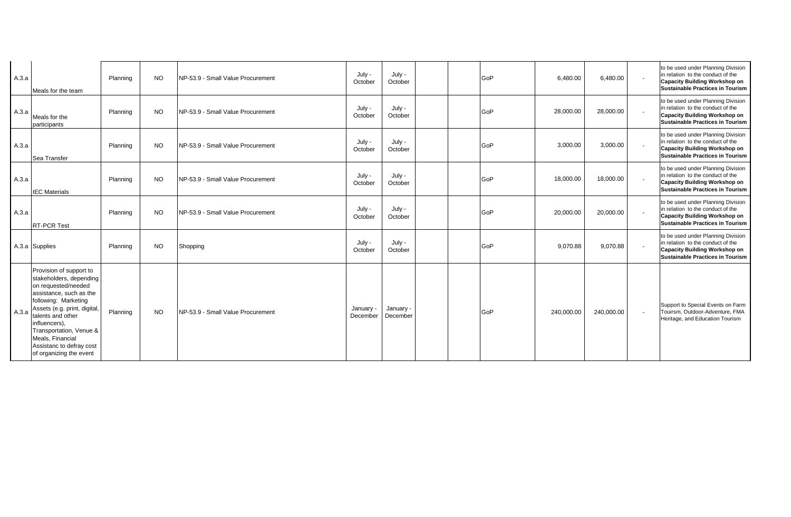| A.3.a | Meals for the team                                                                                                                                                                                                                                                                                       | Planning | <b>NO</b> | NP-53.9 - Small Value Procurement | July -<br>October     | July -<br>October     |  | GoP | 6,480.00   | 6,480.00   | $\sim$                   | to be used under Planning Division<br>in relation to the conduct of the<br><b>Capacity Building Workshop on</b><br>Sustainable Practices in Tourism        |
|-------|----------------------------------------------------------------------------------------------------------------------------------------------------------------------------------------------------------------------------------------------------------------------------------------------------------|----------|-----------|-----------------------------------|-----------------------|-----------------------|--|-----|------------|------------|--------------------------|------------------------------------------------------------------------------------------------------------------------------------------------------------|
| A.3.a | Meals for the<br>participants                                                                                                                                                                                                                                                                            | Planning | <b>NO</b> | NP-53.9 - Small Value Procurement | July -<br>October     | July -<br>October     |  | GoP | 28,000.00  | 28,000.00  | $\sim$                   | to be used under Planning Division<br>in relation to the conduct of the<br><b>Capacity Building Workshop on</b><br><b>Sustainable Practices in Tourism</b> |
| A.3.a | Sea Transfer                                                                                                                                                                                                                                                                                             | Planning | <b>NO</b> | NP-53.9 - Small Value Procurement | July -<br>October     | July -<br>October     |  | GoP | 3.000.00   | 3,000.00   | $\sim$                   | to be used under Planning Division<br>in relation to the conduct of the<br><b>Capacity Building Workshop on</b><br><b>Sustainable Practices in Tourism</b> |
| A.3.a | <b>IEC Materials</b>                                                                                                                                                                                                                                                                                     | Planning | <b>NO</b> | NP-53.9 - Small Value Procurement | July -<br>October     | July -<br>October     |  | GoP | 18,000.00  | 18,000.00  | $\sim$                   | to be used under Planning Division<br>in relation to the conduct of the<br><b>Capacity Building Workshop on</b><br><b>Sustainable Practices in Tourism</b> |
| A.3.a | <b>RT-PCR Test</b>                                                                                                                                                                                                                                                                                       | Planning | <b>NO</b> | NP-53.9 - Small Value Procurement | July -<br>October     | July -<br>October     |  | GoP | 20,000.00  | 20,000.00  | $\sim$                   | to be used under Planning Division<br>in relation to the conduct of the<br><b>Capacity Building Workshop on</b><br>Sustainable Practices in Tourism        |
|       | A.3.a Supplies                                                                                                                                                                                                                                                                                           | Planning | <b>NO</b> | Shopping                          | July -<br>October     | July -<br>October     |  | GoP | 9.070.88   | 9,070.88   | $\overline{\phantom{a}}$ | to be used under Planning Division<br>in relation to the conduct of the<br><b>Capacity Building Workshop on</b><br><b>Sustainable Practices in Tourism</b> |
| A.3.a | Provision of support to<br>stakeholders, depending<br>on requested/needed<br>assistance, such as the<br>following: Marketing<br>Assets (e.g. print, digital,<br>talents and other<br>influencers),<br>Transportation, Venue &<br>Meals, Financial<br>Assistanc to defray cost<br>of organizing the event | Planning | <b>NO</b> | NP-53.9 - Small Value Procurement | January -<br>December | January -<br>December |  | GoP | 240,000.00 | 240,000.00 | $\sim$                   | Support to Special Events on Farm<br>Touirsm, Outdoor-Adventure, FMA<br>Heritage, and Education Tourism                                                    |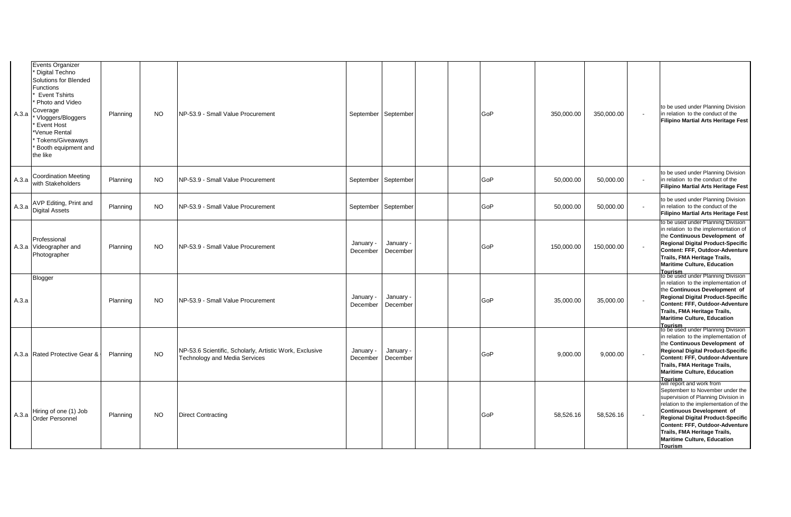| A.3.a | <b>Events Organizer</b><br>Digital Techno<br>Solutions for Blended<br>Functions<br><b>Event Tshirts</b><br>Photo and Video<br>Coverage<br>Vloggers/Bloggers<br><b>Event Host</b><br>Venue Rental<br>Tokens/Giveaways<br>Booth equipment and<br>the like | Planning | <b>NO</b> | NP-53.9 - Small Value Procurement                                                               | September September   |                       | GoP | 350,000.00 | 350,000.00 | to be used under Planning Division<br>in relation to the conduct of the<br><b>Filipino Martial Arts Heritage Fest</b>                                                                                                                                                                                                |
|-------|---------------------------------------------------------------------------------------------------------------------------------------------------------------------------------------------------------------------------------------------------------|----------|-----------|-------------------------------------------------------------------------------------------------|-----------------------|-----------------------|-----|------------|------------|----------------------------------------------------------------------------------------------------------------------------------------------------------------------------------------------------------------------------------------------------------------------------------------------------------------------|
| A.3.a | <b>Coordination Meeting</b><br>with Stakeholders                                                                                                                                                                                                        | Planning | <b>NO</b> | NP-53.9 - Small Value Procurement                                                               | September September   |                       | GoP | 50,000.00  | 50,000.00  | to be used under Planning Division<br>in relation to the conduct of the<br><b>Filipino Martial Arts Heritage Fest</b>                                                                                                                                                                                                |
| A.3.a | AVP Editing, Print and<br><b>Digital Assets</b>                                                                                                                                                                                                         | Planning | <b>NO</b> | NP-53.9 - Small Value Procurement                                                               | September September   |                       | GoP | 50,000.00  | 50,000.00  | to be used under Planning Division<br>in relation to the conduct of the<br><b>Filipino Martial Arts Heritage Fest</b>                                                                                                                                                                                                |
|       | Professional<br>A.3.a Videographer and<br>Photographer                                                                                                                                                                                                  | Planning | <b>NO</b> | NP-53.9 - Small Value Procurement                                                               | January -<br>December | January ·<br>December | GoP | 150,000.00 | 150,000.00 | to be used under Planning Division<br>in relation to the implementation of<br>the Continuous Development of<br><b>Regional Digital Product-Specific</b><br>Content: FFF, Outdoor-Adventure<br>Trails, FMA Heritage Trails,<br><b>Maritime Culture, Education</b><br><b>Tourism</b>                                   |
| A.3.a | Blogger                                                                                                                                                                                                                                                 | Planning | <b>NO</b> | NP-53.9 - Small Value Procurement                                                               | January -<br>December | January -<br>December | GoP | 35,000.00  | 35,000.00  | to be used under Planning Division<br>in relation to the implementation of<br>the Continuous Development of<br>Regional Digital Product-Specific<br>Content: FFF, Outdoor-Adventure<br>Trails, FMA Heritage Trails,<br><b>Maritime Culture, Education</b><br><b>Tourism</b>                                          |
|       | A.3.a Rated Protective Gear &                                                                                                                                                                                                                           | Planning | <b>NO</b> | NP-53.6 Scientific, Scholarly, Artistic Work, Exclusive<br><b>Technology and Media Services</b> | January -<br>December | January -<br>December | GoP | 9,000.00   | 9,000.00   | to be used under Planning Division<br>in relation to the implementation of<br>the Continuous Development of<br>Regional Digital Product-Specific<br>Content: FFF, Outdoor-Adventure<br>Trails, FMA Heritage Trails,<br><b>Maritime Culture, Education</b><br>Tourism<br> will report and work from                   |
| A.3.a | Hiring of one (1) Job<br><b>Order Personnel</b>                                                                                                                                                                                                         | Planning | <b>NO</b> | <b>Direct Contracting</b>                                                                       |                       |                       | GoP | 58,526.16  | 58,526.16  | Septemberr to November under the<br>supervision of Planning Division in<br>relation to the implementation of the<br>Continuous Development of<br><b>Regional Digital Product-Specific</b><br>Content: FFF, Outdoor-Adventure<br>Trails, FMA Heritage Trails,<br><b>Maritime Culture, Education</b><br><b>Tourism</b> |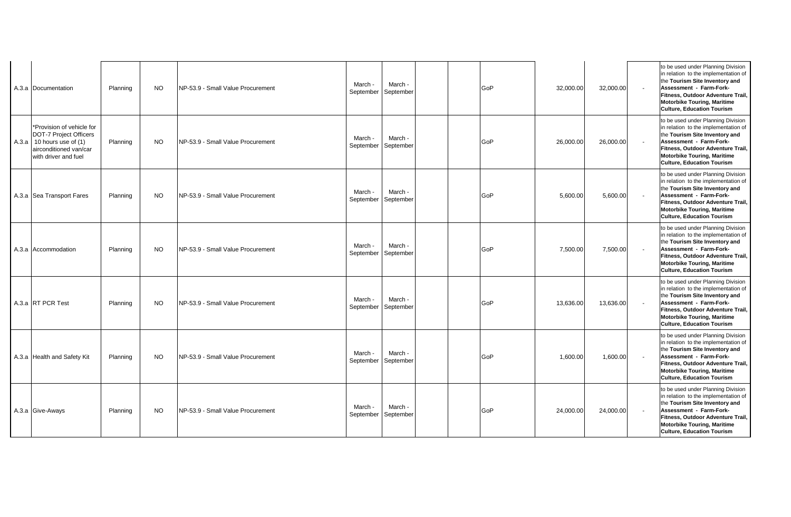| A.3.a Documentation                                                                                                                           | Planning | <b>NO</b> | NP-53.9 - Small Value Procurement  | March -<br>September | March -<br>September           | GoP | 32,000.00 | 32,000.00 |        | to be used under Planning Division<br>in relation to the implementation of<br>the Tourism Site Inventory and<br>Assessment - Farm-Fork-<br>Fitness, Outdoor Adventure Trail.<br><b>Motorbike Touring, Maritime</b><br><b>Culture, Education Tourism</b> |
|-----------------------------------------------------------------------------------------------------------------------------------------------|----------|-----------|------------------------------------|----------------------|--------------------------------|-----|-----------|-----------|--------|---------------------------------------------------------------------------------------------------------------------------------------------------------------------------------------------------------------------------------------------------------|
| *Provision of vehicle for<br><b>DOT-7 Project Officers</b><br>A.3.a   10 hours use of $(1)$<br>airconditioned van/car<br>with driver and fuel | Planning | <b>NO</b> | NP-53.9 - Small Value Procurement  | March -<br>September | March -<br>September           | GoP | 26,000.00 | 26,000.00 |        | to be used under Planning Division<br>in relation to the implementation of<br>the Tourism Site Inventory and<br>Assessment - Farm-Fork-<br>Fitness, Outdoor Adventure Trail,<br><b>Motorbike Touring, Maritime</b><br><b>Culture, Education Tourism</b> |
| A.3.a Sea Transport Fares                                                                                                                     | Planning | <b>NO</b> | NP-53.9 - Small Value Procurement  | March -<br>September | March -<br>September           | GoP | 5,600.00  | 5,600.00  | $\sim$ | to be used under Planning Division<br>in relation to the implementation of<br>the Tourism Site Inventory and<br>Assessment - Farm-Fork-<br>Fitness, Outdoor Adventure Trail,<br><b>Motorbike Touring, Maritime</b><br><b>Culture, Education Tourism</b> |
| A.3.a Accommodation                                                                                                                           | Planning | <b>NO</b> | NP-53.9 - Small Value Procurement  | March -              | March -<br>September September | GoP | 7,500.00  | 7,500.00  |        | to be used under Planning Division<br>in relation to the implementation of<br>the Tourism Site Inventory and<br>Assessment - Farm-Fork-<br>Fitness, Outdoor Adventure Trail,<br><b>Motorbike Touring, Maritime</b><br><b>Culture, Education Tourism</b> |
| A.3.a RT PCR Test                                                                                                                             | Planning | <b>NO</b> | NP-53.9 - Small Value Procurement  | March -              | March -<br>September September | GoP | 13.636.00 | 13,636.00 |        | to be used under Planning Division<br>in relation to the implementation of<br>the Tourism Site Inventory and<br>Assessment - Farm-Fork-<br>Fitness, Outdoor Adventure Trail,<br><b>Motorbike Touring, Maritime</b><br><b>Culture, Education Tourism</b> |
| A.3.a Health and Safety Kit                                                                                                                   | Planning | <b>NO</b> | NP-53.9 - Small Value Procurement  | March -<br>September | March -<br>September           | GoP | 1,600.00  | 1,600.00  | $\sim$ | to be used under Planning Division<br>in relation to the implementation of<br>the Tourism Site Inventory and<br>Assessment - Farm-Fork-<br>Fitness, Outdoor Adventure Trail.<br><b>Motorbike Touring, Maritime</b><br><b>Culture, Education Tourism</b> |
| A.3.a Give-Aways                                                                                                                              | Planning | <b>NO</b> | INP-53.9 - Small Value Procurement | March -<br>September | March -<br>September           | GoP | 24,000.00 | 24,000.00 |        | to be used under Planning Division<br>in relation to the implementation of<br>the Tourism Site Inventory and<br>Assessment - Farm-Fork-<br>Fitness, Outdoor Adventure Trail,<br><b>Motorbike Touring, Maritime</b><br><b>Culture, Education Tourism</b> |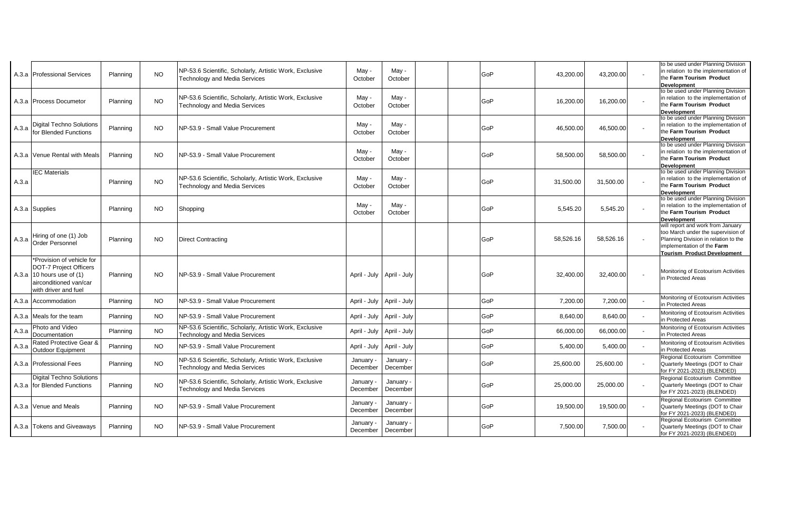|       | A.3.a   Professional Services                                                                                                                  | Planning | <b>NO</b> | NP-53.6 Scientific, Scholarly, Artistic Work, Exclusive<br><b>Technology and Media Services</b> | May -<br>October      | May -<br>October            | GoP | 43.200.00 | 43,200.00 | to be used under Planning Division<br>in relation to the implementation of<br>the Farm Tourism Product<br><b>Development</b>                                                        |
|-------|------------------------------------------------------------------------------------------------------------------------------------------------|----------|-----------|-------------------------------------------------------------------------------------------------|-----------------------|-----------------------------|-----|-----------|-----------|-------------------------------------------------------------------------------------------------------------------------------------------------------------------------------------|
|       | A.3.a Process Documetor                                                                                                                        | Planning | <b>NO</b> | NP-53.6 Scientific, Scholarly, Artistic Work, Exclusive<br><b>Technology and Media Services</b> | May -<br>October      | May -<br>October            | GoP | 16,200.00 | 16,200.00 | to be used under Planning Division<br>in relation to the implementation of<br>the Farm Tourism Product<br>Development                                                               |
| A.3.a | <b>Digital Techno Solutions</b><br>for Blended Functions                                                                                       | Planning | NO.       | NP-53.9 - Small Value Procurement                                                               | May -<br>October      | May -<br>October            | GoP | 46,500.00 | 46,500.00 | to be used under Planning Division<br>in relation to the implementation of<br>the Farm Tourism Product<br>Development                                                               |
|       | A.3.a Venue Rental with Meals                                                                                                                  | Planning | <b>NO</b> | NP-53.9 - Small Value Procurement                                                               | May -<br>October      | May -<br>October            | GoP | 58,500.00 | 58,500.00 | to be used under Planning Division<br>in relation to the implementation of<br>the Farm Tourism Product<br><b>Development</b>                                                        |
| A.3.a | <b>IEC</b> Materials                                                                                                                           | Planning | <b>NO</b> | NP-53.6 Scientific, Scholarly, Artistic Work, Exclusive<br><b>Technology and Media Services</b> | May -<br>October      | May -<br>October            | GoP | 31,500.00 | 31,500.00 | to be used under Planning Division<br>in relation to the implementation of<br>the Farm Tourism Product<br>Development                                                               |
|       | A.3.a Supplies                                                                                                                                 | Planning | <b>NO</b> | Shopping                                                                                        | May -<br>October      | May -<br>October            | GoP | 5.545.20  | 5,545.20  | to be used under Planning Division<br>in relation to the implementation of<br>the Farm Tourism Product<br><b>Development</b>                                                        |
| A.3.a | Hiring of one (1) Job<br><b>Order Personnel</b>                                                                                                | Planning | NO.       | <b>Direct Contracting</b>                                                                       |                       |                             | GoP | 58,526.16 | 58,526.16 | will report and work from January<br>too March under the supervision of<br>Planning Division in relation to the<br>implementation of the Farm<br><b>Tourism Product Development</b> |
|       | *Provision of vehicle for<br><b>DOT-7 Project Officers</b><br>A.3.a $ 10$ hours use of $(1)$<br>airconditioned van/car<br>with driver and fuel | Planning | NO.       | NP-53.9 - Small Value Procurement                                                               |                       | April - July   April - July | GoP | 32,400.00 | 32,400.00 | Monitoring of Ecotourism Activities<br>n Protected Areas                                                                                                                            |
|       | A.3.a Accommodation                                                                                                                            | Planning | <b>NO</b> | NP-53.9 - Small Value Procurement                                                               | April - July          | April - July                | GoP | 7.200.00  | 7,200.00  | Monitoring of Ecotourism Activities<br>in Protected Areas                                                                                                                           |
|       | A.3.a Meals for the team                                                                                                                       | Planning | <b>NO</b> | NP-53.9 - Small Value Procurement                                                               | April - July          | April - July                | GoP | 8,640.00  | 8,640.00  | Monitoring of Ecotourism Activities<br>in Protected Areas                                                                                                                           |
| A.3.a | Photo and Video<br>Documentation                                                                                                               | Planning | <b>NO</b> | NP-53.6 Scientific, Scholarly, Artistic Work, Exclusive<br><b>Technology and Media Services</b> | April - July          | April - July                | GoP | 66,000.00 | 66,000.00 | Monitoring of Ecotourism Activities<br>in Protected Areas                                                                                                                           |
| A.3.a | Rated Protective Gear &<br>Outdoor Equipment                                                                                                   | Planning | <b>NO</b> | NP-53.9 - Small Value Procurement                                                               | April - July          | April - July                | GoP | 5,400.00  | 5,400.00  | Monitoring of Ecotourism Activities<br>in Protected Areas                                                                                                                           |
|       | A.3.a Professional Fees                                                                                                                        | Planning | <b>NO</b> | NP-53.6 Scientific, Scholarly, Artistic Work, Exclusive<br><b>Technology and Media Services</b> | January -<br>December | January -<br>December       | GoP | 25,600.00 | 25,600.00 | Regional Ecotourism Committee<br>Quarterly Meetings (DOT to Chair<br>for FY 2021-2023) (BLENDED)                                                                                    |
|       | <b>Digital Techno Solutions</b><br>A.3.a for Blended Functions                                                                                 | Planning | <b>NO</b> | NP-53.6 Scientific, Scholarly, Artistic Work, Exclusive<br><b>Technology and Media Services</b> | January ·<br>December | January -<br>December       | GoP | 25,000.00 | 25,000.00 | Regional Ecotourism Committee<br>Quarterly Meetings (DOT to Chair<br>for FY 2021-2023) (BLENDED)                                                                                    |
|       | A.3.a Venue and Meals                                                                                                                          | Planning | <b>NO</b> | NP-53.9 - Small Value Procurement                                                               | January -<br>December | January -<br>December       | GoP | 19,500.00 | 19,500.00 | Regional Ecotourism Committee<br>Quarterly Meetings (DOT to Chair<br>for FY 2021-2023) (BLENDED)                                                                                    |
|       | A.3.a Tokens and Giveaways                                                                                                                     | Planning | NO.       | NP-53.9 - Small Value Procurement                                                               | January<br>December   | January -<br>December       | GoP | 7,500.00  | 7,500.00  | Regional Ecotourism Committee<br>Quarterly Meetings (DOT to Chair<br>for FY 2021-2023) (BLENDED)                                                                                    |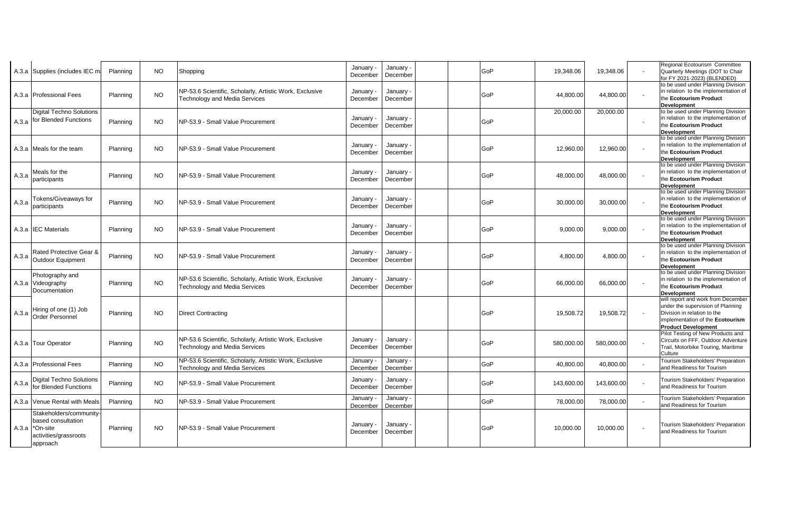|       | A.3.a Supplies (includes IEC m                                                                                   | Planning | NO.       | Shopping                                                                                        | January -<br>December | January -<br>December | GoP | 19.348.06  | 19.348.06  |                          | Regional Ecotourism Committee<br>Quarterly Meetings (DOT to Chair<br>for FY 2021-2023) (BLENDED)                                                                         |
|-------|------------------------------------------------------------------------------------------------------------------|----------|-----------|-------------------------------------------------------------------------------------------------|-----------------------|-----------------------|-----|------------|------------|--------------------------|--------------------------------------------------------------------------------------------------------------------------------------------------------------------------|
|       | A.3.a Professional Fees                                                                                          | Planning | <b>NO</b> | NP-53.6 Scientific, Scholarly, Artistic Work, Exclusive<br><b>Technology and Media Services</b> | January -<br>December | January<br>December   | GoP | 44,800.00  | 44,800.00  |                          | to be used under Planning Division<br>in relation to the implementation of<br>the Ecotourism Product<br><b>Development</b>                                               |
|       | <b>Digital Techno Solutions</b><br>A.3.a for Blended Functions                                                   | Planning | <b>NO</b> | NP-53.9 - Small Value Procurement                                                               | January -<br>December | January -<br>December | GoP | 20,000.00  | 20,000.00  |                          | to be used under Planning Division<br>in relation to the implementation of<br>the Ecotourism Product<br><b>Development</b>                                               |
|       | A.3.a Meals for the team                                                                                         | Planning | NO.       | INP-53.9 - Small Value Procurement                                                              | January ·<br>December | January -<br>December | GoP | 12.960.00  | 12,960.00  |                          | to be used under Planning Division<br>in relation to the implementation of<br>the Ecotourism Product<br><b>Development</b>                                               |
| A.3.a | Meals for the<br>participants                                                                                    | Planning | NO.       | NP-53.9 - Small Value Procurement                                                               | January -<br>December | January -<br>December | GoP | 48,000.00  | 48,000.00  |                          | to be used under Planning Division<br>in relation to the implementation of<br>the Ecotourism Product<br><b>Development</b>                                               |
| A.3.a | Tokens/Giveaways for<br>participants                                                                             | Planning | <b>NO</b> | NP-53.9 - Small Value Procurement                                                               | January ·<br>December | January -<br>December | GoP | 30,000.00  | 30,000.00  |                          | to be used under Planning Division<br>in relation to the implementation of<br>the Ecotourism Product<br><b>Development</b>                                               |
|       | A.3.a <b>IEC</b> Materials                                                                                       | Planning | <b>NO</b> | NP-53.9 - Small Value Procurement                                                               | January -<br>December | January -<br>December | GoP | 9,000.00   | 9,000.00   |                          | to be used under Planning Division<br>in relation to the implementation of<br>the Ecotourism Product<br><b>Development</b>                                               |
| A.3.a | Rated Protective Gear &<br>Outdoor Equipment                                                                     | Planning | NO.       | NP-53.9 - Small Value Procurement                                                               | January -<br>December | January -<br>December | GoP | 4.800.00   | 4,800.00   |                          | to be used under Planning Division<br>in relation to the implementation of<br>the Ecotourism Product<br><b>Development</b>                                               |
|       | Photography and<br>A.3.a Videography<br>Documentation                                                            | Planning | <b>NO</b> | NP-53.6 Scientific, Scholarly, Artistic Work, Exclusive<br><b>Technology and Media Services</b> | January<br>December   | January -<br>December | GoP | 66,000.00  | 66,000.00  |                          | to be used under Planning Division<br>in relation to the implementation of<br>the Ecotourism Product<br><b>Development</b>                                               |
| A.3.a | Hiring of one (1) Job<br>Order Personnel                                                                         | Planning | NO.       | <b>Direct Contracting</b>                                                                       |                       |                       | GoP | 19,508.72  | 19,508.72  | $\overline{\phantom{a}}$ | will report and work from December<br>under the supervision of Planning<br>Division in relation to the<br>implementation of the Ecotourism<br><b>Product Development</b> |
|       | A.3.a   Tour Operator                                                                                            | Planning | <b>NO</b> | NP-53.6 Scientific, Scholarly, Artistic Work, Exclusive<br><b>Technology and Media Services</b> | January -<br>December | January -<br>December | GoP | 580,000.00 | 580,000.00 |                          | Pilot Testing of New Products and<br>Circuits on FFF, Outdoor Adventure<br>Trail, Motorbike Touring, Maritime<br>Culture                                                 |
|       | A.3.a Professional Fees                                                                                          | Planning | NO.       | NP-53.6 Scientific, Scholarly, Artistic Work, Exclusive<br><b>Technology and Media Services</b> | January -<br>December | January -<br>December | GoP | 40,800.00  | 40,800.00  |                          | Tourism Stakeholders' Preparation<br>and Readiness for Tourism                                                                                                           |
| A.3.a | <b>Digital Techno Solutions</b><br>for Blended Functions                                                         | Planning | <b>NO</b> | NP-53.9 - Small Value Procurement                                                               | January -<br>December | January -<br>December | GoP | 143,600.00 | 143,600.00 | $\sim$                   | <b>Tourism Stakeholders' Preparation</b><br>and Readiness for Tourism                                                                                                    |
|       | A.3.a Venue Rental with Meals                                                                                    | Planning | NO.       | NP-53.9 - Small Value Procurement                                                               | January<br>December   | January -<br>December | GoP | 78,000.00  | 78,000.00  |                          | Tourism Stakeholders' Preparation<br>and Readiness for Tourism                                                                                                           |
|       | Stakeholders/community-<br>based consultation<br>A.3.a <sup>*</sup> On-site<br>activities/grassroots<br>approach | Planning | NO.       | INP-53.9 - Small Value Procurement                                                              | January<br>December   | January<br>December   | GoP | 10.000.00  | 10,000.00  |                          | <b>Tourism Stakeholders' Preparation</b><br>and Readiness for Tourism                                                                                                    |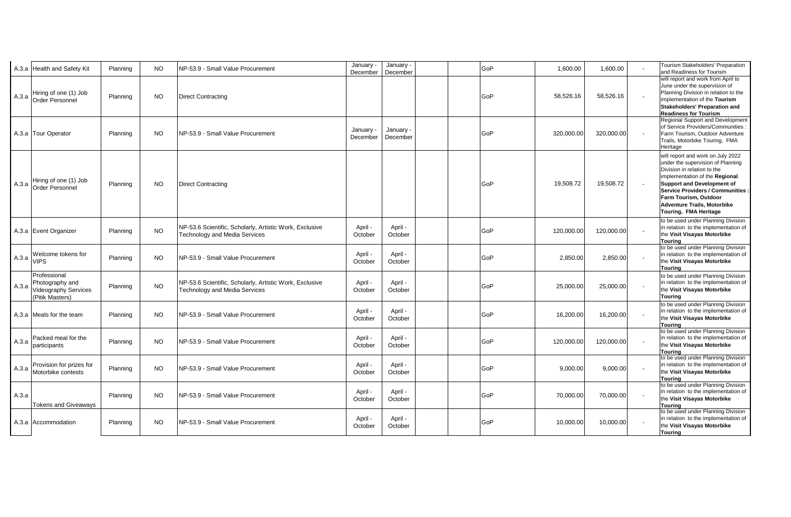|       | A.3.a Health and Safety Kit                                                       | Planning | <b>NO</b> | NP-53.9 - Small Value Procurement                                                               | January -<br>December | January -<br>December | GoP | 1,600.00   | 1,600.00   | Tourism Stakeholders' Preparation<br>and Readiness for Tourism                                                                                                                                                                                                                                                   |
|-------|-----------------------------------------------------------------------------------|----------|-----------|-------------------------------------------------------------------------------------------------|-----------------------|-----------------------|-----|------------|------------|------------------------------------------------------------------------------------------------------------------------------------------------------------------------------------------------------------------------------------------------------------------------------------------------------------------|
| A.3.a | Hiring of one (1) Job<br><b>Order Personnel</b>                                   | Planning | <b>NO</b> | <b>Direct Contracting</b>                                                                       |                       |                       | GoP | 58,526.16  | 58,526.16  | will report and work from April to<br>June under the supervision of<br>Planning Division in relation to the<br>implementation of the Tourism<br>Stakeholders' Preparation and<br><b>Readiness for Tourism</b>                                                                                                    |
|       | A.3.a Tour Operator                                                               | Planning | <b>NO</b> | NP-53.9 - Small Value Procurement                                                               | January -<br>December | January ·<br>December | GoP | 320,000.00 | 320,000.00 | Regional Support and Development<br>of Service Providers/Communities<br>Farm Tourism, Outdoor Adventure<br>Trails, Motorbike Touring, FMA<br>Heritage                                                                                                                                                            |
|       | Hiring of one (1) Job<br>A.3.a Order Personnel                                    | Planning | NO.       | <b>Direct Contracting</b>                                                                       |                       |                       | GoP | 19,508.72  | 19,508.72  | will report and work on July 2022<br>under the supervision of Planning<br>Division in relation to the<br>implementation of the Regional<br><b>Support and Development of</b><br><b>Service Providers / Communities :</b><br>Farm Tourism, Outdoor<br><b>Adventure Trails, Motorbike</b><br>Touring, FMA Heritage |
|       | A.3.a Event Organizer                                                             | Planning | <b>NO</b> | NP-53.6 Scientific, Scholarly, Artistic Work, Exclusive<br><b>Technology and Media Services</b> | April -<br>October    | April -<br>October    | GoP | 120,000.00 | 120,000.00 | to be used under Planning Division<br>in relation to the implementation of<br>the Visit Visayas Motorbike<br><b>Touring</b>                                                                                                                                                                                      |
| A.3.a | Welcome tokens for<br><b>VIPS</b>                                                 | Planning | <b>NO</b> | NP-53.9 - Small Value Procurement                                                               | April -<br>October    | April -<br>October    | GoP | 2,850.00   | 2,850.00   | to be used under Planning Division<br>in relation to the implementation of<br>the Visit Visayas Motorbike<br>Tourina                                                                                                                                                                                             |
| A 3 a | Professional<br>Photography and<br><b>Videography Services</b><br>(Pitik Masters) | Planning | <b>NO</b> | NP-53.6 Scientific, Scholarly, Artistic Work, Exclusive<br><b>Technology and Media Services</b> | April -<br>October    | April -<br>October    | GoP | 25,000.00  | 25,000.00  | to be used under Planning Division<br>in relation to the implementation of<br>the Visit Visayas Motorbike<br><b>Touring</b>                                                                                                                                                                                      |
|       | A.3.a Meals for the team                                                          | Planning | <b>NO</b> | INP-53.9 - Small Value Procurement                                                              | April -<br>October    | April -<br>October    | GoP | 16,200.00  | 16,200.00  | to be used under Planning Division<br>in relation to the implementation of<br>the Visit Visayas Motorbike<br><b>Touring</b>                                                                                                                                                                                      |
| A.3.a | Packed meal for the<br>participants                                               | Planning | NO.       | NP-53.9 - Small Value Procurement                                                               | April -<br>October    | April -<br>October    | GoP | 120,000.00 | 120,000.00 | to be used under Planning Division<br>in relation to the implementation of<br>the Visit Visayas Motorbike<br>Tourina                                                                                                                                                                                             |
| A.3.a | Provision for prizes for<br>Motorbike contests                                    | Planning | <b>NO</b> | NP-53.9 - Small Value Procurement                                                               | April -<br>October    | April -<br>October    | GoP | 9,000.00   | 9,000.00   | to be used under Planning Division<br>in relation to the implementation of<br>the Visit Visayas Motorbike<br><b>Tourina</b>                                                                                                                                                                                      |
| A.3.a | <b>Tokens and Giveaways</b>                                                       | Planning | <b>NO</b> | NP-53.9 - Small Value Procurement                                                               | April -<br>October    | April -<br>October    | GoP | 70,000.00  | 70,000.00  | to be used under Planning Division<br>in relation to the implementation of<br>the Visit Visayas Motorbike<br>Tourina                                                                                                                                                                                             |
|       | A.3.a Accommodation                                                               | Planning | NO.       | NP-53.9 - Small Value Procurement                                                               | April -<br>October    | April -<br>October    | GoP | 10,000.00  | 10,000.00  | to be used under Planning Division<br>in relation to the implementation of<br>the Visit Visayas Motorbike<br><b>Touring</b>                                                                                                                                                                                      |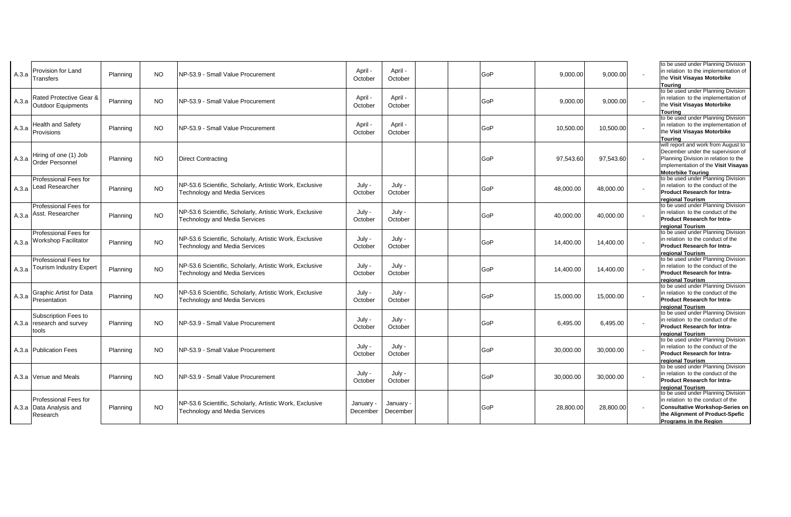| A.3.a | Provision for Land<br>Transfers                               | Planning | NO.       | NP-53.9 - Small Value Procurement                                                               | April -<br>October    | April -<br>October    | GoP | 9,000.00  | 9,000.00  | to be used under Planning Division<br>in relation to the implementation of<br>the Visit Visayas Motorbike<br>Tourina                                                                |
|-------|---------------------------------------------------------------|----------|-----------|-------------------------------------------------------------------------------------------------|-----------------------|-----------------------|-----|-----------|-----------|-------------------------------------------------------------------------------------------------------------------------------------------------------------------------------------|
| A.3.a | Rated Protective Gear &<br>Outdoor Equipments                 | Planning | NO.       | NP-53.9 - Small Value Procurement                                                               | April -<br>October    | April -<br>October    | GoP | 9,000.00  | 9,000.00  | to be used under Planning Division<br>in relation to the implementation of<br>the Visit Visayas Motorbike<br>Tourina                                                                |
| A.3.a | Health and Safety<br>Provisions                               | Planning | <b>NO</b> | NP-53.9 - Small Value Procurement                                                               | April -<br>October    | April -<br>October    | GoP | 10.500.00 | 10,500.00 | to be used under Planning Division<br>in relation to the implementation of<br>the Visit Visayas Motorbike<br>Tourina                                                                |
| A.3.a | Hiring of one (1) Job<br><b>Order Personnel</b>               | Planning | <b>NO</b> | <b>Direct Contracting</b>                                                                       |                       |                       | GoP | 97,543.60 | 97,543.60 | will report and work from August to<br>December under the supervision of<br>Planning Division in relation to the<br>implementation of the Visit Visayas<br><b>Motorbike Touring</b> |
|       | Professional Fees for<br>A.3.a Lead Researcher                | Planning | <b>NO</b> | NP-53.6 Scientific, Scholarly, Artistic Work, Exclusive<br><b>Technology and Media Services</b> | July -<br>October     | July -<br>October     | GoP | 48,000.00 | 48,000.00 | to be used under Planning Division<br>in relation to the conduct of the<br><b>Product Research for Intra-</b><br>regional Tourism                                                   |
|       | Professional Fees for<br>A.3.a Asst. Researcher               | Planning | <b>NO</b> | NP-53.6 Scientific, Scholarly, Artistic Work, Exclusive<br><b>Technology and Media Services</b> | July -<br>October     | July -<br>October     | GoP | 40,000.00 | 40,000.00 | to be used under Planning Division<br>in relation to the conduct of the<br>Product Research for Intra-<br>regional Tourism                                                          |
|       | <b>Professional Fees for</b><br>A.3.a Workshop Facilitator    | Planning | <b>NO</b> | NP-53.6 Scientific, Scholarly, Artistic Work, Exclusive<br><b>Technology and Media Services</b> | July -<br>October     | July -<br>October     | GoP | 14,400.00 | 14,400.00 | to be used under Planning Division<br>in relation to the conduct of the<br><b>Product Research for Intra-</b><br>regional Tourism                                                   |
|       | <b>Professional Fees for</b><br>A.3.a Tourism Industry Expert | Planning | <b>NO</b> | NP-53.6 Scientific, Scholarly, Artistic Work, Exclusive<br><b>Technology and Media Services</b> | July -<br>October     | July -<br>October     | GoP | 14,400.00 | 14,400.00 | to be used under Planning Division<br>in relation to the conduct of the<br><b>Product Research for Intra-</b><br>regional Tourism                                                   |
| A.3.a | <b>Graphic Artist for Data</b><br>Presentation                | Planning | <b>NO</b> | NP-53.6 Scientific, Scholarly, Artistic Work, Exclusive<br><b>Technology and Media Services</b> | July -<br>October     | July -<br>October     | GoP | 15.000.00 | 15,000.00 | to be used under Planning Division<br>in relation to the conduct of the<br><b>Product Research for Intra-</b><br>regional Tourism                                                   |
|       | Subscription Fees to<br>A.3.a research and survey<br>tools    | Planning | NO.       | NP-53.9 - Small Value Procurement                                                               | July -<br>October     | July -<br>October     | GoP | 6,495.00  | 6,495.00  | to be used under Planning Division<br>in relation to the conduct of the<br>Product Research for Intra-<br>regional Tourism                                                          |
|       | A.3.a Publication Fees                                        | Planning | <b>NO</b> | NP-53.9 - Small Value Procurement                                                               | July -<br>October     | July -<br>October     | GoP | 30,000.00 | 30,000.00 | to be used under Planning Division<br>in relation to the conduct of the<br><b>Product Research for Intra-</b><br>regional Tourism                                                   |
|       | A.3.a Venue and Meals                                         | Planning | NO.       | NP-53.9 - Small Value Procurement                                                               | July -<br>October     | July -<br>October     | GoP | 30.000.00 | 30,000.00 | to be used under Planning Division<br>in relation to the conduct of the<br>Product Research for Intra-<br>regional Tourism                                                          |
|       | Professional Fees for<br>A.3.a Data Analysis and<br>Research  | Planning | <b>NO</b> | NP-53.6 Scientific, Scholarly, Artistic Work, Exclusive<br><b>Technology and Media Services</b> | January -<br>December | January -<br>December | GoP | 28.800.00 | 28,800.00 | to be used under Planning Division<br>in relation to the conduct of the<br><b>Consultative Workshop-Series on</b><br>the Alignment of Product-Spefic<br>Programs in the Region      |